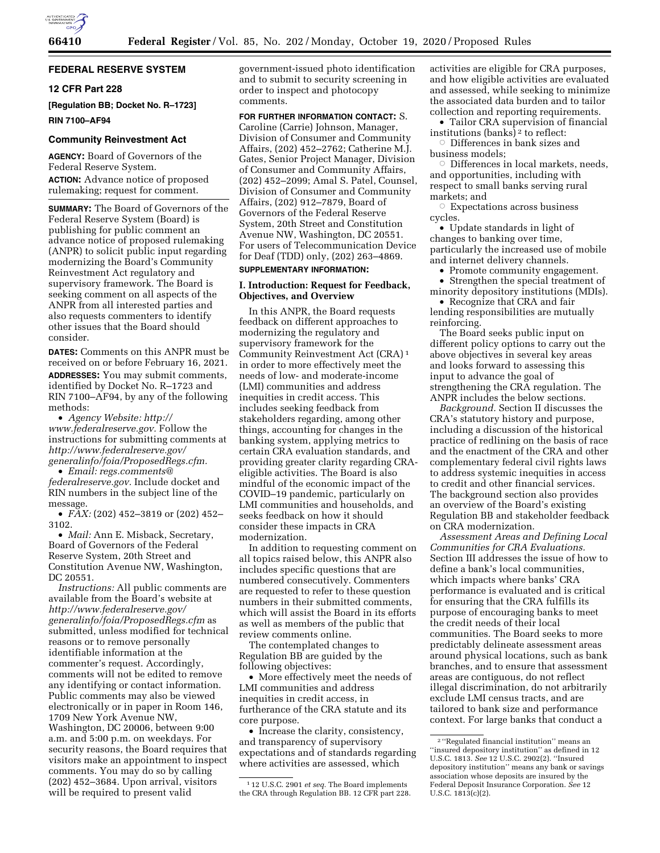

#### **FEDERAL RESERVE SYSTEM**

#### **12 CFR Part 228**

**[Regulation BB; Docket No. R–1723] RIN 7100–AF94** 

#### **Community Reinvestment Act**

**AGENCY:** Board of Governors of the Federal Reserve System. **ACTION:** Advance notice of proposed rulemaking; request for comment.

**SUMMARY:** The Board of Governors of the Federal Reserve System (Board) is publishing for public comment an advance notice of proposed rulemaking (ANPR) to solicit public input regarding modernizing the Board's Community Reinvestment Act regulatory and supervisory framework. The Board is seeking comment on all aspects of the ANPR from all interested parties and also requests commenters to identify other issues that the Board should consider.

**DATES:** Comments on this ANPR must be received on or before February 16, 2021. **ADDRESSES:** You may submit comments, identified by Docket No. R–1723 and RIN 7100–AF94, by any of the following methods:

• *Agency Website: [http://](http://www.federalreserve.gov) [www.federalreserve.gov.](http://www.federalreserve.gov)* Follow the instructions for submitting comments at *[http://www.federalreserve.gov/](http://www.federalreserve.gov/generalinfo/foia/ProposedRegs.cfm)  [generalinfo/foia/ProposedRegs.cfm.](http://www.federalreserve.gov/generalinfo/foia/ProposedRegs.cfm)* 

• *Email: [regs.comments@](mailto:regs.comments@federalreserve.gov) [federalreserve.gov.](mailto:regs.comments@federalreserve.gov)* Include docket and RIN numbers in the subject line of the message.

• *FAX:* (202) 452–3819 or (202) 452– 3102.

• *Mail: Ann E. Misback, Secretary,* Board of Governors of the Federal Reserve System, 20th Street and Constitution Avenue NW, Washington, DC 20551.

*Instructions:* All public comments are available from the Board's website at *[http://www.federalreserve.gov/](http://www.federalreserve.gov/generalinfo/foia/ProposedRegs.cfm)  [generalinfo/foia/ProposedRegs.cfm](http://www.federalreserve.gov/generalinfo/foia/ProposedRegs.cfm)* as submitted, unless modified for technical reasons or to remove personally identifiable information at the commenter's request. Accordingly, comments will not be edited to remove any identifying or contact information. Public comments may also be viewed electronically or in paper in Room 146, 1709 New York Avenue NW, Washington, DC 20006, between 9:00 a.m. and 5:00 p.m. on weekdays. For security reasons, the Board requires that visitors make an appointment to inspect comments. You may do so by calling (202) 452–3684. Upon arrival, visitors will be required to present valid

government-issued photo identification and to submit to security screening in order to inspect and photocopy comments.

**FOR FURTHER INFORMATION CONTACT:** S. Caroline (Carrie) Johnson, Manager, Division of Consumer and Community Affairs, (202) 452–2762; Catherine M.J. Gates, Senior Project Manager, Division of Consumer and Community Affairs, (202) 452–2099; Amal S. Patel, Counsel, Division of Consumer and Community Affairs, (202) 912–7879, Board of Governors of the Federal Reserve System, 20th Street and Constitution Avenue NW, Washington, DC 20551. For users of Telecommunication Device for Deaf (TDD) only, (202) 263–4869. **SUPPLEMENTARY INFORMATION:** 

#### **I. Introduction: Request for Feedback, Objectives, and Overview**

In this ANPR, the Board requests feedback on different approaches to modernizing the regulatory and supervisory framework for the Community Reinvestment Act (CRA) 1 in order to more effectively meet the needs of low- and moderate-income (LMI) communities and address inequities in credit access. This includes seeking feedback from stakeholders regarding, among other things, accounting for changes in the banking system, applying metrics to certain CRA evaluation standards, and providing greater clarity regarding CRAeligible activities. The Board is also mindful of the economic impact of the COVID–19 pandemic, particularly on LMI communities and households, and seeks feedback on how it should consider these impacts in CRA modernization.

In addition to requesting comment on all topics raised below, this ANPR also includes specific questions that are numbered consecutively. Commenters are requested to refer to these question numbers in their submitted comments, which will assist the Board in its efforts as well as members of the public that review comments online.

The contemplated changes to Regulation BB are guided by the following objectives:

• More effectively meet the needs of LMI communities and address inequities in credit access, in furtherance of the CRA statute and its core purpose.

• Increase the clarity, consistency, and transparency of supervisory expectations and of standards regarding where activities are assessed, which

activities are eligible for CRA purposes, and how eligible activities are evaluated and assessed, while seeking to minimize the associated data burden and to tailor collection and reporting requirements.

• Tailor CRA supervision of financial institutions (banks) 2 to reflect:

 $\circ$  Differences in bank sizes and business models;

 $\circ$  Differences in local markets, needs, and opportunities, including with respect to small banks serving rural markets; and

 $\circ$  Expectations across business cycles.

• Update standards in light of changes to banking over time, particularly the increased use of mobile and internet delivery channels.

• Promote community engagement.

• Strengthen the special treatment of minority depository institutions (MDIs).

• Recognize that CRA and fair lending responsibilities are mutually reinforcing.

The Board seeks public input on different policy options to carry out the above objectives in several key areas and looks forward to assessing this input to advance the goal of strengthening the CRA regulation. The ANPR includes the below sections.

*Background.* Section II discusses the CRA's statutory history and purpose, including a discussion of the historical practice of redlining on the basis of race and the enactment of the CRA and other complementary federal civil rights laws to address systemic inequities in access to credit and other financial services. The background section also provides an overview of the Board's existing Regulation BB and stakeholder feedback on CRA modernization.

*Assessment Areas and Defining Local Communities for CRA Evaluations.*  Section III addresses the issue of how to define a bank's local communities, which impacts where banks' CRA performance is evaluated and is critical for ensuring that the CRA fulfills its purpose of encouraging banks to meet the credit needs of their local communities. The Board seeks to more predictably delineate assessment areas around physical locations, such as bank branches, and to ensure that assessment areas are contiguous, do not reflect illegal discrimination, do not arbitrarily exclude LMI census tracts, and are tailored to bank size and performance context. For large banks that conduct a

<sup>1</sup> 12 U.S.C. 2901 *et seq.* The Board implements the CRA through Regulation BB. 12 CFR part 228.

<sup>2</sup> ''Regulated financial institution'' means an ''insured depository institution'' as defined in 12 U.S.C. 1813. *See* 12 U.S.C. 2902(2). ''Insured depository institution'' means any bank or savings association whose deposits are insured by the Federal Deposit Insurance Corporation. *See* 12 U.S.C. 1813(c)(2).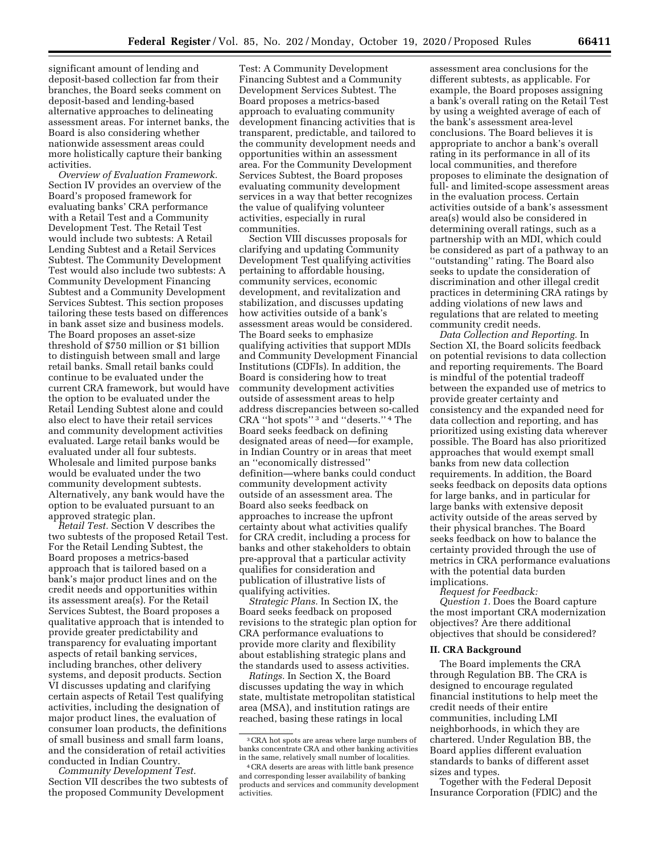significant amount of lending and deposit-based collection far from their branches, the Board seeks comment on deposit-based and lending-based alternative approaches to delineating assessment areas. For internet banks, the Board is also considering whether nationwide assessment areas could more holistically capture their banking activities.

*Overview of Evaluation Framework.*  Section IV provides an overview of the Board's proposed framework for evaluating banks' CRA performance with a Retail Test and a Community Development Test. The Retail Test would include two subtests: A Retail Lending Subtest and a Retail Services Subtest. The Community Development Test would also include two subtests: A Community Development Financing Subtest and a Community Development Services Subtest. This section proposes tailoring these tests based on differences in bank asset size and business models. The Board proposes an asset-size threshold of \$750 million or \$1 billion to distinguish between small and large retail banks. Small retail banks could continue to be evaluated under the current CRA framework, but would have the option to be evaluated under the Retail Lending Subtest alone and could also elect to have their retail services and community development activities evaluated. Large retail banks would be evaluated under all four subtests. Wholesale and limited purpose banks would be evaluated under the two community development subtests. Alternatively, any bank would have the option to be evaluated pursuant to an approved strategic plan.

*Retail Test.* Section V describes the two subtests of the proposed Retail Test. For the Retail Lending Subtest, the Board proposes a metrics-based approach that is tailored based on a bank's major product lines and on the credit needs and opportunities within its assessment area(s). For the Retail Services Subtest, the Board proposes a qualitative approach that is intended to provide greater predictability and transparency for evaluating important aspects of retail banking services, including branches, other delivery systems, and deposit products. Section VI discusses updating and clarifying certain aspects of Retail Test qualifying activities, including the designation of major product lines, the evaluation of consumer loan products, the definitions of small business and small farm loans, and the consideration of retail activities conducted in Indian Country.

*Community Development Test.*  Section VII describes the two subtests of the proposed Community Development

Test: A Community Development Financing Subtest and a Community Development Services Subtest. The Board proposes a metrics-based approach to evaluating community development financing activities that is transparent, predictable, and tailored to the community development needs and opportunities within an assessment area. For the Community Development Services Subtest, the Board proposes evaluating community development services in a way that better recognizes the value of qualifying volunteer activities, especially in rural communities.

Section VIII discusses proposals for clarifying and updating Community Development Test qualifying activities pertaining to affordable housing, community services, economic development, and revitalization and stabilization, and discusses updating how activities outside of a bank's assessment areas would be considered. The Board seeks to emphasize qualifying activities that support MDIs and Community Development Financial Institutions (CDFIs). In addition, the Board is considering how to treat community development activities outside of assessment areas to help address discrepancies between so-called CRA ''hot spots'' 3 and ''deserts.'' 4 The Board seeks feedback on defining designated areas of need—for example, in Indian Country or in areas that meet an ''economically distressed'' definition—where banks could conduct community development activity outside of an assessment area. The Board also seeks feedback on approaches to increase the upfront certainty about what activities qualify for CRA credit, including a process for banks and other stakeholders to obtain pre-approval that a particular activity qualifies for consideration and publication of illustrative lists of qualifying activities.

*Strategic Plans.* In Section IX, the Board seeks feedback on proposed revisions to the strategic plan option for CRA performance evaluations to provide more clarity and flexibility about establishing strategic plans and the standards used to assess activities.

*Ratings.* In Section X, the Board discusses updating the way in which state, multistate metropolitan statistical area (MSA), and institution ratings are reached, basing these ratings in local

assessment area conclusions for the different subtests, as applicable. For example, the Board proposes assigning a bank's overall rating on the Retail Test by using a weighted average of each of the bank's assessment area-level conclusions. The Board believes it is appropriate to anchor a bank's overall rating in its performance in all of its local communities, and therefore proposes to eliminate the designation of full- and limited-scope assessment areas in the evaluation process. Certain activities outside of a bank's assessment area(s) would also be considered in determining overall ratings, such as a partnership with an MDI, which could be considered as part of a pathway to an ''outstanding'' rating. The Board also seeks to update the consideration of discrimination and other illegal credit practices in determining CRA ratings by adding violations of new laws and regulations that are related to meeting community credit needs.

*Data Collection and Reporting.* In Section XI, the Board solicits feedback on potential revisions to data collection and reporting requirements. The Board is mindful of the potential tradeoff between the expanded use of metrics to provide greater certainty and consistency and the expanded need for data collection and reporting, and has prioritized using existing data wherever possible. The Board has also prioritized approaches that would exempt small banks from new data collection requirements. In addition, the Board seeks feedback on deposits data options for large banks, and in particular for large banks with extensive deposit activity outside of the areas served by their physical branches. The Board seeks feedback on how to balance the certainty provided through the use of metrics in CRA performance evaluations with the potential data burden implications.

*Request for Feedback:* 

*Question 1.* Does the Board capture the most important CRA modernization objectives? Are there additional objectives that should be considered?

#### **II. CRA Background**

The Board implements the CRA through Regulation BB. The CRA is designed to encourage regulated financial institutions to help meet the credit needs of their entire communities, including LMI neighborhoods, in which they are chartered. Under Regulation BB, the Board applies different evaluation standards to banks of different asset sizes and types.

Together with the Federal Deposit Insurance Corporation (FDIC) and the

<sup>3</sup>CRA hot spots are areas where large numbers of banks concentrate CRA and other banking activities in the same, relatively small number of localities.

<sup>4</sup>CRA deserts are areas with little bank presence and corresponding lesser availability of banking products and services and community development activities.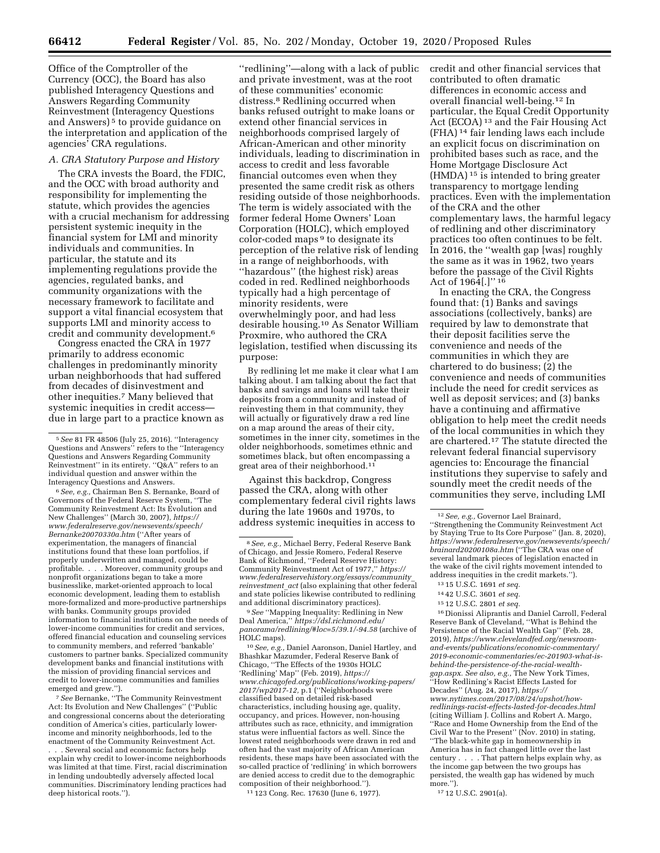Office of the Comptroller of the Currency (OCC), the Board has also published Interagency Questions and Answers Regarding Community Reinvestment (Interagency Questions and Answers)<sup>5</sup> to provide guidance on the interpretation and application of the agencies' CRA regulations.

#### *A. CRA Statutory Purpose and History*

The CRA invests the Board, the FDIC, and the OCC with broad authority and responsibility for implementing the statute, which provides the agencies with a crucial mechanism for addressing persistent systemic inequity in the financial system for LMI and minority individuals and communities. In particular, the statute and its implementing regulations provide the agencies, regulated banks, and community organizations with the necessary framework to facilitate and support a vital financial ecosystem that supports LMI and minority access to credit and community development.6

Congress enacted the CRA in 1977 primarily to address economic challenges in predominantly minority urban neighborhoods that had suffered from decades of disinvestment and other inequities.7 Many believed that systemic inequities in credit access due in large part to a practice known as

6*See, e.g.,* Chairman Ben S. Bernanke, Board of Governors of the Federal Reserve System, ''The Community Reinvestment Act: Its Evolution and New Challenges'' (March 30, 2007), *[https://](https://www.federalreserve.gov/newsevents/speech/Bernanke20070330a.htm) [www.federalreserve.gov/newsevents/speech/](https://www.federalreserve.gov/newsevents/speech/Bernanke20070330a.htm)  [Bernanke20070330a.htm](https://www.federalreserve.gov/newsevents/speech/Bernanke20070330a.htm)* (''After years of experimentation, the managers of financial institutions found that these loan portfolios, if properly underwritten and managed, could be profitable. . . . Moreover, community groups and nonprofit organizations began to take a more businesslike, market-oriented approach to local economic development, leading them to establish more-formalized and more-productive partnerships with banks. Community groups provided information to financial institutions on the needs of lower-income communities for credit and services, offered financial education and counseling services to community members, and referred 'bankable' customers to partner banks. Specialized community development banks and financial institutions with the mission of providing financial services and credit to lower-income communities and families emerged and grew.'').

7*See* Bernanke, ''The Community Reinvestment Act: Its Evolution and New Challenges'' (''Public and congressional concerns about the deteriorating condition of America's cities, particularly lowerincome and minority neighborhoods, led to the enactment of the Community Reinvestment Act.

. Several social and economic factors help explain why credit to lower-income neighborhoods was limited at that time. First, racial discrimination in lending undoubtedly adversely affected local communities. Discriminatory lending practices had deep historical roots.'').

''redlining''—along with a lack of public and private investment, was at the root of these communities' economic distress.8 Redlining occurred when banks refused outright to make loans or extend other financial services in neighborhoods comprised largely of African-American and other minority individuals, leading to discrimination in access to credit and less favorable financial outcomes even when they presented the same credit risk as others residing outside of those neighborhoods. The term is widely associated with the former federal Home Owners' Loan Corporation (HOLC), which employed color-coded maps 9 to designate its perception of the relative risk of lending in a range of neighborhoods, with ''hazardous'' (the highest risk) areas coded in red. Redlined neighborhoods typically had a high percentage of minority residents, were overwhelmingly poor, and had less desirable housing.10 As Senator William Proxmire, who authored the CRA legislation, testified when discussing its purpose:

By redlining let me make it clear what I am talking about. I am talking about the fact that banks and savings and loans will take their deposits from a community and instead of reinvesting them in that community, they will actually or figuratively draw a red line on a map around the areas of their city, sometimes in the inner city, sometimes in the older neighborhoods, sometimes ethnic and sometimes black, but often encompassing a great area of their neighborhood.<sup>11</sup>

Against this backdrop, Congress passed the CRA, along with other complementary federal civil rights laws during the late 1960s and 1970s, to address systemic inequities in access to

9*See* ''Mapping Inequality: Redlining in New Deal America,'' *[https://dsl.richmond.edu/](https://dsl.richmond.edu/panorama/redlining/#loc=5/39.1/-94.58)  [panorama/redlining/#loc=5/39.1/-94.58](https://dsl.richmond.edu/panorama/redlining/#loc=5/39.1/-94.58)* (archive of HOLC maps).

10*See, e.g.,* Daniel Aaronson, Daniel Hartley, and Bhashkar Mazumder, Federal Reserve Bank of Chicago, ''The Effects of the 1930s HOLC 'Redlining' Map'' (Feb. 2019), *[https://](https://www.chicagofed.org/publications/working-papers/2017/wp2017-12) [www.chicagofed.org/publications/working-papers/](https://www.chicagofed.org/publications/working-papers/2017/wp2017-12)  [2017/wp2017-12,](https://www.chicagofed.org/publications/working-papers/2017/wp2017-12)* p.1 (''Neighborhoods were classified based on detailed risk-based characteristics, including housing age, quality, occupancy, and prices. However, non-housing attributes such as race, ethnicity, and immigration status were influential factors as well. Since the lowest rated neighborhoods were drawn in red and often had the vast majority of African American residents, these maps have been associated with the so-called practice of 'redlining' in which borrowers are denied access to credit due to the demographic composition of their neighborhood.'').

11 123 Cong. Rec. 17630 (June 6, 1977).

credit and other financial services that contributed to often dramatic differences in economic access and overall financial well-being.12 In particular, the Equal Credit Opportunity Act (ECOA) 13 and the Fair Housing Act (FHA) 14 fair lending laws each include an explicit focus on discrimination on prohibited bases such as race, and the Home Mortgage Disclosure Act (HMDA) 15 is intended to bring greater transparency to mortgage lending practices. Even with the implementation of the CRA and the other complementary laws, the harmful legacy of redlining and other discriminatory practices too often continues to be felt. In 2016, the ''wealth gap [was] roughly the same as it was in 1962, two years before the passage of the Civil Rights Act of 1964[.]'' 16

In enacting the CRA, the Congress found that: (1) Banks and savings associations (collectively, banks) are required by law to demonstrate that their deposit facilities serve the convenience and needs of the communities in which they are chartered to do business; (2) the convenience and needs of communities include the need for credit services as well as deposit services; and (3) banks have a continuing and affirmative obligation to help meet the credit needs of the local communities in which they are chartered.17 The statute directed the relevant federal financial supervisory agencies to: Encourage the financial institutions they supervise to safely and soundly meet the credit needs of the communities they serve, including LMI

16 Dionissi Aliprantis and Daniel Carroll, Federal Reserve Bank of Cleveland, ''What is Behind the Persistence of the Racial Wealth Gap'' (Feb. 28, 2019), *[https://www.clevelandfed.org/newsroom](https://www.clevelandfed.org/newsroom-and-events/publications/economic-commentary/2019-economic-commentaries/ec-201903-what-is-behind-the-persistence-of-the-racial-wealth-gap.aspx)[and-events/publications/economic-commentary/](https://www.clevelandfed.org/newsroom-and-events/publications/economic-commentary/2019-economic-commentaries/ec-201903-what-is-behind-the-persistence-of-the-racial-wealth-gap.aspx)  [2019-economic-commentaries/ec-201903-what-is](https://www.clevelandfed.org/newsroom-and-events/publications/economic-commentary/2019-economic-commentaries/ec-201903-what-is-behind-the-persistence-of-the-racial-wealth-gap.aspx)[behind-the-persistence-of-the-racial-wealth](https://www.clevelandfed.org/newsroom-and-events/publications/economic-commentary/2019-economic-commentaries/ec-201903-what-is-behind-the-persistence-of-the-racial-wealth-gap.aspx)[gap.aspx.](https://www.clevelandfed.org/newsroom-and-events/publications/economic-commentary/2019-economic-commentaries/ec-201903-what-is-behind-the-persistence-of-the-racial-wealth-gap.aspx) See also, e.g.,* The New York Times, ''How Redlining's Racist Effects Lasted for Decades'' (Aug. 24, 2017), *[https://](https://www.nytimes.com/2017/08/24/upshot/how-redlinings-racist-effects-lasted-for-decades.html) [www.nytimes.com/2017/08/24/upshot/how](https://www.nytimes.com/2017/08/24/upshot/how-redlinings-racist-effects-lasted-for-decades.html)[redlinings-racist-effects-lasted-for-decades.html](https://www.nytimes.com/2017/08/24/upshot/how-redlinings-racist-effects-lasted-for-decades.html)*  (citing William J. Collins and Robert A. Margo, ''Race and Home Ownership from the End of the Civil War to the Present'' (Nov. 2010) in stating, ''The black-white gap in homeownership in America has in fact changed little over the last century . . . . That pattern helps explain why, as the income gap between the two groups has persisted, the wealth gap has widened by much more.").

17 12 U.S.C. 2901(a).

<sup>5</sup>*See* 81 FR 48506 (July 25, 2016). ''Interagency Questions and Answers'' refers to the ''Interagency Questions and Answers Regarding Community Reinvestment'' in its entirety. ''Q&A'' refers to an individual question and answer within the Interagency Questions and Answers.

<sup>8</sup>*See, e.g.,* Michael Berry, Federal Reserve Bank of Chicago, and Jessie Romero, Federal Reserve Bank of Richmond, ''Federal Reserve History: Community Reinvestment Act of 1977,'' *[https://](https://www.federalreservehistory.org/essays/community_reinvestment_act) [www.federalreservehistory.org/essays/community](https://www.federalreservehistory.org/essays/community_reinvestment_act)*\_ *[reinvestment](https://www.federalreservehistory.org/essays/community_reinvestment_act)*\_*act* (also explaining that other federal and state policies likewise contributed to redlining and additional discriminatory practices).

<sup>12</sup>*See, e.g.,* Governor Lael Brainard, ''Strengthening the Community Reinvestment Act by Staying True to Its Core Purpose'' (Jan. 8, 2020), *[https://www.federalreserve.gov/newsevents/speech/](https://www.federalreserve.gov/newsevents/speech/brainard20200108a.htm)  [brainard20200108a.htm](https://www.federalreserve.gov/newsevents/speech/brainard20200108a.htm)* (''The CRA was one of several landmark pieces of legislation enacted in the wake of the civil rights movement intended to address inequities in the credit markets.'').

<sup>13</sup> 15 U.S.C. 1691 *et seq.* 

<sup>14</sup> 42 U.S.C. 3601 *et seq.* 

<sup>15</sup> 12 U.S.C. 2801 *et seq.*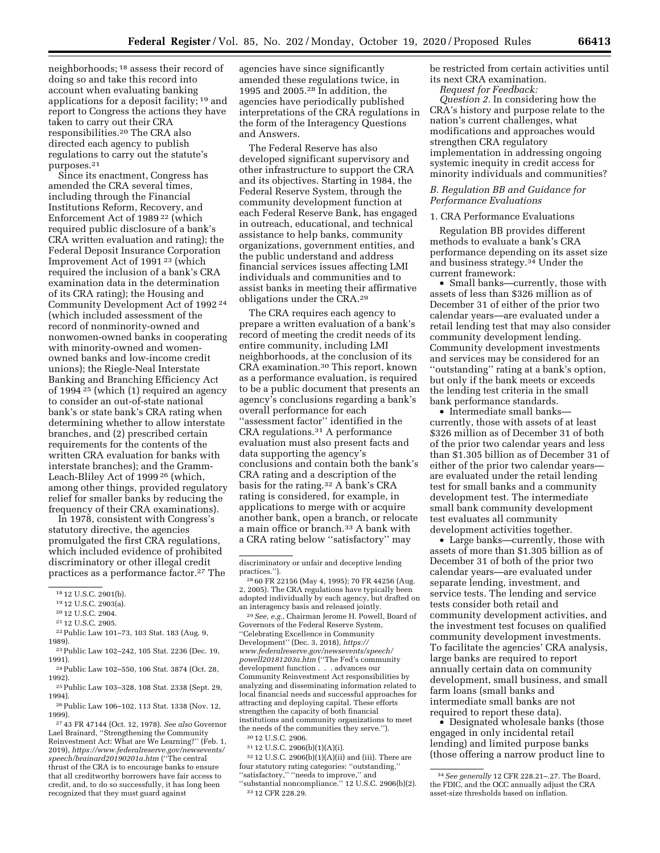neighborhoods; 18 assess their record of doing so and take this record into account when evaluating banking applications for a deposit facility; 19 and report to Congress the actions they have taken to carry out their CRA responsibilities.20 The CRA also directed each agency to publish regulations to carry out the statute's purposes.21

Since its enactment, Congress has amended the CRA several times, including through the Financial Institutions Reform, Recovery, and Enforcement Act of 1989 22 (which required public disclosure of a bank's CRA written evaluation and rating); the Federal Deposit Insurance Corporation Improvement Act of 1991 23 (which required the inclusion of a bank's CRA examination data in the determination of its CRA rating); the Housing and Community Development Act of 1992 24 (which included assessment of the record of nonminority-owned and nonwomen-owned banks in cooperating with minority-owned and womenowned banks and low-income credit unions); the Riegle-Neal Interstate Banking and Branching Efficiency Act of 1994 25 (which (1) required an agency to consider an out-of-state national bank's or state bank's CRA rating when determining whether to allow interstate branches, and (2) prescribed certain requirements for the contents of the written CRA evaluation for banks with interstate branches); and the Gramm-Leach-Bliley Act of 1999 26 (which, among other things, provided regulatory relief for smaller banks by reducing the frequency of their CRA examinations).

In 1978, consistent with Congress's statutory directive, the agencies promulgated the first CRA regulations, which included evidence of prohibited discriminatory or other illegal credit practices as a performance factor.27 The

- 22Public Law 101–73, 103 Stat. 183 (Aug. 9, 1989).
- 23Public Law 102–242, 105 Stat. 2236 (Dec. 19, 1991).
- 24Public Law 102–550, 106 Stat. 3874 (Oct. 28, 1992).
- 25Public Law 103–328, 108 Stat. 2338 (Sept. 29, 1994).

26Public Law 106–102, 113 Stat. 1338 (Nov. 12, 1999).

27 43 FR 47144 (Oct. 12, 1978). *See also* Governor Lael Brainard, ''Strengthening the Community Reinvestment Act: What are We Learning?'' (Feb. 1, 2019), *[https://www.federalreserve.gov/newsevents/](https://www.federalreserve.gov/newsevents/speech/brainard20190201a.htm) [speech/brainard20190201a.htm](https://www.federalreserve.gov/newsevents/speech/brainard20190201a.htm)* (''The central thrust of the CRA is to encourage banks to ensure that all creditworthy borrowers have fair access to credit, and, to do so successfully, it has long been recognized that they must guard against

agencies have since significantly amended these regulations twice, in 1995 and 2005.28 In addition, the agencies have periodically published interpretations of the CRA regulations in the form of the Interagency Questions and Answers.

The Federal Reserve has also developed significant supervisory and other infrastructure to support the CRA and its objectives. Starting in 1984, the Federal Reserve System, through the community development function at each Federal Reserve Bank, has engaged in outreach, educational, and technical assistance to help banks, community organizations, government entities, and the public understand and address financial services issues affecting LMI individuals and communities and to assist banks in meeting their affirmative obligations under the CRA.29

The CRA requires each agency to prepare a written evaluation of a bank's record of meeting the credit needs of its entire community, including LMI neighborhoods, at the conclusion of its CRA examination.30 This report, known as a performance evaluation, is required to be a public document that presents an agency's conclusions regarding a bank's overall performance for each "assessment factor" identified in the CRA regulations.31 A performance evaluation must also present facts and data supporting the agency's conclusions and contain both the bank's CRA rating and a description of the basis for the rating.32 A bank's CRA rating is considered, for example, in applications to merge with or acquire another bank, open a branch, or relocate a main office or branch.33 A bank with a CRA rating below ''satisfactory'' may

29*See, e.g.,* Chairman Jerome H. Powell, Board of Governors of the Federal Reserve System, ''Celebrating Excellence in Community Development'' (Dec. 3, 2018), *[https://](https://www.federalreserve.gov/newsevents/speech/powell20181203a.htm) [www.federalreserve.gov/newsevents/speech/](https://www.federalreserve.gov/newsevents/speech/powell20181203a.htm)  [powell20181203a.htm](https://www.federalreserve.gov/newsevents/speech/powell20181203a.htm)* (''The Fed's community development function . . . advances our Community Reinvestment Act responsibilities by analyzing and disseminating information related to local financial needs and successful approaches for attracting and deploying capital. These efforts strengthen the capacity of both financial institutions and community organizations to meet the needs of the communities they serve.'').

31 12 U.S.C. 2906(b)(1)(A)(i).

 $^{\rm 32}$  12 U.S.C. 2906(b)(1)(A)(ii) and (iii). There are four statutory rating categories: ''outstanding,'' ''satisfactory,'' ''needs to improve,'' and ''substantial noncompliance.'' 12 U.S.C. 2906(b)(2). 33 12 CFR 228.29.

be restricted from certain activities until its next CRA examination.

*Request for Feedback:* 

*Question 2.* In considering how the CRA's history and purpose relate to the nation's current challenges, what modifications and approaches would strengthen CRA regulatory implementation in addressing ongoing systemic inequity in credit access for minority individuals and communities?

#### *B. Regulation BB and Guidance for Performance Evaluations*

#### 1. CRA Performance Evaluations

Regulation BB provides different methods to evaluate a bank's CRA performance depending on its asset size and business strategy.<sup>34</sup> Under the current framework:

• Small banks—currently, those with assets of less than \$326 million as of December 31 of either of the prior two calendar years—are evaluated under a retail lending test that may also consider community development lending. Community development investments and services may be considered for an ''outstanding'' rating at a bank's option, but only if the bank meets or exceeds the lending test criteria in the small bank performance standards.

• Intermediate small banks currently, those with assets of at least \$326 million as of December 31 of both of the prior two calendar years and less than \$1.305 billion as of December 31 of either of the prior two calendar years are evaluated under the retail lending test for small banks and a community development test. The intermediate small bank community development test evaluates all community development activities together.

• Large banks—currently, those with assets of more than \$1.305 billion as of December 31 of both of the prior two calendar years—are evaluated under separate lending, investment, and service tests. The lending and service tests consider both retail and community development activities, and the investment test focuses on qualified community development investments. To facilitate the agencies' CRA analysis, large banks are required to report annually certain data on community development, small business, and small farm loans (small banks and intermediate small banks are not required to report these data).

• Designated wholesale banks (those engaged in only incidental retail lending) and limited purpose banks (those offering a narrow product line to

<sup>18</sup> 12 U.S.C. 2901(b).

<sup>19</sup> 12 U.S.C. 2903(a).

<sup>20</sup> 12 U.S.C. 2904.

<sup>21</sup> 12 U.S.C. 2905.

discriminatory or unfair and deceptive lending practices.'').

<sup>28</sup> 60 FR 22156 (May 4, 1995); 70 FR 44256 (Aug. 2, 2005). The CRA regulations have typically been adopted individually by each agency, but drafted on an interagency basis and released jointly.

<sup>30</sup> 12 U.S.C. 2906.

<sup>34</sup>*See generally* 12 CFR 228.21–.27. The Board, the FDIC, and the OCC annually adjust the CRA asset-size thresholds based on inflation.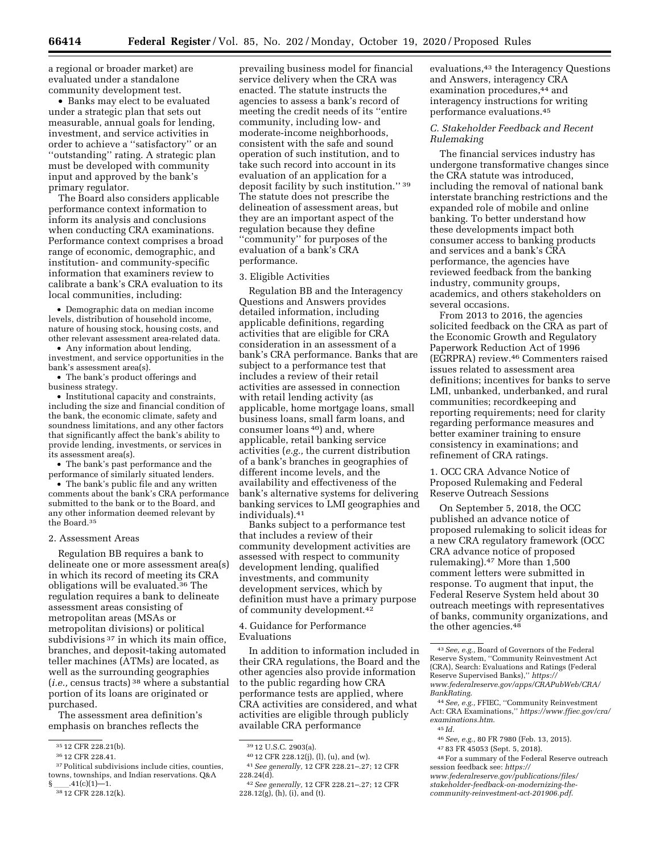a regional or broader market) are evaluated under a standalone community development test.

• Banks may elect to be evaluated under a strategic plan that sets out measurable, annual goals for lending, investment, and service activities in order to achieve a ''satisfactory'' or an ''outstanding'' rating. A strategic plan must be developed with community input and approved by the bank's primary regulator.

The Board also considers applicable performance context information to inform its analysis and conclusions when conducting CRA examinations. Performance context comprises a broad range of economic, demographic, and institution- and community-specific information that examiners review to calibrate a bank's CRA evaluation to its local communities, including:

• Demographic data on median income levels, distribution of household income, nature of housing stock, housing costs, and other relevant assessment area-related data.

• Any information about lending, investment, and service opportunities in the bank's assessment area(s).

• The bank's product offerings and business strategy.

• Institutional capacity and constraints, including the size and financial condition of the bank, the economic climate, safety and soundness limitations, and any other factors that significantly affect the bank's ability to provide lending, investments, or services in its assessment area(s).

• The bank's past performance and the performance of similarly situated lenders.

• The bank's public file and any written comments about the bank's CRA performance submitted to the bank or to the Board, and any other information deemed relevant by the Board.35

#### 2. Assessment Areas

Regulation BB requires a bank to delineate one or more assessment area(s) in which its record of meeting its CRA obligations will be evaluated.36 The regulation requires a bank to delineate assessment areas consisting of metropolitan areas (MSAs or metropolitan divisions) or political subdivisions <sup>37</sup> in which its main office, branches, and deposit-taking automated teller machines (ATMs) are located, as well as the surrounding geographies (*i.e.,* census tracts) 38 where a substantial portion of its loans are originated or purchased.

The assessment area definition's emphasis on branches reflects the

prevailing business model for financial service delivery when the CRA was enacted. The statute instructs the agencies to assess a bank's record of meeting the credit needs of its ''entire community, including low- and moderate-income neighborhoods, consistent with the safe and sound operation of such institution, and to take such record into account in its evaluation of an application for a deposit facility by such institution." 39 The statute does not prescribe the delineation of assessment areas, but they are an important aspect of the regulation because they define ''community'' for purposes of the evaluation of a bank's CRA performance.

#### 3. Eligible Activities

Regulation BB and the Interagency Questions and Answers provides detailed information, including applicable definitions, regarding activities that are eligible for CRA consideration in an assessment of a bank's CRA performance. Banks that are subject to a performance test that includes a review of their retail activities are assessed in connection with retail lending activity (as applicable, home mortgage loans, small business loans, small farm loans, and consumer loans 40) and, where applicable, retail banking service activities (*e.g.,* the current distribution of a bank's branches in geographies of different income levels, and the availability and effectiveness of the bank's alternative systems for delivering banking services to LMI geographies and individuals).41

Banks subject to a performance test that includes a review of their community development activities are assessed with respect to community development lending, qualified investments, and community development services, which by definition must have a primary purpose of community development.42

4. Guidance for Performance Evaluations

In addition to information included in their CRA regulations, the Board and the other agencies also provide information to the public regarding how CRA performance tests are applied, where CRA activities are considered, and what activities are eligible through publicly available CRA performance

evaluations,<sup>43</sup> the Interagency Questions and Answers, interagency CRA examination procedures,44 and interagency instructions for writing performance evaluations.45

#### *C. Stakeholder Feedback and Recent Rulemaking*

The financial services industry has undergone transformative changes since the CRA statute was introduced, including the removal of national bank interstate branching restrictions and the expanded role of mobile and online banking. To better understand how these developments impact both consumer access to banking products and services and a bank's CRA performance, the agencies have reviewed feedback from the banking industry, community groups, academics, and others stakeholders on several occasions.

From 2013 to 2016, the agencies solicited feedback on the CRA as part of the Economic Growth and Regulatory Paperwork Reduction Act of 1996 (EGRPRA) review.46 Commenters raised issues related to assessment area definitions; incentives for banks to serve LMI, unbanked, underbanked, and rural communities; recordkeeping and reporting requirements; need for clarity regarding performance measures and better examiner training to ensure consistency in examinations; and refinement of CRA ratings.

1. OCC CRA Advance Notice of Proposed Rulemaking and Federal Reserve Outreach Sessions

On September 5, 2018, the OCC published an advance notice of proposed rulemaking to solicit ideas for a new CRA regulatory framework (OCC CRA advance notice of proposed rulemaking).47 More than 1,500 comment letters were submitted in response. To augment that input, the Federal Reserve System held about 30 outreach meetings with representatives of banks, community organizations, and the other agencies.48

46*See, e.g.,* 80 FR 7980 (Feb. 13, 2015).

48For a summary of the Federal Reserve outreach session feedback see: *[https://](https://www.federalreserve.gov/publications/files/stakeholder-feedback-on-modernizing-the-community-reinvestment-act-201906.pdf)*

<sup>35</sup> 12 CFR 228.21(b).

<sup>36</sup> 12 CFR 228.41.

<sup>37</sup>Political subdivisions include cities, counties, towns, townships, and Indian reservations. Q&A

 $\frac{\S}{3812}$ .41(c)(1)—1.<br><sup>38</sup> 12 CFR 228.12(k).

<sup>39</sup> 12 U.S.C. 2903(a).

<sup>40</sup> 12 CFR 228.12(j), (l), (u), and (w). 41*See generally,* 12 CFR 228.21–.27; 12 CFR

 $228.24(d)$ . 42*See generally,* 12 CFR 228.21–.27; 12 CFR

 $228.12(g)$ , (h), (i), and (t).

<sup>43</sup>*See, e.g.,* Board of Governors of the Federal Reserve System, ''Community Reinvestment Act (CRA), Search: Evaluations and Ratings (Federal Reserve Supervised Banks),'' *[https://](https://www.federalreserve.gov/apps/CRAPubWeb/CRA/BankRating) [www.federalreserve.gov/apps/CRAPubWeb/CRA/](https://www.federalreserve.gov/apps/CRAPubWeb/CRA/BankRating) [BankRating](https://www.federalreserve.gov/apps/CRAPubWeb/CRA/BankRating)*.

<sup>44</sup>*See, e.g.,* FFIEC, ''Community Reinvestment Act: CRA Examinations,'' *[https://www.ffiec.gov/cra/](https://www.ffiec.gov/cra/examinations.htm)  [examinations.htm](https://www.ffiec.gov/cra/examinations.htm)*.

<sup>45</sup> *Id.* 

<sup>47</sup> 83 FR 45053 (Sept. 5, 2018).

*[www.federalreserve.gov/publications/files/](https://www.federalreserve.gov/publications/files/stakeholder-feedback-on-modernizing-the-community-reinvestment-act-201906.pdf)  [stakeholder-feedback-on-modernizing-the](https://www.federalreserve.gov/publications/files/stakeholder-feedback-on-modernizing-the-community-reinvestment-act-201906.pdf)[community-reinvestment-act-201906.pdf](https://www.federalreserve.gov/publications/files/stakeholder-feedback-on-modernizing-the-community-reinvestment-act-201906.pdf)*.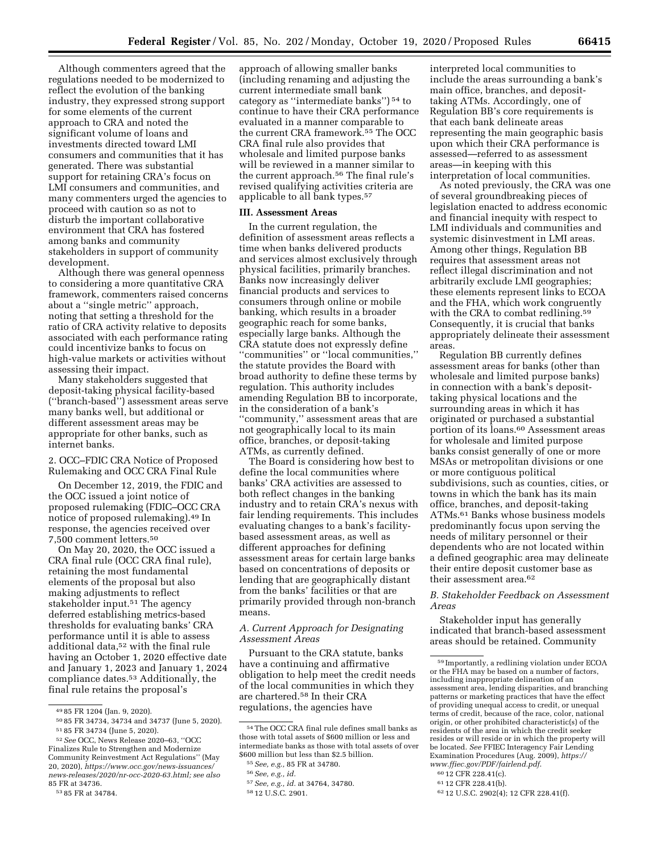Although commenters agreed that the regulations needed to be modernized to reflect the evolution of the banking industry, they expressed strong support for some elements of the current approach to CRA and noted the significant volume of loans and investments directed toward LMI consumers and communities that it has generated. There was substantial support for retaining CRA's focus on LMI consumers and communities, and many commenters urged the agencies to proceed with caution so as not to disturb the important collaborative environment that CRA has fostered among banks and community stakeholders in support of community development.

Although there was general openness to considering a more quantitative CRA framework, commenters raised concerns about a ''single metric'' approach, noting that setting a threshold for the ratio of CRA activity relative to deposits associated with each performance rating could incentivize banks to focus on high-value markets or activities without assessing their impact.

Many stakeholders suggested that deposit-taking physical facility-based (''branch-based'') assessment areas serve many banks well, but additional or different assessment areas may be appropriate for other banks, such as internet banks.

2. OCC–FDIC CRA Notice of Proposed Rulemaking and OCC CRA Final Rule

On December 12, 2019, the FDIC and the OCC issued a joint notice of proposed rulemaking (FDIC–OCC CRA notice of proposed rulemaking).49 In response, the agencies received over 7,500 comment letters.50

On May 20, 2020, the OCC issued a CRA final rule (OCC CRA final rule), retaining the most fundamental elements of the proposal but also making adjustments to reflect stakeholder input.<sup>51</sup> The agency deferred establishing metrics-based thresholds for evaluating banks' CRA performance until it is able to assess additional data,52 with the final rule having an October 1, 2020 effective date and January 1, 2023 and January 1, 2024 compliance dates.53 Additionally, the final rule retains the proposal's

approach of allowing smaller banks (including renaming and adjusting the current intermediate small bank category as ''intermediate banks'') 54 to continue to have their CRA performance evaluated in a manner comparable to the current CRA framework.55 The OCC CRA final rule also provides that wholesale and limited purpose banks will be reviewed in a manner similar to the current approach.56 The final rule's revised qualifying activities criteria are applicable to all bank types.57

#### **III. Assessment Areas**

In the current regulation, the definition of assessment areas reflects a time when banks delivered products and services almost exclusively through physical facilities, primarily branches. Banks now increasingly deliver financial products and services to consumers through online or mobile banking, which results in a broader geographic reach for some banks, especially large banks. Although the CRA statute does not expressly define ''communities'' or ''local communities,'' the statute provides the Board with broad authority to define these terms by regulation. This authority includes amending Regulation BB to incorporate, in the consideration of a bank's ''community,'' assessment areas that are not geographically local to its main office, branches, or deposit-taking ATMs, as currently defined.

The Board is considering how best to define the local communities where banks' CRA activities are assessed to both reflect changes in the banking industry and to retain CRA's nexus with fair lending requirements. This includes evaluating changes to a bank's facilitybased assessment areas, as well as different approaches for defining assessment areas for certain large banks based on concentrations of deposits or lending that are geographically distant from the banks' facilities or that are primarily provided through non-branch means.

#### *A. Current Approach for Designating Assessment Areas*

Pursuant to the CRA statute, banks have a continuing and affirmative obligation to help meet the credit needs of the local communities in which they are chartered.58 In their CRA regulations, the agencies have

interpreted local communities to include the areas surrounding a bank's main office, branches, and deposittaking ATMs. Accordingly, one of Regulation BB's core requirements is that each bank delineate areas representing the main geographic basis upon which their CRA performance is assessed—referred to as assessment areas—in keeping with this interpretation of local communities.

As noted previously, the CRA was one of several groundbreaking pieces of legislation enacted to address economic and financial inequity with respect to LMI individuals and communities and systemic disinvestment in LMI areas. Among other things, Regulation BB requires that assessment areas not reflect illegal discrimination and not arbitrarily exclude LMI geographies; these elements represent links to ECOA and the FHA, which work congruently with the CRA to combat redlining.<sup>59</sup> Consequently, it is crucial that banks appropriately delineate their assessment areas.

Regulation BB currently defines assessment areas for banks (other than wholesale and limited purpose banks) in connection with a bank's deposittaking physical locations and the surrounding areas in which it has originated or purchased a substantial portion of its loans.60 Assessment areas for wholesale and limited purpose banks consist generally of one or more MSAs or metropolitan divisions or one or more contiguous political subdivisions, such as counties, cities, or towns in which the bank has its main office, branches, and deposit-taking ATMs.61 Banks whose business models predominantly focus upon serving the needs of military personnel or their dependents who are not located within a defined geographic area may delineate their entire deposit customer base as their assessment area.62

#### *B. Stakeholder Feedback on Assessment Areas*

Stakeholder input has generally indicated that branch-based assessment areas should be retained. Community

60 12 CFR 228.41(c).

<sup>49</sup> 85 FR 1204 (Jan. 9, 2020).

<sup>50</sup> 85 FR 34734, 34734 and 34737 (June 5, 2020). 51 85 FR 34734 (June 5, 2020).

<sup>52</sup>*See* OCC, News Release 2020–63, ''OCC Finalizes Rule to Strengthen and Modernize Community Reinvestment Act Regulations'' (May 20, 2020), *[https://www.occ.gov/news-issuances/](https://www.occ.gov/news-issuances/news-releases/2020/nr-occ-2020-63.html)  [news-releases/2020/nr-occ-2020-63.html;](https://www.occ.gov/news-issuances/news-releases/2020/nr-occ-2020-63.html) see also*  85 FR at 34736.

<sup>53</sup> 85 FR at 34784.

<sup>54</sup>The OCC CRA final rule defines small banks as those with total assets of \$600 million or less and intermediate banks as those with total assets of over \$600 million but less than \$2.5 billion.

<sup>55</sup>*See, e.g.,* 85 FR at 34780.

<sup>56</sup>*See, e.g., id.* 

<sup>57</sup>*See, e.g., id.* at 34764, 34780.

<sup>58</sup> 12 U.S.C. 2901.

<sup>59</sup> Importantly, a redlining violation under ECOA or the FHA may be based on a number of factors, including inappropriate delineation of an assessment area, lending disparities, and branching patterns or marketing practices that have the effect of providing unequal access to credit, or unequal terms of credit, because of the race, color, national origin, or other prohibited characteristic(s) of the residents of the area in which the credit seeker resides or will reside or in which the property will be located. *See* FFIEC Interagency Fair Lending Examination Procedures (Aug. 2009), *[https://](https://www.ffiec.gov/PDF/fairlend.pdf) [www.ffiec.gov/PDF/fairlend.pdf](https://www.ffiec.gov/PDF/fairlend.pdf)*.

<sup>61</sup> 12 CFR 228.41(b).

<sup>62</sup> 12 U.S.C. 2902(4); 12 CFR 228.41(f).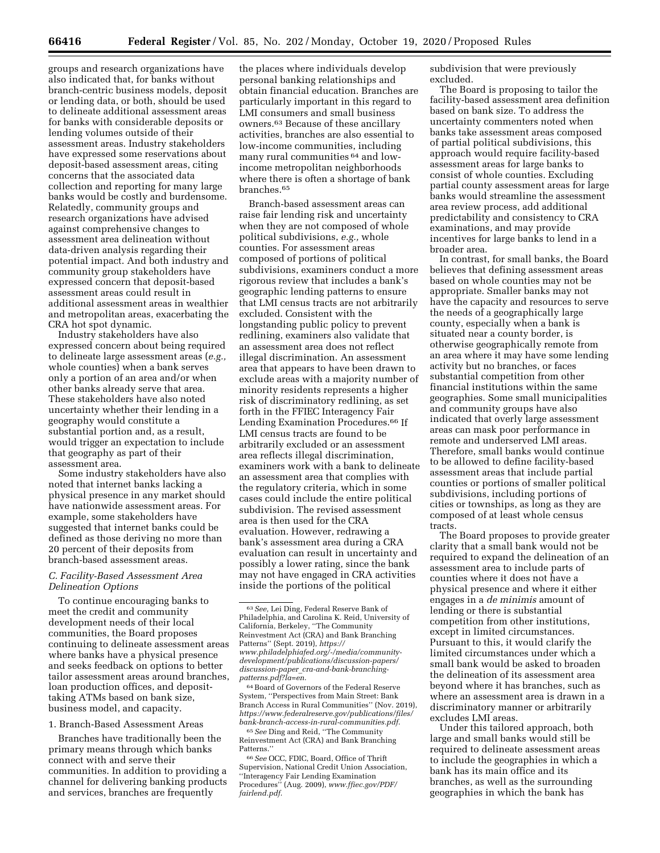groups and research organizations have also indicated that, for banks without branch-centric business models, deposit or lending data, or both, should be used to delineate additional assessment areas for banks with considerable deposits or lending volumes outside of their assessment areas. Industry stakeholders have expressed some reservations about deposit-based assessment areas, citing concerns that the associated data collection and reporting for many large banks would be costly and burdensome. Relatedly, community groups and research organizations have advised against comprehensive changes to assessment area delineation without data-driven analysis regarding their potential impact. And both industry and community group stakeholders have expressed concern that deposit-based assessment areas could result in additional assessment areas in wealthier and metropolitan areas, exacerbating the CRA hot spot dynamic.

Industry stakeholders have also expressed concern about being required to delineate large assessment areas (*e.g.,*  whole counties) when a bank serves only a portion of an area and/or when other banks already serve that area. These stakeholders have also noted uncertainty whether their lending in a geography would constitute a substantial portion and, as a result, would trigger an expectation to include that geography as part of their assessment area.

Some industry stakeholders have also noted that internet banks lacking a physical presence in any market should have nationwide assessment areas. For example, some stakeholders have suggested that internet banks could be defined as those deriving no more than 20 percent of their deposits from branch-based assessment areas.

#### *C. Facility-Based Assessment Area Delineation Options*

To continue encouraging banks to meet the credit and community development needs of their local communities, the Board proposes continuing to delineate assessment areas where banks have a physical presence and seeks feedback on options to better tailor assessment areas around branches, loan production offices, and deposittaking ATMs based on bank size, business model, and capacity.

1. Branch-Based Assessment Areas

Branches have traditionally been the primary means through which banks connect with and serve their communities. In addition to providing a channel for delivering banking products and services, branches are frequently

the places where individuals develop personal banking relationships and obtain financial education. Branches are particularly important in this regard to LMI consumers and small business owners.63 Because of these ancillary activities, branches are also essential to low-income communities, including many rural communities 64 and lowincome metropolitan neighborhoods where there is often a shortage of bank branches.65

Branch-based assessment areas can raise fair lending risk and uncertainty when they are not composed of whole political subdivisions, *e.g.,* whole counties. For assessment areas composed of portions of political subdivisions, examiners conduct a more rigorous review that includes a bank's geographic lending patterns to ensure that LMI census tracts are not arbitrarily excluded. Consistent with the longstanding public policy to prevent redlining, examiners also validate that an assessment area does not reflect illegal discrimination. An assessment area that appears to have been drawn to exclude areas with a majority number of minority residents represents a higher risk of discriminatory redlining, as set forth in the FFIEC Interagency Fair Lending Examination Procedures.<sup>66</sup> If LMI census tracts are found to be arbitrarily excluded or an assessment area reflects illegal discrimination, examiners work with a bank to delineate an assessment area that complies with the regulatory criteria, which in some cases could include the entire political subdivision. The revised assessment area is then used for the CRA evaluation. However, redrawing a bank's assessment area during a CRA evaluation can result in uncertainty and possibly a lower rating, since the bank may not have engaged in CRA activities inside the portions of the political

64Board of Governors of the Federal Reserve System, ''Perspectives from Main Street: Bank Branch Access in Rural Communities'' (Nov. 2019), *[https://www.federalreserve.gov/publications/files/](https://www.federalreserve.gov/publications/files/bank-branch-access-in-rural-communities.pdf) [bank-branch-access-in-rural-communities.pdf](https://www.federalreserve.gov/publications/files/bank-branch-access-in-rural-communities.pdf)*.

65*See* Ding and Reid, ''The Community Reinvestment Act (CRA) and Bank Branching Patterns.''

66*See* OCC, FDIC, Board, Office of Thrift Supervision, National Credit Union Association, ''Interagency Fair Lending Examination Procedures'' (Aug. 2009), *[www.ffiec.gov/PDF/](http://www.ffiec.gov/PDF/fairlend.pdf) [fairlend.pdf](http://www.ffiec.gov/PDF/fairlend.pdf)*.

subdivision that were previously excluded.

The Board is proposing to tailor the facility-based assessment area definition based on bank size. To address the uncertainty commenters noted when banks take assessment areas composed of partial political subdivisions, this approach would require facility-based assessment areas for large banks to consist of whole counties. Excluding partial county assessment areas for large banks would streamline the assessment area review process, add additional predictability and consistency to CRA examinations, and may provide incentives for large banks to lend in a broader area.

In contrast, for small banks, the Board believes that defining assessment areas based on whole counties may not be appropriate. Smaller banks may not have the capacity and resources to serve the needs of a geographically large county, especially when a bank is situated near a county border, is otherwise geographically remote from an area where it may have some lending activity but no branches, or faces substantial competition from other financial institutions within the same geographies. Some small municipalities and community groups have also indicated that overly large assessment areas can mask poor performance in remote and underserved LMI areas. Therefore, small banks would continue to be allowed to define facility-based assessment areas that include partial counties or portions of smaller political subdivisions, including portions of cities or townships, as long as they are composed of at least whole census tracts.

The Board proposes to provide greater clarity that a small bank would not be required to expand the delineation of an assessment area to include parts of counties where it does not have a physical presence and where it either engages in a *de minimis* amount of lending or there is substantial competition from other institutions, except in limited circumstances. Pursuant to this, it would clarify the limited circumstances under which a small bank would be asked to broaden the delineation of its assessment area beyond where it has branches, such as where an assessment area is drawn in a discriminatory manner or arbitrarily excludes LMI areas.

Under this tailored approach, both large and small banks would still be required to delineate assessment areas to include the geographies in which a bank has its main office and its branches, as well as the surrounding geographies in which the bank has

<sup>63</sup>*See,* Lei Ding, Federal Reserve Bank of Philadelphia, and Carolina K. Reid, University of California, Berkeley, ''The Community Reinvestment Act (CRA) and Bank Branching Patterns'' (Sept. 2019), *[https://](https://www.philadelphiafed.org/-/media/community-development/publications/discussion-papers/discussion-paper_cra-and-bank-branching-patterns.pdf?la=en) [www.philadelphiafed.org/-/media/community](https://www.philadelphiafed.org/-/media/community-development/publications/discussion-papers/discussion-paper_cra-and-bank-branching-patterns.pdf?la=en)[development/publications/discussion-papers/](https://www.philadelphiafed.org/-/media/community-development/publications/discussion-papers/discussion-paper_cra-and-bank-branching-patterns.pdf?la=en)  discussion-paper*\_*[cra-and-bank-branching](https://www.philadelphiafed.org/-/media/community-development/publications/discussion-papers/discussion-paper_cra-and-bank-branching-patterns.pdf?la=en)[patterns.pdf?la=en](https://www.philadelphiafed.org/-/media/community-development/publications/discussion-papers/discussion-paper_cra-and-bank-branching-patterns.pdf?la=en)*.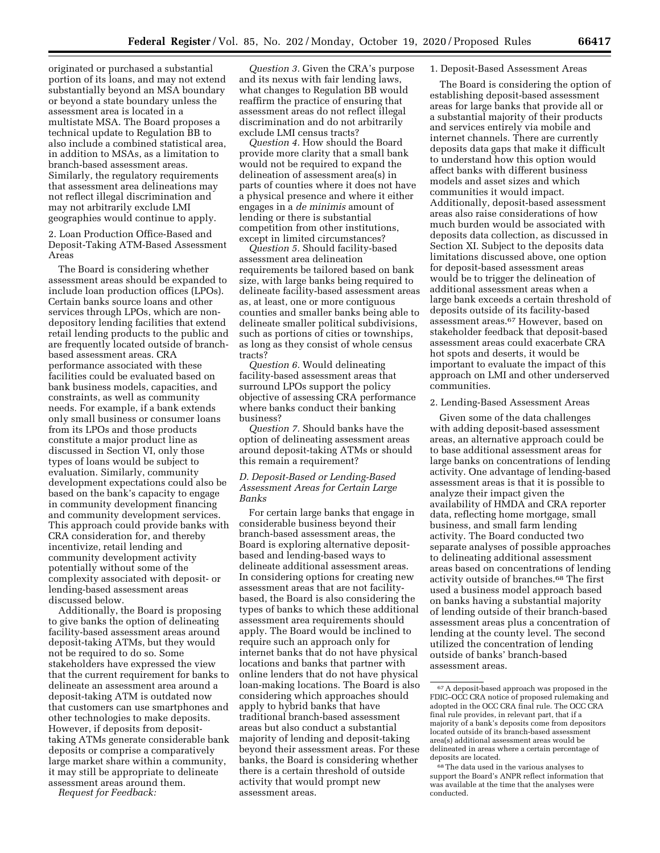originated or purchased a substantial portion of its loans, and may not extend substantially beyond an MSA boundary or beyond a state boundary unless the assessment area is located in a multistate MSA. The Board proposes a technical update to Regulation BB to also include a combined statistical area, in addition to MSAs, as a limitation to branch-based assessment areas. Similarly, the regulatory requirements that assessment area delineations may not reflect illegal discrimination and may not arbitrarily exclude LMI geographies would continue to apply.

2. Loan Production Office-Based and Deposit-Taking ATM-Based Assessment Areas

The Board is considering whether assessment areas should be expanded to include loan production offices (LPOs). Certain banks source loans and other services through LPOs, which are nondepository lending facilities that extend retail lending products to the public and are frequently located outside of branchbased assessment areas. CRA performance associated with these facilities could be evaluated based on bank business models, capacities, and constraints, as well as community needs. For example, if a bank extends only small business or consumer loans from its LPOs and those products constitute a major product line as discussed in Section VI, only those types of loans would be subject to evaluation. Similarly, community development expectations could also be based on the bank's capacity to engage in community development financing and community development services. This approach could provide banks with CRA consideration for, and thereby incentivize, retail lending and community development activity potentially without some of the complexity associated with deposit- or lending-based assessment areas discussed below.

Additionally, the Board is proposing to give banks the option of delineating facility-based assessment areas around deposit-taking ATMs, but they would not be required to do so. Some stakeholders have expressed the view that the current requirement for banks to delineate an assessment area around a deposit-taking ATM is outdated now that customers can use smartphones and other technologies to make deposits. However, if deposits from deposittaking ATMs generate considerable bank deposits or comprise a comparatively large market share within a community, it may still be appropriate to delineate assessment areas around them.

*Request for Feedback:* 

*Question 3.* Given the CRA's purpose and its nexus with fair lending laws, what changes to Regulation BB would reaffirm the practice of ensuring that assessment areas do not reflect illegal discrimination and do not arbitrarily exclude LMI census tracts?

*Question 4.* How should the Board provide more clarity that a small bank would not be required to expand the delineation of assessment area(s) in parts of counties where it does not have a physical presence and where it either engages in a *de minimis* amount of lending or there is substantial competition from other institutions, except in limited circumstances?

*Question 5.* Should facility-based assessment area delineation requirements be tailored based on bank size, with large banks being required to delineate facility-based assessment areas as, at least, one or more contiguous counties and smaller banks being able to delineate smaller political subdivisions, such as portions of cities or townships, as long as they consist of whole census tracts?

*Question 6.* Would delineating facility-based assessment areas that surround LPOs support the policy objective of assessing CRA performance where banks conduct their banking business?

*Question 7.* Should banks have the option of delineating assessment areas around deposit-taking ATMs or should this remain a requirement?

#### *D. Deposit-Based or Lending-Based Assessment Areas for Certain Large Banks*

For certain large banks that engage in considerable business beyond their branch-based assessment areas, the Board is exploring alternative depositbased and lending-based ways to delineate additional assessment areas. In considering options for creating new assessment areas that are not facilitybased, the Board is also considering the types of banks to which these additional assessment area requirements should apply. The Board would be inclined to require such an approach only for internet banks that do not have physical locations and banks that partner with online lenders that do not have physical loan-making locations. The Board is also considering which approaches should apply to hybrid banks that have traditional branch-based assessment areas but also conduct a substantial majority of lending and deposit-taking beyond their assessment areas. For these banks, the Board is considering whether there is a certain threshold of outside activity that would prompt new assessment areas.

#### 1. Deposit-Based Assessment Areas

The Board is considering the option of establishing deposit-based assessment areas for large banks that provide all or a substantial majority of their products and services entirely via mobile and internet channels. There are currently deposits data gaps that make it difficult to understand how this option would affect banks with different business models and asset sizes and which communities it would impact. Additionally, deposit-based assessment areas also raise considerations of how much burden would be associated with deposits data collection, as discussed in Section XI. Subject to the deposits data limitations discussed above, one option for deposit-based assessment areas would be to trigger the delineation of additional assessment areas when a large bank exceeds a certain threshold of deposits outside of its facility-based assessment areas.67 However, based on stakeholder feedback that deposit-based assessment areas could exacerbate CRA hot spots and deserts, it would be important to evaluate the impact of this approach on LMI and other underserved communities.

#### 2. Lending-Based Assessment Areas

Given some of the data challenges with adding deposit-based assessment areas, an alternative approach could be to base additional assessment areas for large banks on concentrations of lending activity. One advantage of lending-based assessment areas is that it is possible to analyze their impact given the availability of HMDA and CRA reporter data, reflecting home mortgage, small business, and small farm lending activity. The Board conducted two separate analyses of possible approaches to delineating additional assessment areas based on concentrations of lending activity outside of branches.68 The first used a business model approach based on banks having a substantial majority of lending outside of their branch-based assessment areas plus a concentration of lending at the county level. The second utilized the concentration of lending outside of banks' branch-based assessment areas.

<sup>67</sup>A deposit-based approach was proposed in the FDIC–OCC CRA notice of proposed rulemaking and adopted in the OCC CRA final rule. The OCC CRA final rule provides, in relevant part, that if a majority of a bank's deposits come from depositors located outside of its branch-based assessment area(s) additional assessment areas would be delineated in areas where a certain percentage of deposits are located.

<sup>68</sup>The data used in the various analyses to support the Board's ANPR reflect information that was available at the time that the analyses were conducted.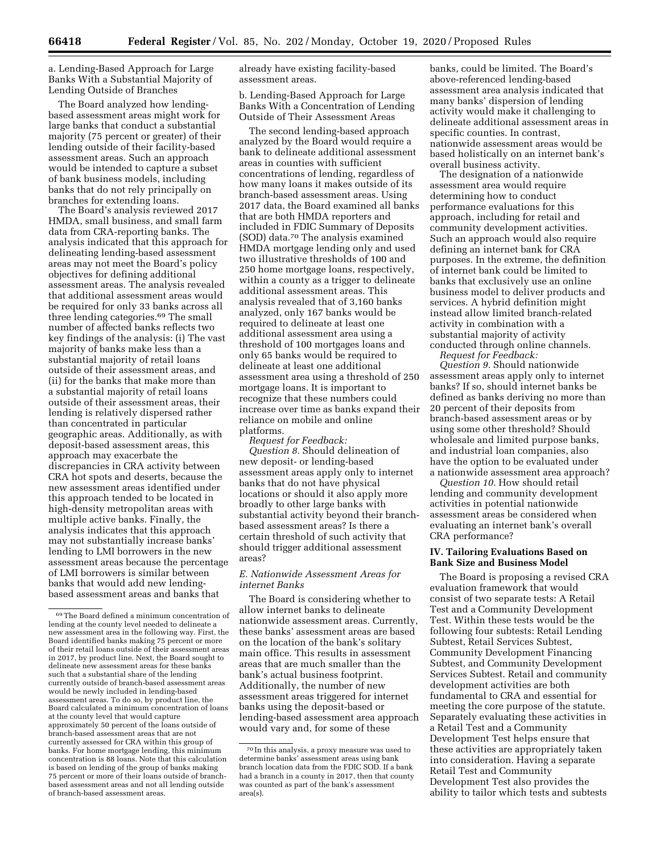a. Lending-Based Approach for Large Banks With a Substantial Majority of Lending Outside of Branches

The Board analyzed how lendingbased assessment areas might work for large banks that conduct a substantial majority (75 percent or greater) of their lending outside of their facility-based assessment areas. Such an approach would be intended to capture a subset of bank business models, including banks that do not rely principally on branches for extending loans.

The Board's analysis reviewed 2017 HMDA, small business, and small farm data from CRA-reporting banks. The analysis indicated that this approach for delineating lending-based assessment areas may not meet the Board's policy objectives for defining additional assessment areas. The analysis revealed that additional assessment areas would be required for only 33 banks across all three lending categories.69 The small number of affected banks reflects two key findings of the analysis: (i) The vast majority of banks make less than a substantial majority of retail loans outside of their assessment areas, and (ii) for the banks that make more than a substantial majority of retail loans outside of their assessment areas, their lending is relatively dispersed rather than concentrated in particular geographic areas. Additionally, as with deposit-based assessment areas, this approach may exacerbate the discrepancies in CRA activity between CRA hot spots and deserts, because the new assessment areas identified under this approach tended to be located in high-density metropolitan areas with multiple active banks. Finally, the analysis indicates that this approach may not substantially increase banks' lending to LMI borrowers in the new assessment areas because the percentage of LMI borrowers is similar between banks that would add new lendingbased assessment areas and banks that

already have existing facility-based assessment areas.

b. Lending-Based Approach for Large Banks With a Concentration of Lending Outside of Their Assessment Areas

The second lending-based approach analyzed by the Board would require a bank to delineate additional assessment areas in counties with sufficient concentrations of lending, regardless of how many loans it makes outside of its branch-based assessment areas. Using 2017 data, the Board examined all banks that are both HMDA reporters and included in FDIC Summary of Deposits (SOD) data.70 The analysis examined HMDA mortgage lending only and used two illustrative thresholds of 100 and 250 home mortgage loans, respectively, within a county as a trigger to delineate additional assessment areas. This analysis revealed that of 3,160 banks analyzed, only 167 banks would be required to delineate at least one additional assessment area using a threshold of 100 mortgages loans and only 65 banks would be required to delineate at least one additional assessment area using a threshold of 250 mortgage loans. It is important to recognize that these numbers could increase over time as banks expand their reliance on mobile and online platforms.

*Request for Feedback: Question 8.* Should delineation of new deposit- or lending-based assessment areas apply only to internet banks that do not have physical locations or should it also apply more broadly to other large banks with substantial activity beyond their branchbased assessment areas? Is there a certain threshold of such activity that should trigger additional assessment areas?

#### *E. Nationwide Assessment Areas for internet Banks*

The Board is considering whether to allow internet banks to delineate nationwide assessment areas. Currently, these banks' assessment areas are based on the location of the bank's solitary main office. This results in assessment areas that are much smaller than the bank's actual business footprint. Additionally, the number of new assessment areas triggered for internet banks using the deposit-based or lending-based assessment area approach would vary and, for some of these

banks, could be limited. The Board's above-referenced lending-based assessment area analysis indicated that many banks' dispersion of lending activity would make it challenging to delineate additional assessment areas in specific counties. In contrast, nationwide assessment areas would be based holistically on an internet bank's overall business activity.

The designation of a nationwide assessment area would require determining how to conduct performance evaluations for this approach, including for retail and community development activities. Such an approach would also require defining an internet bank for CRA purposes. In the extreme, the definition of internet bank could be limited to banks that exclusively use an online business model to deliver products and services. A hybrid definition might instead allow limited branch-related activity in combination with a substantial majority of activity conducted through online channels.

*Request for Feedback: Question 9.* Should nationwide assessment areas apply only to internet banks? If so, should internet banks be defined as banks deriving no more than 20 percent of their deposits from branch-based assessment areas or by using some other threshold? Should wholesale and limited purpose banks, and industrial loan companies, also have the option to be evaluated under a nationwide assessment area approach?

*Question 10.* How should retail lending and community development activities in potential nationwide assessment areas be considered when evaluating an internet bank's overall CRA performance?

#### **IV. Tailoring Evaluations Based on Bank Size and Business Model**

The Board is proposing a revised CRA evaluation framework that would consist of two separate tests: A Retail Test and a Community Development Test. Within these tests would be the following four subtests: Retail Lending Subtest, Retail Services Subtest, Community Development Financing Subtest, and Community Development Services Subtest. Retail and community development activities are both fundamental to CRA and essential for meeting the core purpose of the statute. Separately evaluating these activities in a Retail Test and a Community Development Test helps ensure that these activities are appropriately taken into consideration. Having a separate Retail Test and Community Development Test also provides the ability to tailor which tests and subtests

<sup>69</sup>The Board defined a minimum concentration of lending at the county level needed to delineate a new assessment area in the following way. First, the Board identified banks making 75 percent or more of their retail loans outside of their assessment areas in 2017, by product line. Next, the Board sought to delineate new assessment areas for these banks such that a substantial share of the lending currently outside of branch-based assessment areas would be newly included in lending-based assessment areas. To do so, by product line, the Board calculated a minimum concentration of loans at the county level that would capture approximately 50 percent of the loans outside of branch-based assessment areas that are not currently assessed for CRA within this group of banks. For home mortgage lending, this minimum concentration is 88 loans. Note that this calculation is based on lending of the group of banks making 75 percent or more of their loans outside of branchbased assessment areas and not all lending outside of branch-based assessment areas.

<sup>70</sup> In this analysis, a proxy measure was used to determine banks' assessment areas using bank branch location data from the FDIC SOD. If a bank had a branch in a county in 2017, then that county was counted as part of the bank's assessment area(s).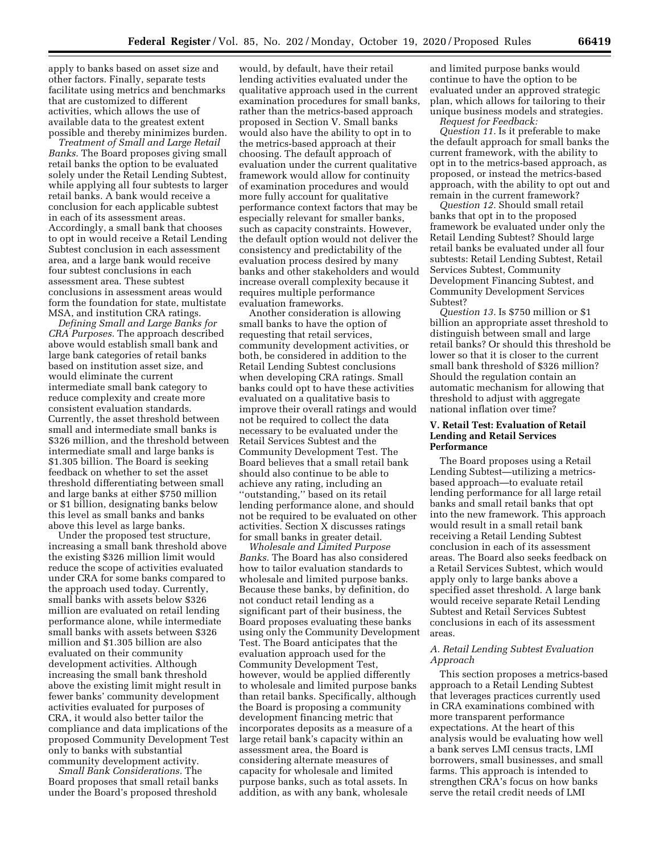apply to banks based on asset size and other factors. Finally, separate tests facilitate using metrics and benchmarks that are customized to different activities, which allows the use of available data to the greatest extent possible and thereby minimizes burden.

*Treatment of Small and Large Retail Banks.* The Board proposes giving small retail banks the option to be evaluated solely under the Retail Lending Subtest, while applying all four subtests to larger retail banks. A bank would receive a conclusion for each applicable subtest in each of its assessment areas. Accordingly, a small bank that chooses to opt in would receive a Retail Lending Subtest conclusion in each assessment area, and a large bank would receive four subtest conclusions in each assessment area. These subtest conclusions in assessment areas would form the foundation for state, multistate MSA, and institution CRA ratings.

*Defining Small and Large Banks for CRA Purposes.* The approach described above would establish small bank and large bank categories of retail banks based on institution asset size, and would eliminate the current intermediate small bank category to reduce complexity and create more consistent evaluation standards. Currently, the asset threshold between small and intermediate small banks is \$326 million, and the threshold between intermediate small and large banks is \$1.305 billion. The Board is seeking feedback on whether to set the asset threshold differentiating between small and large banks at either \$750 million or \$1 billion, designating banks below this level as small banks and banks above this level as large banks.

Under the proposed test structure, increasing a small bank threshold above the existing \$326 million limit would reduce the scope of activities evaluated under CRA for some banks compared to the approach used today. Currently, small banks with assets below \$326 million are evaluated on retail lending performance alone, while intermediate small banks with assets between \$326 million and \$1.305 billion are also evaluated on their community development activities. Although increasing the small bank threshold above the existing limit might result in fewer banks' community development activities evaluated for purposes of CRA, it would also better tailor the compliance and data implications of the proposed Community Development Test only to banks with substantial community development activity.

*Small Bank Considerations.* The Board proposes that small retail banks under the Board's proposed threshold

would, by default, have their retail lending activities evaluated under the qualitative approach used in the current examination procedures for small banks, rather than the metrics-based approach proposed in Section V. Small banks would also have the ability to opt in to the metrics-based approach at their choosing. The default approach of evaluation under the current qualitative framework would allow for continuity of examination procedures and would more fully account for qualitative performance context factors that may be especially relevant for smaller banks, such as capacity constraints. However, the default option would not deliver the consistency and predictability of the evaluation process desired by many banks and other stakeholders and would increase overall complexity because it requires multiple performance evaluation frameworks.

Another consideration is allowing small banks to have the option of requesting that retail services, community development activities, or both, be considered in addition to the Retail Lending Subtest conclusions when developing CRA ratings. Small banks could opt to have these activities evaluated on a qualitative basis to improve their overall ratings and would not be required to collect the data necessary to be evaluated under the Retail Services Subtest and the Community Development Test. The Board believes that a small retail bank should also continue to be able to achieve any rating, including an ''outstanding,'' based on its retail lending performance alone, and should not be required to be evaluated on other activities. Section X discusses ratings for small banks in greater detail.

*Wholesale and Limited Purpose Banks.* The Board has also considered how to tailor evaluation standards to wholesale and limited purpose banks. Because these banks, by definition, do not conduct retail lending as a significant part of their business, the Board proposes evaluating these banks using only the Community Development Test. The Board anticipates that the evaluation approach used for the Community Development Test, however, would be applied differently to wholesale and limited purpose banks than retail banks. Specifically, although the Board is proposing a community development financing metric that incorporates deposits as a measure of a large retail bank's capacity within an assessment area, the Board is considering alternate measures of capacity for wholesale and limited purpose banks, such as total assets. In addition, as with any bank, wholesale

and limited purpose banks would continue to have the option to be evaluated under an approved strategic plan, which allows for tailoring to their unique business models and strategies. *Request for Feedback:* 

*Question 11.* Is it preferable to make the default approach for small banks the current framework, with the ability to opt in to the metrics-based approach, as proposed, or instead the metrics-based approach, with the ability to opt out and remain in the current framework?

*Question 12.* Should small retail banks that opt in to the proposed framework be evaluated under only the Retail Lending Subtest? Should large retail banks be evaluated under all four subtests: Retail Lending Subtest, Retail Services Subtest, Community Development Financing Subtest, and Community Development Services Subtest?

*Question 13.* Is \$750 million or \$1 billion an appropriate asset threshold to distinguish between small and large retail banks? Or should this threshold be lower so that it is closer to the current small bank threshold of \$326 million? Should the regulation contain an automatic mechanism for allowing that threshold to adjust with aggregate national inflation over time?

#### **V. Retail Test: Evaluation of Retail Lending and Retail Services Performance**

The Board proposes using a Retail Lending Subtest—utilizing a metricsbased approach—to evaluate retail lending performance for all large retail banks and small retail banks that opt into the new framework. This approach would result in a small retail bank receiving a Retail Lending Subtest conclusion in each of its assessment areas. The Board also seeks feedback on a Retail Services Subtest, which would apply only to large banks above a specified asset threshold. A large bank would receive separate Retail Lending Subtest and Retail Services Subtest conclusions in each of its assessment areas.

#### *A. Retail Lending Subtest Evaluation Approach*

This section proposes a metrics-based approach to a Retail Lending Subtest that leverages practices currently used in CRA examinations combined with more transparent performance expectations. At the heart of this analysis would be evaluating how well a bank serves LMI census tracts, LMI borrowers, small businesses, and small farms. This approach is intended to strengthen CRA's focus on how banks serve the retail credit needs of LMI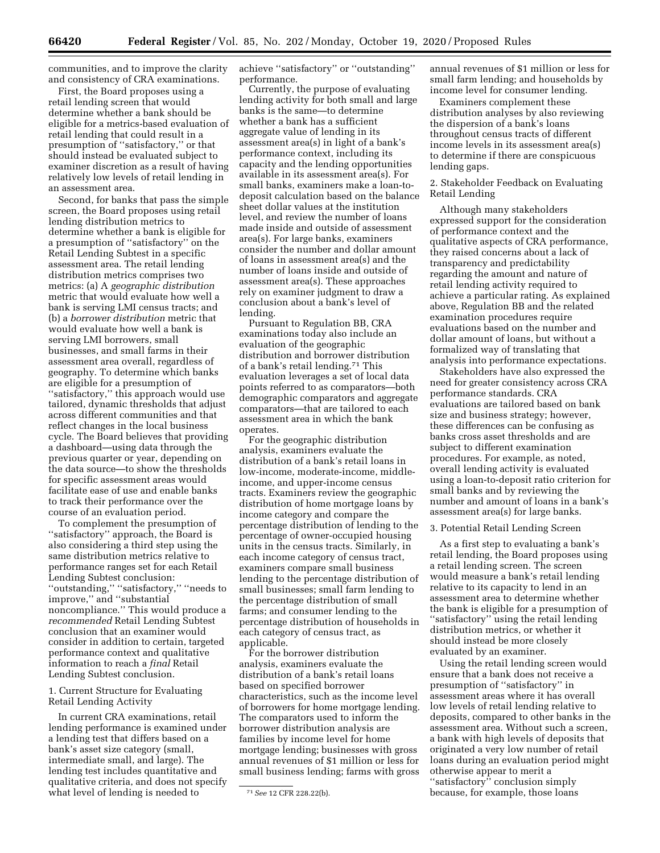communities, and to improve the clarity and consistency of CRA examinations.

First, the Board proposes using a retail lending screen that would determine whether a bank should be eligible for a metrics-based evaluation of retail lending that could result in a presumption of ''satisfactory,'' or that should instead be evaluated subject to examiner discretion as a result of having relatively low levels of retail lending in an assessment area.

Second, for banks that pass the simple screen, the Board proposes using retail lending distribution metrics to determine whether a bank is eligible for a presumption of ''satisfactory'' on the Retail Lending Subtest in a specific assessment area. The retail lending distribution metrics comprises two metrics: (a) A *geographic distribution*  metric that would evaluate how well a bank is serving LMI census tracts; and (b) a *borrower distribution* metric that would evaluate how well a bank is serving LMI borrowers, small businesses, and small farms in their assessment area overall, regardless of geography. To determine which banks are eligible for a presumption of ''satisfactory,'' this approach would use tailored, dynamic thresholds that adjust across different communities and that reflect changes in the local business cycle. The Board believes that providing a dashboard—using data through the previous quarter or year, depending on the data source—to show the thresholds for specific assessment areas would facilitate ease of use and enable banks to track their performance over the course of an evaluation period.

To complement the presumption of ''satisfactory'' approach, the Board is also considering a third step using the same distribution metrics relative to performance ranges set for each Retail Lending Subtest conclusion: ''outstanding,'' ''satisfactory,'' ''needs to improve,'' and ''substantial noncompliance.'' This would produce a *recommended* Retail Lending Subtest conclusion that an examiner would consider in addition to certain, targeted performance context and qualitative information to reach a *final* Retail Lending Subtest conclusion.

1. Current Structure for Evaluating Retail Lending Activity

In current CRA examinations, retail lending performance is examined under a lending test that differs based on a bank's asset size category (small, intermediate small, and large). The lending test includes quantitative and qualitative criteria, and does not specify what level of lending is needed to

achieve ''satisfactory'' or ''outstanding'' performance.

Currently, the purpose of evaluating lending activity for both small and large banks is the same—to determine whether a bank has a sufficient aggregate value of lending in its assessment area(s) in light of a bank's performance context, including its capacity and the lending opportunities available in its assessment area(s). For small banks, examiners make a loan-todeposit calculation based on the balance sheet dollar values at the institution level, and review the number of loans made inside and outside of assessment area(s). For large banks, examiners consider the number and dollar amount of loans in assessment area(s) and the number of loans inside and outside of assessment area(s). These approaches rely on examiner judgment to draw a conclusion about a bank's level of lending.

Pursuant to Regulation BB, CRA examinations today also include an evaluation of the geographic distribution and borrower distribution of a bank's retail lending.71 This evaluation leverages a set of local data points referred to as comparators—both demographic comparators and aggregate comparators—that are tailored to each assessment area in which the bank operates.

For the geographic distribution analysis, examiners evaluate the distribution of a bank's retail loans in low-income, moderate-income, middleincome, and upper-income census tracts. Examiners review the geographic distribution of home mortgage loans by income category and compare the percentage distribution of lending to the percentage of owner-occupied housing units in the census tracts. Similarly, in each income category of census tract, examiners compare small business lending to the percentage distribution of small businesses; small farm lending to the percentage distribution of small farms; and consumer lending to the percentage distribution of households in each category of census tract, as applicable.

For the borrower distribution analysis, examiners evaluate the distribution of a bank's retail loans based on specified borrower characteristics, such as the income level of borrowers for home mortgage lending. The comparators used to inform the borrower distribution analysis are families by income level for home mortgage lending; businesses with gross annual revenues of \$1 million or less for small business lending; farms with gross annual revenues of \$1 million or less for small farm lending; and households by income level for consumer lending.

Examiners complement these distribution analyses by also reviewing the dispersion of a bank's loans throughout census tracts of different income levels in its assessment area(s) to determine if there are conspicuous lending gaps.

2. Stakeholder Feedback on Evaluating Retail Lending

Although many stakeholders expressed support for the consideration of performance context and the qualitative aspects of CRA performance, they raised concerns about a lack of transparency and predictability regarding the amount and nature of retail lending activity required to achieve a particular rating. As explained above, Regulation BB and the related examination procedures require evaluations based on the number and dollar amount of loans, but without a formalized way of translating that analysis into performance expectations.

Stakeholders have also expressed the need for greater consistency across CRA performance standards. CRA evaluations are tailored based on bank size and business strategy; however, these differences can be confusing as banks cross asset thresholds and are subject to different examination procedures. For example, as noted, overall lending activity is evaluated using a loan-to-deposit ratio criterion for small banks and by reviewing the number and amount of loans in a bank's assessment area(s) for large banks.

#### 3. Potential Retail Lending Screen

As a first step to evaluating a bank's retail lending, the Board proposes using a retail lending screen. The screen would measure a bank's retail lending relative to its capacity to lend in an assessment area to determine whether the bank is eligible for a presumption of ''satisfactory'' using the retail lending distribution metrics, or whether it should instead be more closely evaluated by an examiner.

Using the retail lending screen would ensure that a bank does not receive a presumption of ''satisfactory'' in assessment areas where it has overall low levels of retail lending relative to deposits, compared to other banks in the assessment area. Without such a screen, a bank with high levels of deposits that originated a very low number of retail loans during an evaluation period might otherwise appear to merit a ''satisfactory'' conclusion simply because, for example, those loans

<sup>71</sup>*See* 12 CFR 228.22(b).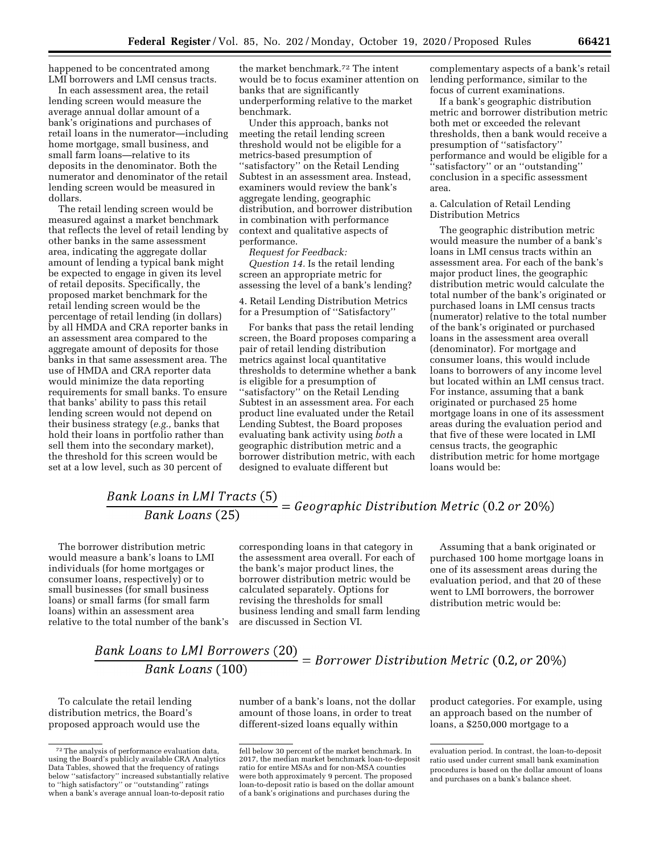happened to be concentrated among LMI borrowers and LMI census tracts.

In each assessment area, the retail lending screen would measure the average annual dollar amount of a bank's originations and purchases of retail loans in the numerator—including home mortgage, small business, and small farm loans—relative to its deposits in the denominator. Both the numerator and denominator of the retail lending screen would be measured in dollars.

The retail lending screen would be measured against a market benchmark that reflects the level of retail lending by other banks in the same assessment area, indicating the aggregate dollar amount of lending a typical bank might be expected to engage in given its level of retail deposits. Specifically, the proposed market benchmark for the retail lending screen would be the percentage of retail lending (in dollars) by all HMDA and CRA reporter banks in an assessment area compared to the aggregate amount of deposits for those banks in that same assessment area. The use of HMDA and CRA reporter data would minimize the data reporting requirements for small banks. To ensure that banks' ability to pass this retail lending screen would not depend on their business strategy (*e.g.,* banks that hold their loans in portfolio rather than sell them into the secondary market), the threshold for this screen would be set at a low level, such as 30 percent of

the market benchmark.72 The intent would be to focus examiner attention on banks that are significantly underperforming relative to the market benchmark.

Under this approach, banks not meeting the retail lending screen threshold would not be eligible for a metrics-based presumption of ''satisfactory'' on the Retail Lending Subtest in an assessment area. Instead, examiners would review the bank's aggregate lending, geographic distribution, and borrower distribution in combination with performance context and qualitative aspects of performance.

*Request for Feedback: Question 14.* Is the retail lending screen an appropriate metric for assessing the level of a bank's lending?

4. Retail Lending Distribution Metrics for a Presumption of ''Satisfactory''

For banks that pass the retail lending screen, the Board proposes comparing a pair of retail lending distribution metrics against local quantitative thresholds to determine whether a bank is eligible for a presumption of ''satisfactory'' on the Retail Lending Subtest in an assessment area. For each product line evaluated under the Retail Lending Subtest, the Board proposes evaluating bank activity using *both* a geographic distribution metric and a borrower distribution metric, with each designed to evaluate different but

complementary aspects of a bank's retail lending performance, similar to the focus of current examinations.

If a bank's geographic distribution metric and borrower distribution metric both met or exceeded the relevant thresholds, then a bank would receive a presumption of ''satisfactory'' performance and would be eligible for a ''satisfactory'' or an ''outstanding'' conclusion in a specific assessment area.

#### a. Calculation of Retail Lending Distribution Metrics

The geographic distribution metric would measure the number of a bank's loans in LMI census tracts within an assessment area. For each of the bank's major product lines, the geographic distribution metric would calculate the total number of the bank's originated or purchased loans in LMI census tracts (numerator) relative to the total number of the bank's originated or purchased loans in the assessment area overall (denominator). For mortgage and consumer loans, this would include loans to borrowers of any income level but located within an LMI census tract. For instance, assuming that a bank originated or purchased 25 home mortgage loans in one of its assessment areas during the evaluation period and that five of these were located in LMI census tracts, the geographic distribution metric for home mortgage loans would be:

# Bank Loans in LMI Tracts (5)<br>Bank Loans (25) = Geographic Distribution Metric (0.2 or 20%)

The borrower distribution metric would measure a bank's loans to LMI individuals (for home mortgages or consumer loans, respectively) or to small businesses (for small business loans) or small farms (for small farm loans) within an assessment area relative to the total number of the bank's

corresponding loans in that category in the assessment area overall. For each of the bank's major product lines, the borrower distribution metric would be calculated separately. Options for revising the thresholds for small business lending and small farm lending are discussed in Section VI.

Assuming that a bank originated or purchased 100 home mortgage loans in one of its assessment areas during the evaluation period, and that 20 of these went to LMI borrowers, the borrower distribution metric would be:

## Bank Loans to LMI Borrowers (20)<br>Bank Loans (100) = Borrower Distribution Metric (0.2, or 20%) Bank Loans (100)

To calculate the retail lending distribution metrics, the Board's proposed approach would use the

number of a bank's loans, not the dollar amount of those loans, in order to treat different-sized loans equally within

product categories. For example, using an approach based on the number of loans, a \$250,000 mortgage to a

<sup>72</sup>The analysis of performance evaluation data, using the Board's publicly available CRA Analytics Data Tables, showed that the frequency of ratings below ''satisfactory'' increased substantially relative to ''high satisfactory'' or ''outstanding'' ratings when a bank's average annual loan-to-deposit ratio

fell below 30 percent of the market benchmark. In 2017, the median market benchmark loan-to-deposit ratio for entire MSAs and for non-MSA counties were both approximately 9 percent. The proposed loan-to-deposit ratio is based on the dollar amount of a bank's originations and purchases during the

evaluation period. In contrast, the loan-to-deposit ratio used under current small bank examination procedures is based on the dollar amount of loans and purchases on a bank's balance sheet.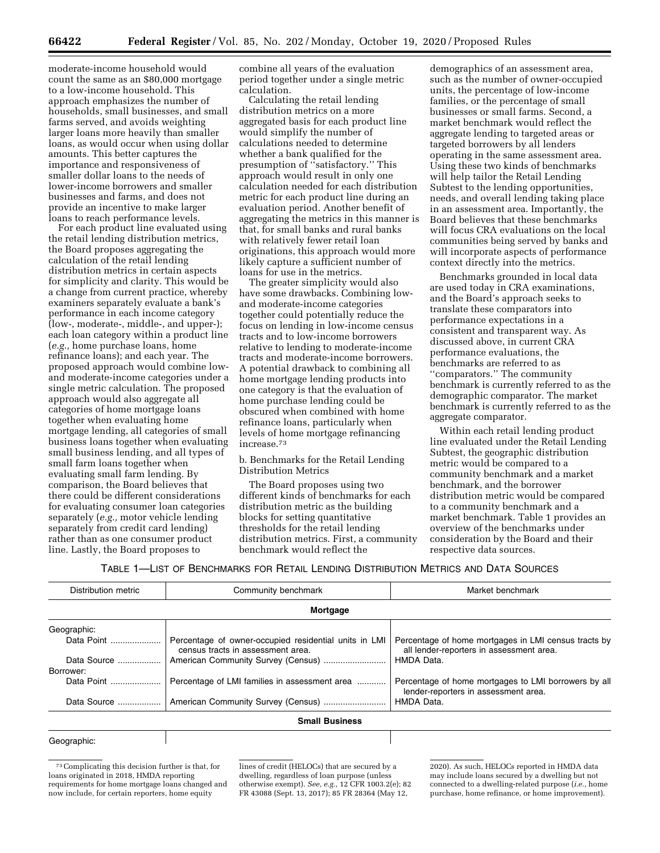moderate-income household would count the same as an \$80,000 mortgage to a low-income household. This approach emphasizes the number of households, small businesses, and small farms served, and avoids weighting larger loans more heavily than smaller loans, as would occur when using dollar amounts. This better captures the importance and responsiveness of smaller dollar loans to the needs of lower-income borrowers and smaller businesses and farms, and does not provide an incentive to make larger loans to reach performance levels.

For each product line evaluated using the retail lending distribution metrics, the Board proposes aggregating the calculation of the retail lending distribution metrics in certain aspects for simplicity and clarity. This would be a change from current practice, whereby examiners separately evaluate a bank's performance in each income category (low-, moderate-, middle-, and upper-); each loan category within a product line (*e.g.,* home purchase loans, home refinance loans); and each year. The proposed approach would combine lowand moderate-income categories under a single metric calculation. The proposed approach would also aggregate all categories of home mortgage loans together when evaluating home mortgage lending, all categories of small business loans together when evaluating small business lending, and all types of small farm loans together when evaluating small farm lending. By comparison, the Board believes that there could be different considerations for evaluating consumer loan categories separately (*e.g.,* motor vehicle lending separately from credit card lending) rather than as one consumer product line. Lastly, the Board proposes to

combine all years of the evaluation period together under a single metric calculation.

Calculating the retail lending distribution metrics on a more aggregated basis for each product line would simplify the number of calculations needed to determine whether a bank qualified for the presumption of ''satisfactory.'' This approach would result in only one calculation needed for each distribution metric for each product line during an evaluation period. Another benefit of aggregating the metrics in this manner is that, for small banks and rural banks with relatively fewer retail loan originations, this approach would more likely capture a sufficient number of loans for use in the metrics.

The greater simplicity would also have some drawbacks. Combining lowand moderate-income categories together could potentially reduce the focus on lending in low-income census tracts and to low-income borrowers relative to lending to moderate-income tracts and moderate-income borrowers. A potential drawback to combining all home mortgage lending products into one category is that the evaluation of home purchase lending could be obscured when combined with home refinance loans, particularly when levels of home mortgage refinancing increase.73

b. Benchmarks for the Retail Lending Distribution Metrics

The Board proposes using two different kinds of benchmarks for each distribution metric as the building blocks for setting quantitative thresholds for the retail lending distribution metrics. First, a community benchmark would reflect the

demographics of an assessment area, such as the number of owner-occupied units, the percentage of low-income families, or the percentage of small businesses or small farms. Second, a market benchmark would reflect the aggregate lending to targeted areas or targeted borrowers by all lenders operating in the same assessment area. Using these two kinds of benchmarks will help tailor the Retail Lending Subtest to the lending opportunities, needs, and overall lending taking place in an assessment area. Importantly, the Board believes that these benchmarks will focus CRA evaluations on the local communities being served by banks and will incorporate aspects of performance context directly into the metrics.

Benchmarks grounded in local data are used today in CRA examinations, and the Board's approach seeks to translate these comparators into performance expectations in a consistent and transparent way. As discussed above, in current CRA performance evaluations, the benchmarks are referred to as ''comparators.'' The community benchmark is currently referred to as the demographic comparator. The market benchmark is currently referred to as the aggregate comparator.

Within each retail lending product line evaluated under the Retail Lending Subtest, the geographic distribution metric would be compared to a community benchmark and a market benchmark, and the borrower distribution metric would be compared to a community benchmark and a market benchmark. Table 1 provides an overview of the benchmarks under consideration by the Board and their respective data sources.

TABLE 1—LIST OF BENCHMARKS FOR RETAIL LENDING DISTRIBUTION METRICS AND DATA SOURCES

| Community benchmark<br>Distribution metric |                                                                                            | Market benchmark                                                                                 |  |  |
|--------------------------------------------|--------------------------------------------------------------------------------------------|--------------------------------------------------------------------------------------------------|--|--|
|                                            | Mortgage                                                                                   |                                                                                                  |  |  |
| Geographic:                                |                                                                                            |                                                                                                  |  |  |
| Data Point                                 | Percentage of owner-occupied residential units in LMI<br>census tracts in assessment area. | Percentage of home mortgages in LMI census tracts by<br>all lender-reporters in assessment area. |  |  |
| Data Source                                |                                                                                            | HMDA Data.                                                                                       |  |  |
| Borrower:                                  |                                                                                            |                                                                                                  |  |  |
| Data Point                                 | Percentage of LMI families in assessment area                                              | Percentage of home mortgages to LMI borrowers by all<br>lender-reporters in assessment area.     |  |  |
| Data Source                                |                                                                                            | HMDA Data.                                                                                       |  |  |
|                                            | <b>Small Business</b>                                                                      |                                                                                                  |  |  |

#### Geographic:

73Complicating this decision further is that, for loans originated in 2018, HMDA reporting requirements for home mortgage loans changed and now include, for certain reporters, home equity

lines of credit (HELOCs) that are secured by a dwelling, regardless of loan purpose (unless otherwise exempt). *See, e.g.,* 12 CFR 1003.2(e); 82 FR 43088 (Sept. 13, 2017); 85 FR 28364 (May 12,

2020). As such, HELOCs reported in HMDA data may include loans secured by a dwelling but not connected to a dwelling-related purpose (*i.e.,* home purchase, home refinance, or home improvement).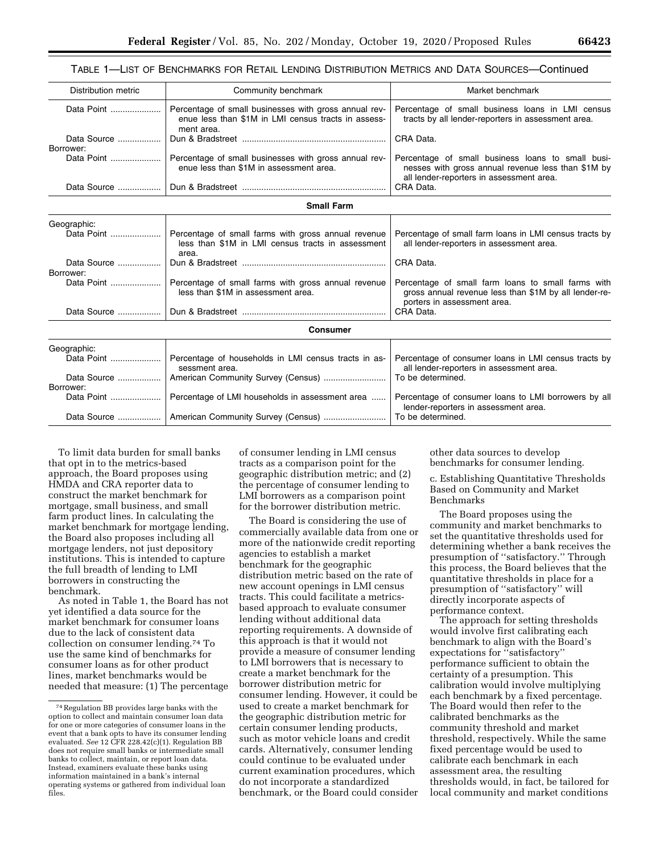### TABLE 1—LIST OF BENCHMARKS FOR RETAIL LENDING DISTRIBUTION METRICS AND DATA SOURCES—Continued

| Distribution metric     | Community benchmark                                                                                                        | Market benchmark                                                                                                                           |
|-------------------------|----------------------------------------------------------------------------------------------------------------------------|--------------------------------------------------------------------------------------------------------------------------------------------|
| Data Point              | Percentage of small businesses with gross annual rev-<br>enue less than \$1M in LMI census tracts in assess-<br>ment area. | Percentage of small business loans in LMI census<br>tracts by all lender-reporters in assessment area.                                     |
| Data Source             |                                                                                                                            | CRA Data.                                                                                                                                  |
| Borrower:<br>Data Point | Percentage of small businesses with gross annual rev-                                                                      | Percentage of small business loans to small busi-                                                                                          |
|                         | enue less than \$1M in assessment area.                                                                                    | nesses with gross annual revenue less than \$1M by<br>all lender-reporters in assessment area.                                             |
| Data Source             |                                                                                                                            | CRA Data.                                                                                                                                  |
|                         | <b>Small Farm</b>                                                                                                          |                                                                                                                                            |
| Geographic:             |                                                                                                                            |                                                                                                                                            |
| Data Point              | Percentage of small farms with gross annual revenue<br>less than \$1M in LMI census tracts in assessment<br>area.          | Percentage of small farm loans in LMI census tracts by<br>all lender-reporters in assessment area.                                         |
| Data Source             |                                                                                                                            | CRA Data.                                                                                                                                  |
| Borrower:               |                                                                                                                            |                                                                                                                                            |
|                         | Percentage of small farms with gross annual revenue<br>less than \$1M in assessment area.                                  | Percentage of small farm loans to small farms with<br>gross annual revenue less than \$1M by all lender-re-<br>porters in assessment area. |
| Data Source             |                                                                                                                            | CRA Data.                                                                                                                                  |
|                         | <b>Consumer</b>                                                                                                            |                                                                                                                                            |
| Geographic:             |                                                                                                                            |                                                                                                                                            |
| Data Point              | Percentage of households in LMI census tracts in as-<br>sessment area.                                                     | Percentage of consumer loans in LMI census tracts by<br>all lender-reporters in assessment area.                                           |
| Data Source             | American Community Survey (Census)                                                                                         | To be determined.                                                                                                                          |
| Borrower:<br>Data Point | Percentage of LMI households in assessment area                                                                            | Percentage of consumer loans to LMI borrowers by all                                                                                       |
|                         |                                                                                                                            | lender-reporters in assessment area.<br>To be determined.                                                                                  |
| Data Source             |                                                                                                                            |                                                                                                                                            |

To limit data burden for small banks that opt in to the metrics-based approach, the Board proposes using HMDA and CRA reporter data to construct the market benchmark for mortgage, small business, and small farm product lines. In calculating the market benchmark for mortgage lending, the Board also proposes including all mortgage lenders, not just depository institutions. This is intended to capture the full breadth of lending to LMI borrowers in constructing the benchmark.

As noted in Table 1, the Board has not yet identified a data source for the market benchmark for consumer loans due to the lack of consistent data collection on consumer lending.74 To use the same kind of benchmarks for consumer loans as for other product lines, market benchmarks would be needed that measure: (1) The percentage

of consumer lending in LMI census tracts as a comparison point for the geographic distribution metric; and (2) the percentage of consumer lending to LMI borrowers as a comparison point for the borrower distribution metric.

The Board is considering the use of commercially available data from one or more of the nationwide credit reporting agencies to establish a market benchmark for the geographic distribution metric based on the rate of new account openings in LMI census tracts. This could facilitate a metricsbased approach to evaluate consumer lending without additional data reporting requirements. A downside of this approach is that it would not provide a measure of consumer lending to LMI borrowers that is necessary to create a market benchmark for the borrower distribution metric for consumer lending. However, it could be used to create a market benchmark for the geographic distribution metric for certain consumer lending products, such as motor vehicle loans and credit cards. Alternatively, consumer lending could continue to be evaluated under current examination procedures, which do not incorporate a standardized benchmark, or the Board could consider

other data sources to develop benchmarks for consumer lending.

c. Establishing Quantitative Thresholds Based on Community and Market Benchmarks

The Board proposes using the community and market benchmarks to set the quantitative thresholds used for determining whether a bank receives the presumption of ''satisfactory.'' Through this process, the Board believes that the quantitative thresholds in place for a presumption of ''satisfactory'' will directly incorporate aspects of performance context.

The approach for setting thresholds would involve first calibrating each benchmark to align with the Board's expectations for "satisfactory" performance sufficient to obtain the certainty of a presumption. This calibration would involve multiplying each benchmark by a fixed percentage. The Board would then refer to the calibrated benchmarks as the community threshold and market threshold, respectively. While the same fixed percentage would be used to calibrate each benchmark in each assessment area, the resulting thresholds would, in fact, be tailored for local community and market conditions

<sup>74</sup>Regulation BB provides large banks with the option to collect and maintain consumer loan data for one or more categories of consumer loans in the event that a bank opts to have its consumer lending evaluated. *See* 12 CFR 228.42(c)(1). Regulation BB does not require small banks or intermediate small banks to collect, maintain, or report loan data. Instead, examiners evaluate these banks using information maintained in a bank's internal operating systems or gathered from individual loan files.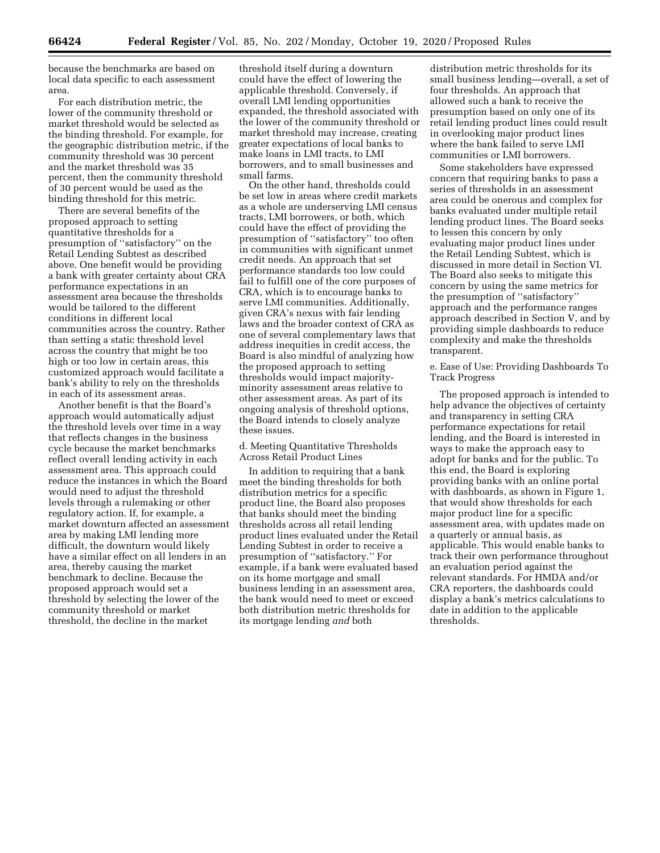because the benchmarks are based on local data specific to each assessment area.

For each distribution metric, the lower of the community threshold or market threshold would be selected as the binding threshold. For example, for the geographic distribution metric, if the community threshold was 30 percent and the market threshold was 35 percent, then the community threshold of 30 percent would be used as the binding threshold for this metric.

There are several benefits of the proposed approach to setting quantitative thresholds for a presumption of ''satisfactory'' on the Retail Lending Subtest as described above. One benefit would be providing a bank with greater certainty about CRA performance expectations in an assessment area because the thresholds would be tailored to the different conditions in different local communities across the country. Rather than setting a static threshold level across the country that might be too high or too low in certain areas, this customized approach would facilitate a bank's ability to rely on the thresholds in each of its assessment areas.

Another benefit is that the Board's approach would automatically adjust the threshold levels over time in a way that reflects changes in the business cycle because the market benchmarks reflect overall lending activity in each assessment area. This approach could reduce the instances in which the Board would need to adjust the threshold levels through a rulemaking or other regulatory action. If, for example, a market downturn affected an assessment area by making LMI lending more difficult, the downturn would likely have a similar effect on all lenders in an area, thereby causing the market benchmark to decline. Because the proposed approach would set a threshold by selecting the lower of the community threshold or market threshold, the decline in the market

threshold itself during a downturn could have the effect of lowering the applicable threshold. Conversely, if overall LMI lending opportunities expanded, the threshold associated with the lower of the community threshold or market threshold may increase, creating greater expectations of local banks to make loans in LMI tracts, to LMI borrowers, and to small businesses and small farms.

On the other hand, thresholds could be set low in areas where credit markets as a whole are underserving LMI census tracts, LMI borrowers, or both, which could have the effect of providing the presumption of ''satisfactory'' too often in communities with significant unmet credit needs. An approach that set performance standards too low could fail to fulfill one of the core purposes of CRA, which is to encourage banks to serve LMI communities. Additionally, given CRA's nexus with fair lending laws and the broader context of CRA as one of several complementary laws that address inequities in credit access, the Board is also mindful of analyzing how the proposed approach to setting thresholds would impact majorityminority assessment areas relative to other assessment areas. As part of its ongoing analysis of threshold options, the Board intends to closely analyze these issues.

d. Meeting Quantitative Thresholds Across Retail Product Lines

In addition to requiring that a bank meet the binding thresholds for both distribution metrics for a specific product line, the Board also proposes that banks should meet the binding thresholds across all retail lending product lines evaluated under the Retail Lending Subtest in order to receive a presumption of ''satisfactory.'' For example, if a bank were evaluated based on its home mortgage and small business lending in an assessment area, the bank would need to meet or exceed both distribution metric thresholds for its mortgage lending *and* both

distribution metric thresholds for its small business lending—overall, a set of four thresholds. An approach that allowed such a bank to receive the presumption based on only one of its retail lending product lines could result in overlooking major product lines where the bank failed to serve LMI communities or LMI borrowers.

Some stakeholders have expressed concern that requiring banks to pass a series of thresholds in an assessment area could be onerous and complex for banks evaluated under multiple retail lending product lines. The Board seeks to lessen this concern by only evaluating major product lines under the Retail Lending Subtest, which is discussed in more detail in Section VI. The Board also seeks to mitigate this concern by using the same metrics for the presumption of ''satisfactory'' approach and the performance ranges approach described in Section V, and by providing simple dashboards to reduce complexity and make the thresholds transparent.

e. Ease of Use: Providing Dashboards To Track Progress

The proposed approach is intended to help advance the objectives of certainty and transparency in setting CRA performance expectations for retail lending, and the Board is interested in ways to make the approach easy to adopt for banks and for the public. To this end, the Board is exploring providing banks with an online portal with dashboards, as shown in Figure 1, that would show thresholds for each major product line for a specific assessment area, with updates made on a quarterly or annual basis, as applicable. This would enable banks to track their own performance throughout an evaluation period against the relevant standards. For HMDA and/or CRA reporters, the dashboards could display a bank's metrics calculations to date in addition to the applicable thresholds.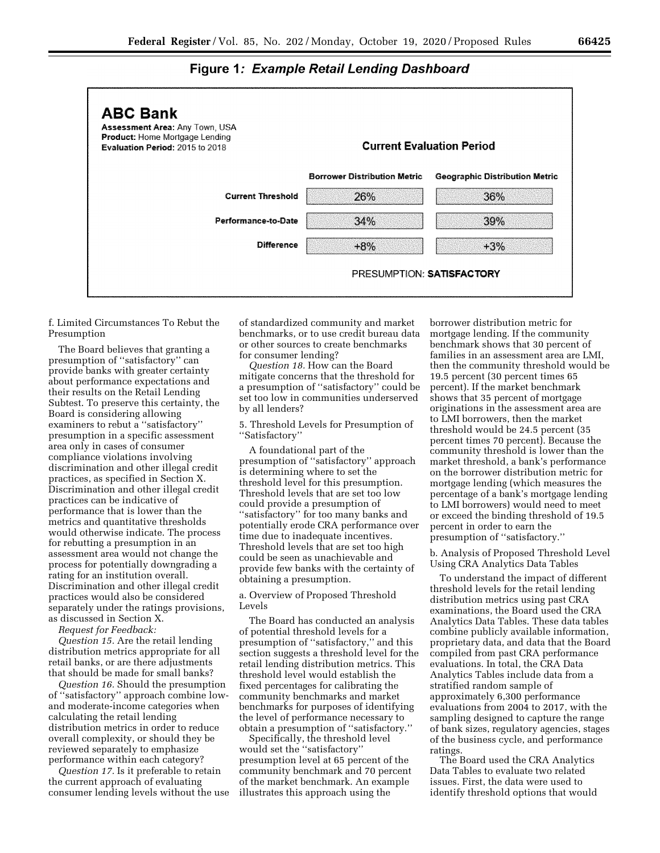

#### **Figure 1: Example Retail Lending Dashboard**

f. Limited Circumstances To Rebut the Presumption

The Board believes that granting a presumption of ''satisfactory'' can provide banks with greater certainty about performance expectations and their results on the Retail Lending Subtest. To preserve this certainty, the Board is considering allowing examiners to rebut a ''satisfactory'' presumption in a specific assessment area only in cases of consumer compliance violations involving discrimination and other illegal credit practices, as specified in Section X. Discrimination and other illegal credit practices can be indicative of performance that is lower than the metrics and quantitative thresholds would otherwise indicate. The process for rebutting a presumption in an assessment area would not change the process for potentially downgrading a rating for an institution overall. Discrimination and other illegal credit practices would also be considered separately under the ratings provisions, as discussed in Section X.

*Request for Feedback:* 

*Question 15.* Are the retail lending distribution metrics appropriate for all retail banks, or are there adjustments that should be made for small banks?

*Question 16.* Should the presumption of ''satisfactory'' approach combine lowand moderate-income categories when calculating the retail lending distribution metrics in order to reduce overall complexity, or should they be reviewed separately to emphasize performance within each category?

*Question 17.* Is it preferable to retain the current approach of evaluating consumer lending levels without the use of standardized community and market benchmarks, or to use credit bureau data or other sources to create benchmarks for consumer lending?

*Question 18.* How can the Board mitigate concerns that the threshold for a presumption of ''satisfactory'' could be set too low in communities underserved by all lenders?

5. Threshold Levels for Presumption of ''Satisfactory''

A foundational part of the presumption of ''satisfactory'' approach is determining where to set the threshold level for this presumption. Threshold levels that are set too low could provide a presumption of ''satisfactory'' for too many banks and potentially erode CRA performance over time due to inadequate incentives. Threshold levels that are set too high could be seen as unachievable and provide few banks with the certainty of obtaining a presumption.

a. Overview of Proposed Threshold Levels

The Board has conducted an analysis of potential threshold levels for a presumption of ''satisfactory,'' and this section suggests a threshold level for the retail lending distribution metrics. This threshold level would establish the fixed percentages for calibrating the community benchmarks and market benchmarks for purposes of identifying the level of performance necessary to obtain a presumption of ''satisfactory.''

Specifically, the threshold level would set the ''satisfactory'' presumption level at 65 percent of the community benchmark and 70 percent of the market benchmark. An example illustrates this approach using the

borrower distribution metric for mortgage lending. If the community benchmark shows that 30 percent of families in an assessment area are LMI, then the community threshold would be 19.5 percent (30 percent times 65 percent). If the market benchmark shows that 35 percent of mortgage originations in the assessment area are to LMI borrowers, then the market threshold would be 24.5 percent (35 percent times 70 percent). Because the community threshold is lower than the market threshold, a bank's performance on the borrower distribution metric for mortgage lending (which measures the percentage of a bank's mortgage lending to LMI borrowers) would need to meet or exceed the binding threshold of 19.5 percent in order to earn the presumption of ''satisfactory.''

b. Analysis of Proposed Threshold Level Using CRA Analytics Data Tables

To understand the impact of different threshold levels for the retail lending distribution metrics using past CRA examinations, the Board used the CRA Analytics Data Tables. These data tables combine publicly available information, proprietary data, and data that the Board compiled from past CRA performance evaluations. In total, the CRA Data Analytics Tables include data from a stratified random sample of approximately 6,300 performance evaluations from 2004 to 2017, with the sampling designed to capture the range of bank sizes, regulatory agencies, stages of the business cycle, and performance ratings.

The Board used the CRA Analytics Data Tables to evaluate two related issues. First, the data were used to identify threshold options that would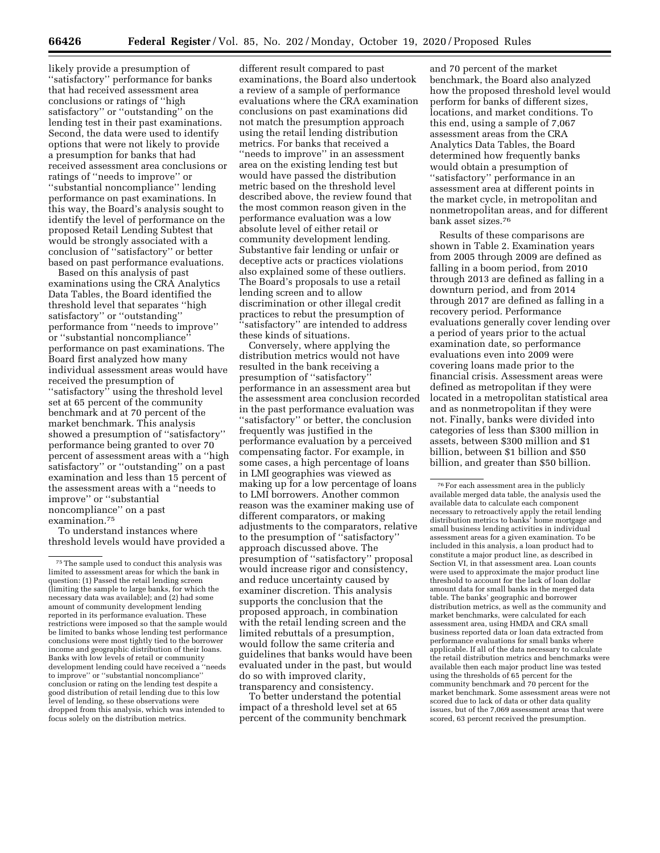likely provide a presumption of ''satisfactory'' performance for banks that had received assessment area conclusions or ratings of ''high satisfactory'' or ''outstanding'' on the lending test in their past examinations. Second, the data were used to identify options that were not likely to provide a presumption for banks that had received assessment area conclusions or ratings of ''needs to improve'' or ''substantial noncompliance'' lending performance on past examinations. In this way, the Board's analysis sought to identify the level of performance on the proposed Retail Lending Subtest that would be strongly associated with a conclusion of ''satisfactory'' or better based on past performance evaluations.

Based on this analysis of past examinations using the CRA Analytics Data Tables, the Board identified the threshold level that separates ''high satisfactory'' or ''outstanding'' performance from ''needs to improve'' or ''substantial noncompliance'' performance on past examinations. The Board first analyzed how many individual assessment areas would have received the presumption of ''satisfactory'' using the threshold level set at 65 percent of the community benchmark and at 70 percent of the market benchmark. This analysis showed a presumption of ''satisfactory'' performance being granted to over 70 percent of assessment areas with a ''high satisfactory'' or ''outstanding'' on a past examination and less than 15 percent of the assessment areas with a ''needs to improve'' or ''substantial noncompliance'' on a past examination.75

To understand instances where threshold levels would have provided a

different result compared to past examinations, the Board also undertook a review of a sample of performance evaluations where the CRA examination conclusions on past examinations did not match the presumption approach using the retail lending distribution metrics. For banks that received a "needs to improve" in an assessment area on the existing lending test but would have passed the distribution metric based on the threshold level described above, the review found that the most common reason given in the performance evaluation was a low absolute level of either retail or community development lending. Substantive fair lending or unfair or deceptive acts or practices violations also explained some of these outliers. The Board's proposals to use a retail lending screen and to allow discrimination or other illegal credit practices to rebut the presumption of 'satisfactory" are intended to address these kinds of situations.

Conversely, where applying the distribution metrics would not have resulted in the bank receiving a presumption of ''satisfactory'' performance in an assessment area but the assessment area conclusion recorded in the past performance evaluation was ''satisfactory'' or better, the conclusion frequently was justified in the performance evaluation by a perceived compensating factor. For example, in some cases, a high percentage of loans in LMI geographies was viewed as making up for a low percentage of loans to LMI borrowers. Another common reason was the examiner making use of different comparators, or making adjustments to the comparators, relative to the presumption of ''satisfactory'' approach discussed above. The presumption of ''satisfactory'' proposal would increase rigor and consistency, and reduce uncertainty caused by examiner discretion. This analysis supports the conclusion that the proposed approach, in combination with the retail lending screen and the limited rebuttals of a presumption, would follow the same criteria and guidelines that banks would have been evaluated under in the past, but would do so with improved clarity, transparency and consistency.

To better understand the potential impact of a threshold level set at 65 percent of the community benchmark and 70 percent of the market benchmark, the Board also analyzed how the proposed threshold level would perform for banks of different sizes, locations, and market conditions. To this end, using a sample of 7,067 assessment areas from the CRA Analytics Data Tables, the Board determined how frequently banks would obtain a presumption of ''satisfactory'' performance in an assessment area at different points in the market cycle, in metropolitan and nonmetropolitan areas, and for different bank asset sizes.76

Results of these comparisons are shown in Table 2. Examination years from 2005 through 2009 are defined as falling in a boom period, from 2010 through 2013 are defined as falling in a downturn period, and from 2014 through 2017 are defined as falling in a recovery period. Performance evaluations generally cover lending over a period of years prior to the actual examination date, so performance evaluations even into 2009 were covering loans made prior to the financial crisis. Assessment areas were defined as metropolitan if they were located in a metropolitan statistical area and as nonmetropolitan if they were not. Finally, banks were divided into categories of less than \$300 million in assets, between \$300 million and \$1 billion, between \$1 billion and \$50 billion, and greater than \$50 billion.

<sup>75</sup>The sample used to conduct this analysis was limited to assessment areas for which the bank in question: (1) Passed the retail lending screen (limiting the sample to large banks, for which the necessary data was available); and (2) had some amount of community development lending reported in its performance evaluation. These restrictions were imposed so that the sample would be limited to banks whose lending test performance conclusions were most tightly tied to the borrower income and geographic distribution of their loans. Banks with low levels of retail or community development lending could have received a ''needs to improve'' or ''substantial noncompliance'' conclusion or rating on the lending test despite a good distribution of retail lending due to this low level of lending, so these observations were dropped from this analysis, which was intended to focus solely on the distribution metrics.

<sup>76</sup>For each assessment area in the publicly available merged data table, the analysis used the available data to calculate each component necessary to retroactively apply the retail lending distribution metrics to banks' home mortgage and small business lending activities in individual assessment areas for a given examination. To be included in this analysis, a loan product had to constitute a major product line, as described in Section VI, in that assessment area. Loan counts were used to approximate the major product line threshold to account for the lack of loan dollar amount data for small banks in the merged data table. The banks' geographic and borrower distribution metrics, as well as the community and market benchmarks, were calculated for each assessment area, using HMDA and CRA small business reported data or loan data extracted from performance evaluations for small banks where applicable. If all of the data necessary to calculate the retail distribution metrics and benchmarks were available then each major product line was tested using the thresholds of 65 percent for the community benchmark and 70 percent for the market benchmark. Some assessment areas were not scored due to lack of data or other data quality issues, but of the 7,069 assessment areas that were scored, 63 percent received the presumption.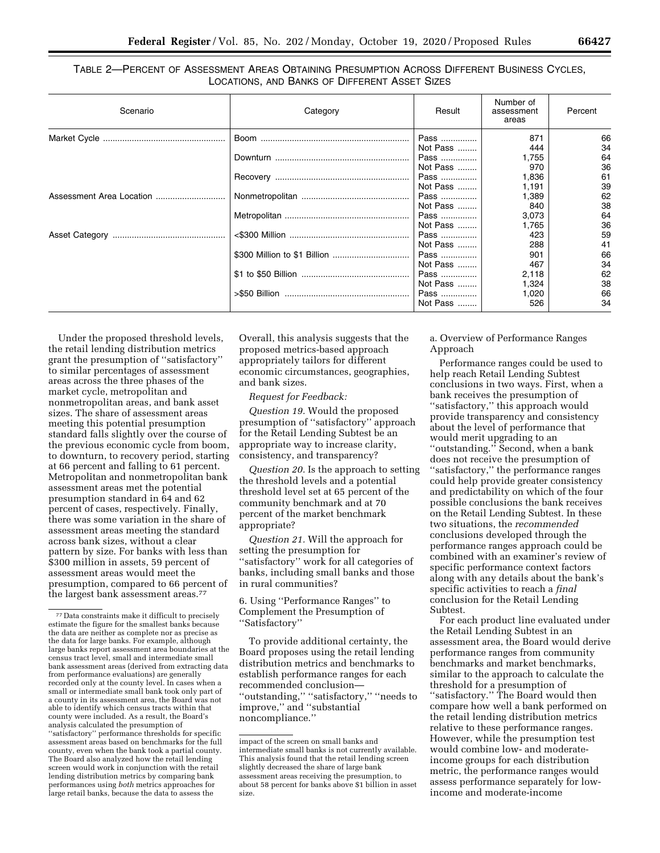#### TABLE 2—PERCENT OF ASSESSMENT AREAS OBTAINING PRESUMPTION ACROSS DIFFERENT BUSINESS CYCLES, LOCATIONS, AND BANKS OF DIFFERENT ASSET SIZES

| Scenario | Category | Result   | Number of<br>assessment<br>areas | Percent |
|----------|----------|----------|----------------------------------|---------|
|          |          | Pass     | 871                              | 66      |
|          |          | Not Pass | 444                              | 34      |
|          |          | Pass     | 1,755                            | 64      |
|          |          | Not Pass | 970                              | 36      |
|          |          | Pass     | 1,836                            | 61      |
|          |          | Not Pass | 1.191                            | 39      |
|          |          | Pass     | 1,389                            | 62      |
|          |          | Not Pass | 840                              | 38      |
|          |          | Pass     | 3,073                            | 64      |
|          |          | Not Pass | 1,765                            | 36      |
|          |          | Pass     | 423                              | 59      |
|          |          | Not Pass | 288                              | 41      |
|          |          | Pass     | 901                              | 66      |
|          |          | Not Pass | 467                              | 34      |
|          |          | Pass     | 2,118                            | 62      |
|          |          | Not Pass | 1,324                            | 38      |
|          |          | Pass     | 1,020                            | 66      |
|          |          | Not Pass | 526                              | 34      |

Under the proposed threshold levels, the retail lending distribution metrics grant the presumption of ''satisfactory'' to similar percentages of assessment areas across the three phases of the market cycle, metropolitan and nonmetropolitan areas, and bank asset sizes. The share of assessment areas meeting this potential presumption standard falls slightly over the course of the previous economic cycle from boom, to downturn, to recovery period, starting at 66 percent and falling to 61 percent. Metropolitan and nonmetropolitan bank assessment areas met the potential presumption standard in 64 and 62 percent of cases, respectively. Finally, there was some variation in the share of assessment areas meeting the standard across bank sizes, without a clear pattern by size. For banks with less than \$300 million in assets, 59 percent of assessment areas would meet the presumption, compared to 66 percent of the largest bank assessment areas.77

Overall, this analysis suggests that the proposed metrics-based approach appropriately tailors for different economic circumstances, geographies, and bank sizes.

*Request for Feedback:* 

*Question 19.* Would the proposed presumption of ''satisfactory'' approach for the Retail Lending Subtest be an appropriate way to increase clarity, consistency, and transparency?

*Question 20.* Is the approach to setting the threshold levels and a potential threshold level set at 65 percent of the community benchmark and at 70 percent of the market benchmark appropriate?

*Question 21.* Will the approach for setting the presumption for ''satisfactory'' work for all categories of banks, including small banks and those in rural communities?

6. Using ''Performance Ranges'' to Complement the Presumption of ''Satisfactory''

To provide additional certainty, the Board proposes using the retail lending distribution metrics and benchmarks to establish performance ranges for each recommended conclusion— ''outstanding,'' ''satisfactory,'' ''needs to improve,'' and ''substantial noncompliance.''

#### a. Overview of Performance Ranges Approach

Performance ranges could be used to help reach Retail Lending Subtest conclusions in two ways. First, when a bank receives the presumption of ''satisfactory,'' this approach would provide transparency and consistency about the level of performance that would merit upgrading to an ''outstanding.'' Second, when a bank does not receive the presumption of ''satisfactory,'' the performance ranges could help provide greater consistency and predictability on which of the four possible conclusions the bank receives on the Retail Lending Subtest. In these two situations, the *recommended*  conclusions developed through the performance ranges approach could be combined with an examiner's review of specific performance context factors along with any details about the bank's specific activities to reach a *final*  conclusion for the Retail Lending Subtest.

For each product line evaluated under the Retail Lending Subtest in an assessment area, the Board would derive performance ranges from community benchmarks and market benchmarks, similar to the approach to calculate the threshold for a presumption of ''satisfactory.'' The Board would then compare how well a bank performed on the retail lending distribution metrics relative to these performance ranges. However, while the presumption test would combine low- and moderateincome groups for each distribution metric, the performance ranges would assess performance separately for lowincome and moderate-income

<sup>77</sup> Data constraints make it difficult to precisely estimate the figure for the smallest banks because the data are neither as complete nor as precise as the data for large banks. For example, although large banks report assessment area boundaries at the census tract level, small and intermediate small bank assessment areas (derived from extracting data from performance evaluations) are generally recorded only at the county level. In cases when a small or intermediate small bank took only part of a county in its assessment area, the Board was not able to identify which census tracts within that county were included. As a result, the Board's analysis calculated the presumption of ''satisfactory'' performance thresholds for specific assessment areas based on benchmarks for the full county, even when the bank took a partial county. The Board also analyzed how the retail lending screen would work in conjunction with the retail lending distribution metrics by comparing bank performances using *both* metrics approaches for large retail banks, because the data to assess the

impact of the screen on small banks and intermediate small banks is not currently available. This analysis found that the retail lending screen slightly decreased the share of large bank assessment areas receiving the presumption, to about 58 percent for banks above \$1 billion in asset size.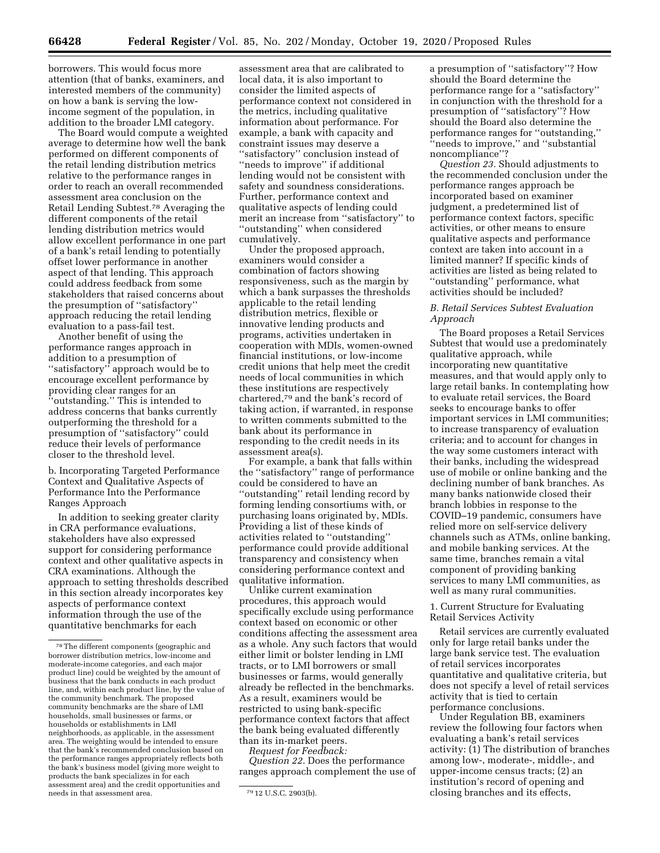borrowers. This would focus more attention (that of banks, examiners, and interested members of the community) on how a bank is serving the lowincome segment of the population, in addition to the broader LMI category.

The Board would compute a weighted average to determine how well the bank performed on different components of the retail lending distribution metrics relative to the performance ranges in order to reach an overall recommended assessment area conclusion on the Retail Lending Subtest.78 Averaging the different components of the retail lending distribution metrics would allow excellent performance in one part of a bank's retail lending to potentially offset lower performance in another aspect of that lending. This approach could address feedback from some stakeholders that raised concerns about the presumption of ''satisfactory'' approach reducing the retail lending evaluation to a pass-fail test.

Another benefit of using the performance ranges approach in addition to a presumption of ''satisfactory'' approach would be to encourage excellent performance by providing clear ranges for an ''outstanding.'' This is intended to address concerns that banks currently outperforming the threshold for a presumption of ''satisfactory'' could reduce their levels of performance closer to the threshold level.

b. Incorporating Targeted Performance Context and Qualitative Aspects of Performance Into the Performance Ranges Approach

In addition to seeking greater clarity in CRA performance evaluations, stakeholders have also expressed support for considering performance context and other qualitative aspects in CRA examinations. Although the approach to setting thresholds described in this section already incorporates key aspects of performance context information through the use of the quantitative benchmarks for each

assessment area that are calibrated to local data, it is also important to consider the limited aspects of performance context not considered in the metrics, including qualitative information about performance. For example, a bank with capacity and constraint issues may deserve a ''satisfactory'' conclusion instead of "needs to improve" if additional lending would not be consistent with safety and soundness considerations. Further, performance context and qualitative aspects of lending could merit an increase from ''satisfactory'' to ''outstanding'' when considered cumulatively.

Under the proposed approach, examiners would consider a combination of factors showing responsiveness, such as the margin by which a bank surpasses the thresholds applicable to the retail lending distribution metrics, flexible or innovative lending products and programs, activities undertaken in cooperation with MDIs, women-owned financial institutions, or low-income credit unions that help meet the credit needs of local communities in which these institutions are respectively chartered,79 and the bank's record of taking action, if warranted, in response to written comments submitted to the bank about its performance in responding to the credit needs in its assessment area(s).

For example, a bank that falls within the ''satisfactory'' range of performance could be considered to have an ''outstanding'' retail lending record by forming lending consortiums with, or purchasing loans originated by, MDIs. Providing a list of these kinds of activities related to ''outstanding'' performance could provide additional transparency and consistency when considering performance context and qualitative information.

Unlike current examination procedures, this approach would specifically exclude using performance context based on economic or other conditions affecting the assessment area as a whole. Any such factors that would either limit or bolster lending in LMI tracts, or to LMI borrowers or small businesses or farms, would generally already be reflected in the benchmarks. As a result, examiners would be restricted to using bank-specific performance context factors that affect the bank being evaluated differently than its in-market peers.

*Request for Feedback:* 

*Question 22.* Does the performance ranges approach complement the use of

a presumption of ''satisfactory''? How should the Board determine the performance range for a ''satisfactory'' in conjunction with the threshold for a presumption of ''satisfactory''? How should the Board also determine the performance ranges for ''outstanding,'' ''needs to improve,'' and ''substantial noncompliance''?

*Question 23.* Should adjustments to the recommended conclusion under the performance ranges approach be incorporated based on examiner judgment, a predetermined list of performance context factors, specific activities, or other means to ensure qualitative aspects and performance context are taken into account in a limited manner? If specific kinds of activities are listed as being related to ''outstanding'' performance, what activities should be included?

#### *B. Retail Services Subtest Evaluation Approach*

The Board proposes a Retail Services Subtest that would use a predominately qualitative approach, while incorporating new quantitative measures, and that would apply only to large retail banks. In contemplating how to evaluate retail services, the Board seeks to encourage banks to offer important services in LMI communities; to increase transparency of evaluation criteria; and to account for changes in the way some customers interact with their banks, including the widespread use of mobile or online banking and the declining number of bank branches. As many banks nationwide closed their branch lobbies in response to the COVID–19 pandemic, consumers have relied more on self-service delivery channels such as ATMs, online banking, and mobile banking services. At the same time, branches remain a vital component of providing banking services to many LMI communities, as well as many rural communities.

1. Current Structure for Evaluating Retail Services Activity

Retail services are currently evaluated only for large retail banks under the large bank service test. The evaluation of retail services incorporates quantitative and qualitative criteria, but does not specify a level of retail services activity that is tied to certain performance conclusions.

Under Regulation BB, examiners review the following four factors when evaluating a bank's retail services activity: (1) The distribution of branches among low-, moderate-, middle-, and upper-income census tracts; (2) an institution's record of opening and closing branches and its effects,

<sup>78</sup>The different components (geographic and borrower distribution metrics, low-income and moderate-income categories, and each major product line) could be weighted by the amount of business that the bank conducts in each product line, and, within each product line, by the value of the community benchmark. The proposed community benchmarks are the share of LMI households, small businesses or farms, or households or establishments in LMI neighborhoods, as applicable, in the assessment area. The weighting would be intended to ensure that the bank's recommended conclusion based on the performance ranges appropriately reflects both the bank's business model (giving more weight to products the bank specializes in for each assessment area) and the credit opportunities and needs in that assessment area.  $\frac{1}{1}$   $\frac{1}{2}$   $\frac{79}{12}$  U.S.C. 2903(b).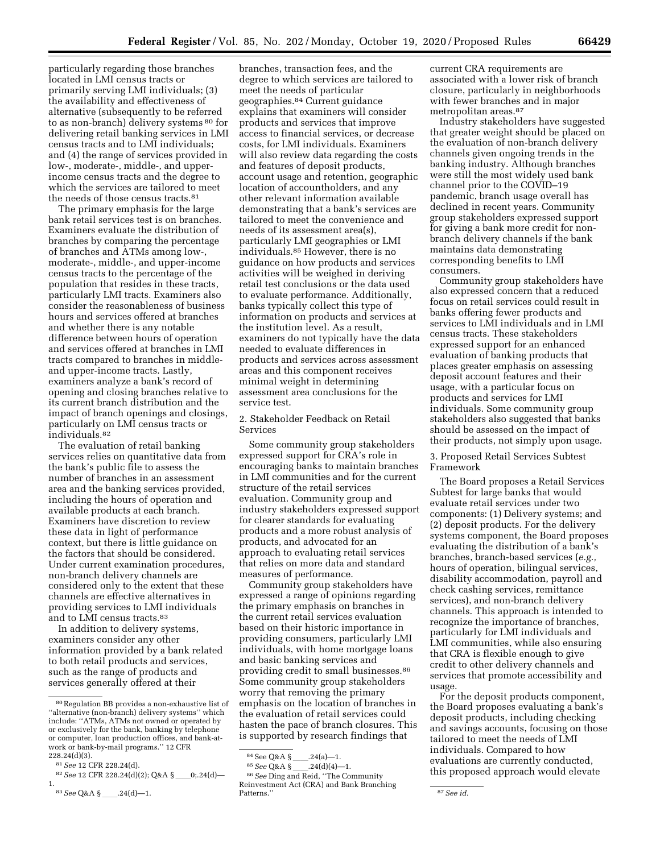particularly regarding those branches located in LMI census tracts or primarily serving LMI individuals; (3) the availability and effectiveness of alternative (subsequently to be referred to as non-branch) delivery systems 80 for delivering retail banking services in LMI census tracts and to LMI individuals; and (4) the range of services provided in low-, moderate-, middle-, and upperincome census tracts and the degree to which the services are tailored to meet the needs of those census tracts.<sup>81</sup>

The primary emphasis for the large bank retail services test is on branches. Examiners evaluate the distribution of branches by comparing the percentage of branches and ATMs among low-, moderate-, middle-, and upper-income census tracts to the percentage of the population that resides in these tracts, particularly LMI tracts. Examiners also consider the reasonableness of business hours and services offered at branches and whether there is any notable difference between hours of operation and services offered at branches in LMI tracts compared to branches in middleand upper-income tracts. Lastly, examiners analyze a bank's record of opening and closing branches relative to its current branch distribution and the impact of branch openings and closings, particularly on LMI census tracts or individuals.82

The evaluation of retail banking services relies on quantitative data from the bank's public file to assess the number of branches in an assessment area and the banking services provided, including the hours of operation and available products at each branch. Examiners have discretion to review these data in light of performance context, but there is little guidance on the factors that should be considered. Under current examination procedures, non-branch delivery channels are considered only to the extent that these channels are effective alternatives in providing services to LMI individuals and to LMI census tracts.<sup>83</sup>

In addition to delivery systems, examiners consider any other information provided by a bank related to both retail products and services, such as the range of products and services generally offered at their

branches, transaction fees, and the degree to which services are tailored to meet the needs of particular geographies.84 Current guidance explains that examiners will consider products and services that improve access to financial services, or decrease costs, for LMI individuals. Examiners will also review data regarding the costs and features of deposit products, account usage and retention, geographic location of accountholders, and any other relevant information available demonstrating that a bank's services are tailored to meet the convenience and needs of its assessment area(s), particularly LMI geographies or LMI individuals.85 However, there is no guidance on how products and services activities will be weighed in deriving retail test conclusions or the data used to evaluate performance. Additionally, banks typically collect this type of information on products and services at the institution level. As a result, examiners do not typically have the data needed to evaluate differences in products and services across assessment areas and this component receives minimal weight in determining assessment area conclusions for the service test.

2. Stakeholder Feedback on Retail Services

Some community group stakeholders expressed support for CRA's role in encouraging banks to maintain branches in LMI communities and for the current structure of the retail services evaluation. Community group and industry stakeholders expressed support for clearer standards for evaluating products and a more robust analysis of products, and advocated for an approach to evaluating retail services that relies on more data and standard measures of performance.

Community group stakeholders have expressed a range of opinions regarding the primary emphasis on branches in the current retail services evaluation based on their historic importance in providing consumers, particularly LMI individuals, with home mortgage loans and basic banking services and providing credit to small businesses.86 Some community group stakeholders worry that removing the primary emphasis on the location of branches in the evaluation of retail services could hasten the pace of branch closures. This is supported by research findings that

current CRA requirements are associated with a lower risk of branch closure, particularly in neighborhoods with fewer branches and in major metropolitan areas.87

Industry stakeholders have suggested that greater weight should be placed on the evaluation of non-branch delivery channels given ongoing trends in the banking industry. Although branches were still the most widely used bank channel prior to the COVID–19 pandemic, branch usage overall has declined in recent years. Community group stakeholders expressed support for giving a bank more credit for nonbranch delivery channels if the bank maintains data demonstrating corresponding benefits to LMI consumers.

Community group stakeholders have also expressed concern that a reduced focus on retail services could result in banks offering fewer products and services to LMI individuals and in LMI census tracts. These stakeholders expressed support for an enhanced evaluation of banking products that places greater emphasis on assessing deposit account features and their usage, with a particular focus on products and services for LMI individuals. Some community group stakeholders also suggested that banks should be assessed on the impact of their products, not simply upon usage.

3. Proposed Retail Services Subtest Framework

The Board proposes a Retail Services Subtest for large banks that would evaluate retail services under two components: (1) Delivery systems; and (2) deposit products. For the delivery systems component, the Board proposes evaluating the distribution of a bank's branches, branch-based services (*e.g.,*  hours of operation, bilingual services, disability accommodation, payroll and check cashing services, remittance services), and non-branch delivery channels. This approach is intended to recognize the importance of branches, particularly for LMI individuals and LMI communities, while also ensuring that CRA is flexible enough to give credit to other delivery channels and services that promote accessibility and usage.

For the deposit products component, the Board proposes evaluating a bank's deposit products, including checking and savings accounts, focusing on those tailored to meet the needs of LMI individuals. Compared to how evaluations are currently conducted, this proposed approach would elevate

<sup>80</sup>Regulation BB provides a non-exhaustive list of ''alternative (non-branch) delivery systems'' which include: ''ATMs, ATMs not owned or operated by or exclusively for the bank, banking by telephone or computer, loan production offices, and bank-atwork or bank-by-mail programs.'' 12 CFR 228.24(d)(3).

<sup>81</sup>*See* 12 CFR 228.24(d).

<sup>&</sup>lt;sup>82</sup> See 12 CFR 228.24(d)(2); Q&A §\_\_\_0;.24(d)-1.

<sup>83</sup> See Q&A §\_\_\_\_.24(d)-1.

 $\overset{\text{84}\, {\text{See Q}}\&{\text{A}}} {\underset{\text{85}\,}{\text{See Q}}\, {\text{A}}} \, \overset{\text{8}}{\text{S}} \, \underline{\text{S}} \, \underline{\text{S}} \, \underline{\text{S}} \, \underline{\text{A}} \, \text{A} \, \text{A} \, \text{B} \underline{\text{S}} \, \underline{\text{A}} \, \text{A} \, \text{A} \, \text{A}} \, \text{A} \, \text{B} \, \underline{\text{A}} \, \text{B} \, \text{A}} \, \text{C} \, \text{A} \, \text{A} \, \text{B$ 

<sup>&</sup>lt;sup>85</sup> See Q&A §\_\_\_\_.24(d)(4)—1.<br><sup>86</sup> See Ding and Reid, ''The Community Reinvestment Act (CRA) and Bank Branching

 $87$ *See id.*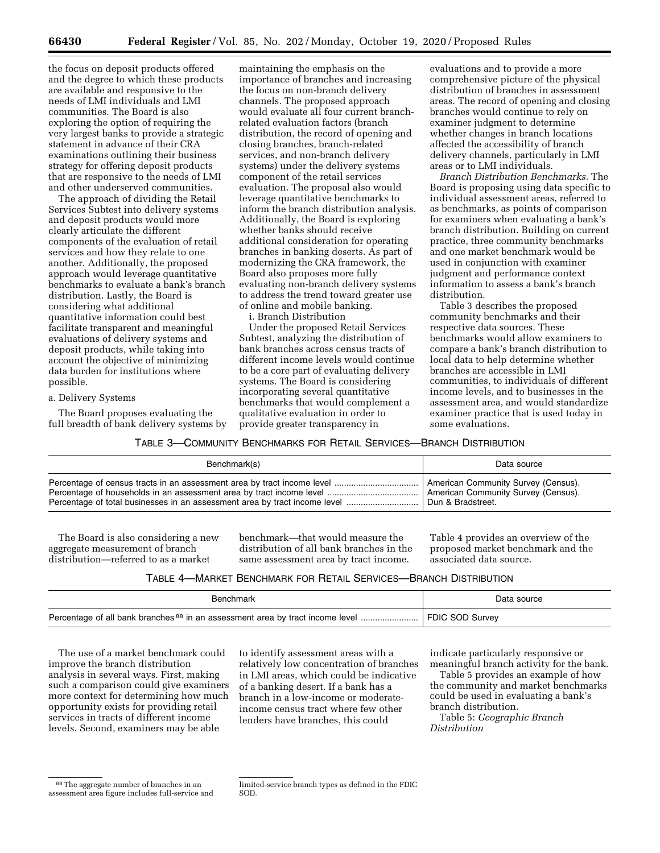the focus on deposit products offered and the degree to which these products are available and responsive to the needs of LMI individuals and LMI communities. The Board is also exploring the option of requiring the very largest banks to provide a strategic statement in advance of their CRA examinations outlining their business strategy for offering deposit products that are responsive to the needs of LMI and other underserved communities.

The approach of dividing the Retail Services Subtest into delivery systems and deposit products would more clearly articulate the different components of the evaluation of retail services and how they relate to one another. Additionally, the proposed approach would leverage quantitative benchmarks to evaluate a bank's branch distribution. Lastly, the Board is considering what additional quantitative information could best facilitate transparent and meaningful evaluations of delivery systems and deposit products, while taking into account the objective of minimizing data burden for institutions where possible.

#### a. Delivery Systems

The Board proposes evaluating the full breadth of bank delivery systems by

maintaining the emphasis on the importance of branches and increasing the focus on non-branch delivery channels. The proposed approach would evaluate all four current branchrelated evaluation factors (branch distribution, the record of opening and closing branches, branch-related services, and non-branch delivery systems) under the delivery systems component of the retail services evaluation. The proposal also would leverage quantitative benchmarks to inform the branch distribution analysis. Additionally, the Board is exploring whether banks should receive additional consideration for operating branches in banking deserts. As part of modernizing the CRA framework, the Board also proposes more fully evaluating non-branch delivery systems to address the trend toward greater use of online and mobile banking. i. Branch Distribution

Under the proposed Retail Services Subtest, analyzing the distribution of bank branches across census tracts of different income levels would continue to be a core part of evaluating delivery systems. The Board is considering incorporating several quantitative benchmarks that would complement a qualitative evaluation in order to provide greater transparency in

evaluations and to provide a more comprehensive picture of the physical distribution of branches in assessment areas. The record of opening and closing branches would continue to rely on examiner judgment to determine whether changes in branch locations affected the accessibility of branch delivery channels, particularly in LMI areas or to LMI individuals.

*Branch Distribution Benchmarks.* The Board is proposing using data specific to individual assessment areas, referred to as benchmarks, as points of comparison for examiners when evaluating a bank's branch distribution. Building on current practice, three community benchmarks and one market benchmark would be used in conjunction with examiner judgment and performance context information to assess a bank's branch distribution.

Table 3 describes the proposed community benchmarks and their respective data sources. These benchmarks would allow examiners to compare a bank's branch distribution to local data to help determine whether branches are accessible in LMI communities, to individuals of different income levels, and to businesses in the assessment area, and would standardize examiner practice that is used today in some evaluations.

TABLE 3—COMMUNITY BENCHMARKS FOR RETAIL SERVICES—BRANCH DISTRIBUTION

| Benchmark(s) | Data source                         |
|--------------|-------------------------------------|
|              | American Community Survey (Census). |
|              | American Community Survey (Census). |
|              | Dun & Bradstreet.                   |

The Board is also considering a new aggregate measurement of branch distribution—referred to as a market

benchmark—that would measure the distribution of all bank branches in the same assessment area by tract income.

Table 4 provides an overview of the proposed market benchmark and the associated data source.

| Benchmark | Data source     |
|-----------|-----------------|
|           | FDIC SOD Survey |

The use of a market benchmark could improve the branch distribution analysis in several ways. First, making such a comparison could give examiners more context for determining how much opportunity exists for providing retail services in tracts of different income levels. Second, examiners may be able

to identify assessment areas with a relatively low concentration of branches in LMI areas, which could be indicative of a banking desert. If a bank has a branch in a low-income or moderateincome census tract where few other lenders have branches, this could

indicate particularly responsive or meaningful branch activity for the bank.

Table 5 provides an example of how the community and market benchmarks could be used in evaluating a bank's branch distribution.

Table 5: *Geographic Branch Distribution* 

<sup>88</sup>The aggregate number of branches in an assessment area figure includes full-service and

limited-service branch types as defined in the FDIC SOD.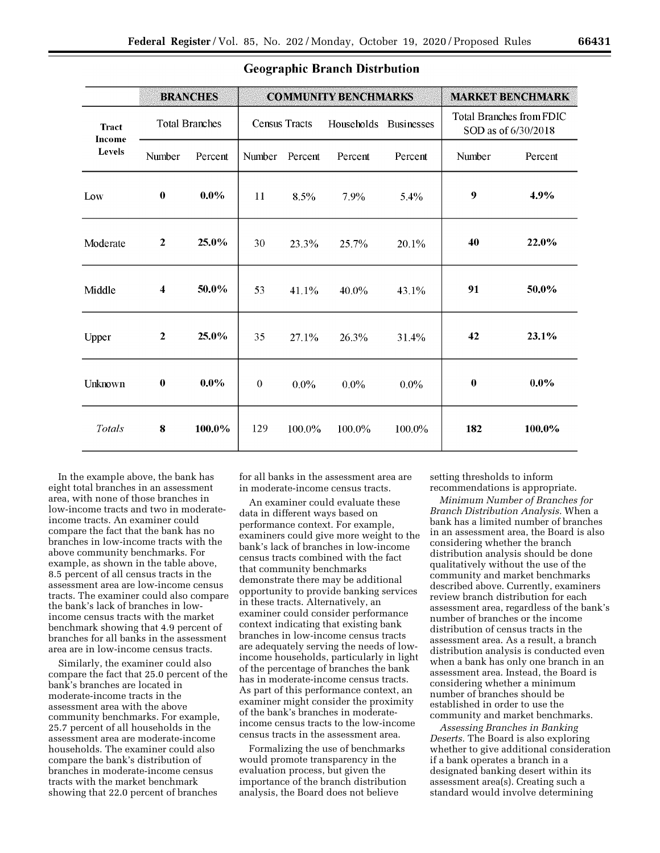| <b>BRANCHES</b>        |                         |         | <b>COMMUNITY BENCHMARKS</b> |           |                                 |           | <b>MARKET BENCHMARK</b>                                |         |
|------------------------|-------------------------|---------|-----------------------------|-----------|---------------------------------|-----------|--------------------------------------------------------|---------|
| <b>Tract</b><br>Income | <b>Total Branches</b>   |         | <b>Census Tracts</b>        |           | Households<br><b>Businesses</b> |           | <b>Total Branches from FDIC</b><br>SOD as of 6/30/2018 |         |
| Levels                 | Number                  | Percent | Number                      | Percent   | Percent                         | Percent   | Number                                                 | Percent |
| Low                    | $\bf{0}$                | $0.0\%$ | 11                          | 8.5%      | 7.9%                            | $5.4\%$   | 9                                                      | 4.9%    |
| Moderate               | $\mathbf{2}$            | 25.0%   | 30                          | 23.3%     | 25.7%                           | 20.1%     | 40                                                     | 22.0%   |
| Middle                 | $\overline{\mathbf{4}}$ | 50.0%   | 53                          | 41.1%     | $40.0\%$                        | 43.1%     | 91                                                     | 50.0%   |
| Upper                  | $\overline{2}$          | 25.0%   | 35                          | 27.1%     | 26.3%                           | 31.4%     | 42                                                     | 23.1%   |
| Unknown                | $\bf{0}$                | $0.0\%$ | $\theta$                    | $0.0\%$   | $0.0\%$                         | $0.0\%$   | $\bf{0}$                                               | $0.0\%$ |
| Totals                 | 8                       | 100.0%  | 129                         | $100.0\%$ | 100.0%                          | $100.0\%$ | 182                                                    | 100.0%  |

#### **Geographic Branch Distrbution**

In the example above, the bank has eight total branches in an assessment area, with none of those branches in low-income tracts and two in moderateincome tracts. An examiner could compare the fact that the bank has no branches in low-income tracts with the above community benchmarks. For example, as shown in the table above, 8.5 percent of all census tracts in the assessment area are low-income census tracts. The examiner could also compare the bank's lack of branches in lowincome census tracts with the market benchmark showing that 4.9 percent of branches for all banks in the assessment area are in low-income census tracts.

Similarly, the examiner could also compare the fact that 25.0 percent of the bank's branches are located in moderate-income tracts in the assessment area with the above community benchmarks. For example, 25.7 percent of all households in the assessment area are moderate-income households. The examiner could also compare the bank's distribution of branches in moderate-income census tracts with the market benchmark showing that 22.0 percent of branches

for all banks in the assessment area are in moderate-income census tracts.

An examiner could evaluate these data in different ways based on performance context. For example, examiners could give more weight to the bank's lack of branches in low-income census tracts combined with the fact that community benchmarks demonstrate there may be additional opportunity to provide banking services in these tracts. Alternatively, an examiner could consider performance context indicating that existing bank branches in low-income census tracts are adequately serving the needs of lowincome households, particularly in light of the percentage of branches the bank has in moderate-income census tracts. As part of this performance context, an examiner might consider the proximity of the bank's branches in moderateincome census tracts to the low-income census tracts in the assessment area.

Formalizing the use of benchmarks would promote transparency in the evaluation process, but given the importance of the branch distribution analysis, the Board does not believe

setting thresholds to inform recommendations is appropriate.

*Minimum Number of Branches for Branch Distribution Analysis.* When a bank has a limited number of branches in an assessment area, the Board is also considering whether the branch distribution analysis should be done qualitatively without the use of the community and market benchmarks described above. Currently, examiners review branch distribution for each assessment area, regardless of the bank's number of branches or the income distribution of census tracts in the assessment area. As a result, a branch distribution analysis is conducted even when a bank has only one branch in an assessment area. Instead, the Board is considering whether a minimum number of branches should be established in order to use the community and market benchmarks.

*Assessing Branches in Banking Deserts.* The Board is also exploring whether to give additional consideration if a bank operates a branch in a designated banking desert within its assessment area(s). Creating such a standard would involve determining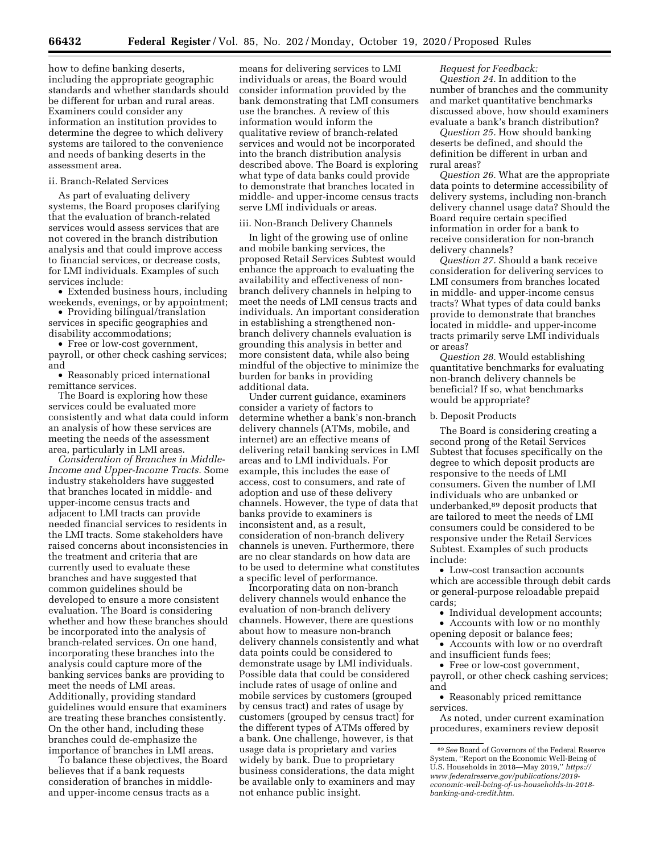how to define banking deserts, including the appropriate geographic standards and whether standards should be different for urban and rural areas. Examiners could consider any information an institution provides to determine the degree to which delivery systems are tailored to the convenience and needs of banking deserts in the

#### ii. Branch-Related Services

assessment area.

As part of evaluating delivery systems, the Board proposes clarifying that the evaluation of branch-related services would assess services that are not covered in the branch distribution analysis and that could improve access to financial services, or decrease costs, for LMI individuals. Examples of such services include:

• Extended business hours, including weekends, evenings, or by appointment;

• Providing bilingual/translation services in specific geographies and disability accommodations;

• Free or low-cost government, payroll, or other check cashing services; and

• Reasonably priced international remittance services.

The Board is exploring how these services could be evaluated more consistently and what data could inform an analysis of how these services are meeting the needs of the assessment area, particularly in LMI areas.

*Consideration of Branches in Middle-Income and Upper-Income Tracts.* Some industry stakeholders have suggested that branches located in middle- and upper-income census tracts and adjacent to LMI tracts can provide needed financial services to residents in the LMI tracts. Some stakeholders have raised concerns about inconsistencies in the treatment and criteria that are currently used to evaluate these branches and have suggested that common guidelines should be developed to ensure a more consistent evaluation. The Board is considering whether and how these branches should be incorporated into the analysis of branch-related services. On one hand, incorporating these branches into the analysis could capture more of the banking services banks are providing to meet the needs of LMI areas. Additionally, providing standard guidelines would ensure that examiners are treating these branches consistently. On the other hand, including these branches could de-emphasize the importance of branches in LMI areas.

To balance these objectives, the Board believes that if a bank requests consideration of branches in middleand upper-income census tracts as a

means for delivering services to LMI individuals or areas, the Board would consider information provided by the bank demonstrating that LMI consumers use the branches. A review of this information would inform the qualitative review of branch-related services and would not be incorporated into the branch distribution analysis described above. The Board is exploring what type of data banks could provide to demonstrate that branches located in middle- and upper-income census tracts serve LMI individuals or areas.

#### iii. Non-Branch Delivery Channels

In light of the growing use of online and mobile banking services, the proposed Retail Services Subtest would enhance the approach to evaluating the availability and effectiveness of nonbranch delivery channels in helping to meet the needs of LMI census tracts and individuals. An important consideration in establishing a strengthened nonbranch delivery channels evaluation is grounding this analysis in better and more consistent data, while also being mindful of the objective to minimize the burden for banks in providing additional data.

Under current guidance, examiners consider a variety of factors to determine whether a bank's non-branch delivery channels (ATMs, mobile, and internet) are an effective means of delivering retail banking services in LMI areas and to LMI individuals. For example, this includes the ease of access, cost to consumers, and rate of adoption and use of these delivery channels. However, the type of data that banks provide to examiners is inconsistent and, as a result, consideration of non-branch delivery channels is uneven. Furthermore, there are no clear standards on how data are to be used to determine what constitutes a specific level of performance.

Incorporating data on non-branch delivery channels would enhance the evaluation of non-branch delivery channels. However, there are questions about how to measure non-branch delivery channels consistently and what data points could be considered to demonstrate usage by LMI individuals. Possible data that could be considered include rates of usage of online and mobile services by customers (grouped by census tract) and rates of usage by customers (grouped by census tract) for the different types of ATMs offered by a bank. One challenge, however, is that usage data is proprietary and varies widely by bank. Due to proprietary business considerations, the data might be available only to examiners and may not enhance public insight.

#### *Request for Feedback:*

*Question 24.* In addition to the number of branches and the community and market quantitative benchmarks discussed above, how should examiners evaluate a bank's branch distribution?

*Question 25.* How should banking deserts be defined, and should the definition be different in urban and rural areas?

*Question 26.* What are the appropriate data points to determine accessibility of delivery systems, including non-branch delivery channel usage data? Should the Board require certain specified information in order for a bank to receive consideration for non-branch delivery channels?

*Question 27.* Should a bank receive consideration for delivering services to LMI consumers from branches located in middle- and upper-income census tracts? What types of data could banks provide to demonstrate that branches located in middle- and upper-income tracts primarily serve LMI individuals or areas?

*Question 28.* Would establishing quantitative benchmarks for evaluating non-branch delivery channels be beneficial? If so, what benchmarks would be appropriate?

#### b. Deposit Products

The Board is considering creating a second prong of the Retail Services Subtest that focuses specifically on the degree to which deposit products are responsive to the needs of LMI consumers. Given the number of LMI individuals who are unbanked or underbanked,89 deposit products that are tailored to meet the needs of LMI consumers could be considered to be responsive under the Retail Services Subtest. Examples of such products include:

• Low-cost transaction accounts which are accessible through debit cards or general-purpose reloadable prepaid cards;

- Individual development accounts; • Accounts with low or no monthly
- opening deposit or balance fees;
- Accounts with low or no overdraft and insufficient funds fees;

• Free or low-cost government, payroll, or other check cashing services; and

• Reasonably priced remittance services.

As noted, under current examination procedures, examiners review deposit

<sup>89</sup>*See* Board of Governors of the Federal Reserve System, ''Report on the Economic Well-Being of U.S. Households in 2018—May 2019,'' *[https://](https://www.federalreserve.gov/publications/2019-economic-well-being-of-us-households-in-2018-banking-and-credit.htm) [www.federalreserve.gov/publications/2019](https://www.federalreserve.gov/publications/2019-economic-well-being-of-us-households-in-2018-banking-and-credit.htm) [economic-well-being-of-us-households-in-2018](https://www.federalreserve.gov/publications/2019-economic-well-being-of-us-households-in-2018-banking-and-credit.htm)  [banking-and-credit.htm](https://www.federalreserve.gov/publications/2019-economic-well-being-of-us-households-in-2018-banking-and-credit.htm)*.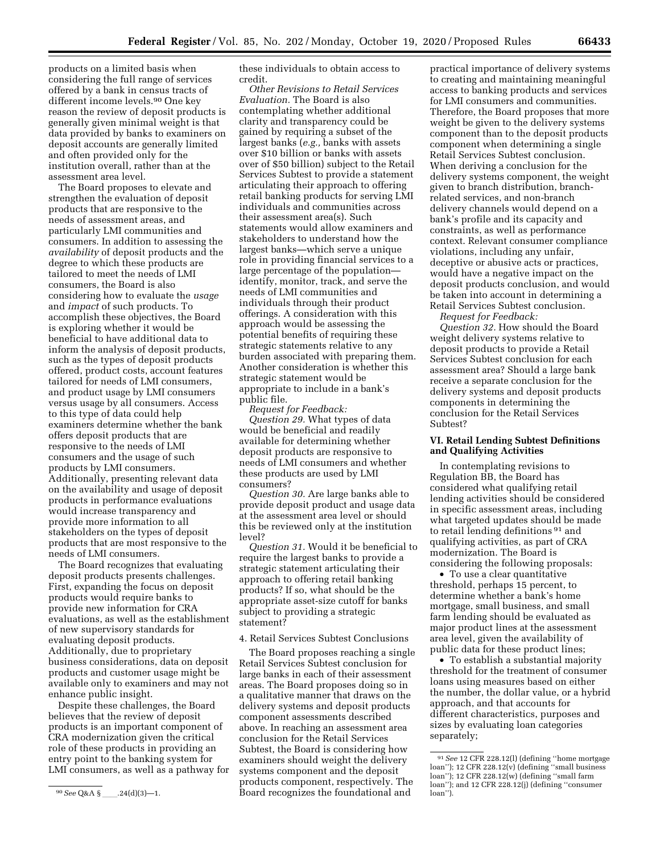products on a limited basis when considering the full range of services offered by a bank in census tracts of different income levels.90 One key reason the review of deposit products is generally given minimal weight is that data provided by banks to examiners on deposit accounts are generally limited and often provided only for the institution overall, rather than at the assessment area level.

The Board proposes to elevate and strengthen the evaluation of deposit products that are responsive to the needs of assessment areas, and particularly LMI communities and consumers. In addition to assessing the *availability* of deposit products and the degree to which these products are tailored to meet the needs of LMI consumers, the Board is also considering how to evaluate the *usage*  and *impact* of such products. To accomplish these objectives, the Board is exploring whether it would be beneficial to have additional data to inform the analysis of deposit products, such as the types of deposit products offered, product costs, account features tailored for needs of LMI consumers, and product usage by LMI consumers versus usage by all consumers. Access to this type of data could help examiners determine whether the bank offers deposit products that are responsive to the needs of LMI consumers and the usage of such products by LMI consumers. Additionally, presenting relevant data on the availability and usage of deposit products in performance evaluations would increase transparency and provide more information to all stakeholders on the types of deposit products that are most responsive to the needs of LMI consumers.

The Board recognizes that evaluating deposit products presents challenges. First, expanding the focus on deposit products would require banks to provide new information for CRA evaluations, as well as the establishment of new supervisory standards for evaluating deposit products. Additionally, due to proprietary business considerations, data on deposit products and customer usage might be available only to examiners and may not enhance public insight.

Despite these challenges, the Board believes that the review of deposit products is an important component of CRA modernization given the critical role of these products in providing an entry point to the banking system for LMI consumers, as well as a pathway for these individuals to obtain access to credit.

*Other Revisions to Retail Services Evaluation.* The Board is also contemplating whether additional clarity and transparency could be gained by requiring a subset of the largest banks (*e.g.,* banks with assets over \$10 billion or banks with assets over of \$50 billion) subject to the Retail Services Subtest to provide a statement articulating their approach to offering retail banking products for serving LMI individuals and communities across their assessment area(s). Such statements would allow examiners and stakeholders to understand how the largest banks—which serve a unique role in providing financial services to a large percentage of the population identify, monitor, track, and serve the needs of LMI communities and individuals through their product offerings. A consideration with this approach would be assessing the potential benefits of requiring these strategic statements relative to any burden associated with preparing them. Another consideration is whether this strategic statement would be appropriate to include in a bank's public file.

*Request for Feedback: Question 29.* What types of data would be beneficial and readily available for determining whether deposit products are responsive to needs of LMI consumers and whether these products are used by LMI consumers?

*Question 30.* Are large banks able to provide deposit product and usage data at the assessment area level or should this be reviewed only at the institution level?

*Question 31.* Would it be beneficial to require the largest banks to provide a strategic statement articulating their approach to offering retail banking products? If so, what should be the appropriate asset-size cutoff for banks subject to providing a strategic statement?

4. Retail Services Subtest Conclusions

The Board proposes reaching a single Retail Services Subtest conclusion for large banks in each of their assessment areas. The Board proposes doing so in a qualitative manner that draws on the delivery systems and deposit products component assessments described above. In reaching an assessment area conclusion for the Retail Services Subtest, the Board is considering how examiners should weight the delivery systems component and the deposit products component, respectively. The Board recognizes the foundational and

practical importance of delivery systems to creating and maintaining meaningful access to banking products and services for LMI consumers and communities. Therefore, the Board proposes that more weight be given to the delivery systems component than to the deposit products component when determining a single Retail Services Subtest conclusion. When deriving a conclusion for the delivery systems component, the weight given to branch distribution, branchrelated services, and non-branch delivery channels would depend on a bank's profile and its capacity and constraints, as well as performance context. Relevant consumer compliance violations, including any unfair, deceptive or abusive acts or practices, would have a negative impact on the deposit products conclusion, and would be taken into account in determining a Retail Services Subtest conclusion.

*Request for Feedback:* 

*Question 32.* How should the Board weight delivery systems relative to deposit products to provide a Retail Services Subtest conclusion for each assessment area? Should a large bank receive a separate conclusion for the delivery systems and deposit products components in determining the conclusion for the Retail Services Subtest?

#### **VI. Retail Lending Subtest Definitions and Qualifying Activities**

In contemplating revisions to Regulation BB, the Board has considered what qualifying retail lending activities should be considered in specific assessment areas, including what targeted updates should be made to retail lending definitions 91 and qualifying activities, as part of CRA modernization. The Board is considering the following proposals:

• To use a clear quantitative threshold, perhaps 15 percent, to determine whether a bank's home mortgage, small business, and small farm lending should be evaluated as major product lines at the assessment area level, given the availability of public data for these product lines;

• To establish a substantial majority threshold for the treatment of consumer loans using measures based on either the number, the dollar value, or a hybrid approach, and that accounts for different characteristics, purposes and sizes by evaluating loan categories separately;

<sup>90</sup> See Q&A §\_\_\_\_.24(d)(3)-1.

<sup>91</sup>*See* 12 CFR 228.12(l) (defining ''home mortgage loan''); 12 CFR 228.12(v) (defining ''small business loan''); 12 CFR 228.12(w) (defining ''small farm loan''); and 12 CFR 228.12(j) (defining ''consumer loan'').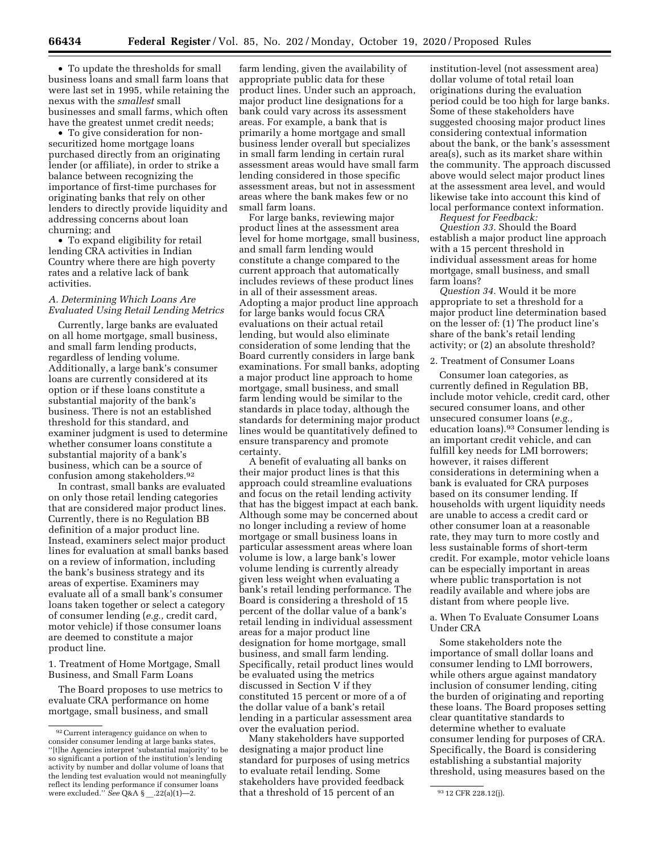• To update the thresholds for small business loans and small farm loans that were last set in 1995, while retaining the nexus with the *smallest* small businesses and small farms, which often have the greatest unmet credit needs;

• To give consideration for nonsecuritized home mortgage loans purchased directly from an originating lender (or affiliate), in order to strike a balance between recognizing the importance of first-time purchases for originating banks that rely on other lenders to directly provide liquidity and addressing concerns about loan churning; and

• To expand eligibility for retail lending CRA activities in Indian Country where there are high poverty rates and a relative lack of bank activities.

#### *A. Determining Which Loans Are Evaluated Using Retail Lending Metrics*

Currently, large banks are evaluated on all home mortgage, small business, and small farm lending products, regardless of lending volume. Additionally, a large bank's consumer loans are currently considered at its option or if these loans constitute a substantial majority of the bank's business. There is not an established threshold for this standard, and examiner judgment is used to determine whether consumer loans constitute a substantial majority of a bank's business, which can be a source of confusion among stakeholders.92

In contrast, small banks are evaluated on only those retail lending categories that are considered major product lines. Currently, there is no Regulation BB definition of a major product line. Instead, examiners select major product lines for evaluation at small banks based on a review of information, including the bank's business strategy and its areas of expertise. Examiners may evaluate all of a small bank's consumer loans taken together or select a category of consumer lending (*e.g.,* credit card, motor vehicle) if those consumer loans are deemed to constitute a major product line.

1. Treatment of Home Mortgage, Small Business, and Small Farm Loans

The Board proposes to use metrics to evaluate CRA performance on home mortgage, small business, and small

farm lending, given the availability of appropriate public data for these product lines. Under such an approach, major product line designations for a bank could vary across its assessment areas. For example, a bank that is primarily a home mortgage and small business lender overall but specializes in small farm lending in certain rural assessment areas would have small farm lending considered in those specific assessment areas, but not in assessment areas where the bank makes few or no small farm loans.

For large banks, reviewing major product lines at the assessment area level for home mortgage, small business, and small farm lending would constitute a change compared to the current approach that automatically includes reviews of these product lines in all of their assessment areas. Adopting a major product line approach for large banks would focus CRA evaluations on their actual retail lending, but would also eliminate consideration of some lending that the Board currently considers in large bank examinations. For small banks, adopting a major product line approach to home mortgage, small business, and small farm lending would be similar to the standards in place today, although the standards for determining major product lines would be quantitatively defined to ensure transparency and promote certainty.

A benefit of evaluating all banks on their major product lines is that this approach could streamline evaluations and focus on the retail lending activity that has the biggest impact at each bank. Although some may be concerned about no longer including a review of home mortgage or small business loans in particular assessment areas where loan volume is low, a large bank's lower volume lending is currently already given less weight when evaluating a bank's retail lending performance. The Board is considering a threshold of 15 percent of the dollar value of a bank's retail lending in individual assessment areas for a major product line designation for home mortgage, small business, and small farm lending. Specifically, retail product lines would be evaluated using the metrics discussed in Section V if they constituted 15 percent or more of a of the dollar value of a bank's retail lending in a particular assessment area over the evaluation period.

reflect its lending performance if consumer loans stakeholders have provided leedback and the state of the sta<br>were excluded.'' *See* Q&A § \_\_.22(a)(1)—2. that a threshold of 15 percent of an Many stakeholders have supported designating a major product line standard for purposes of using metrics to evaluate retail lending. Some stakeholders have provided feedback that a threshold of 15 percent of an

institution-level (not assessment area) dollar volume of total retail loan originations during the evaluation period could be too high for large banks. Some of these stakeholders have suggested choosing major product lines considering contextual information about the bank, or the bank's assessment area(s), such as its market share within the community. The approach discussed above would select major product lines at the assessment area level, and would likewise take into account this kind of local performance context information.

*Request for Feedback:* 

*Question 33.* Should the Board establish a major product line approach with a 15 percent threshold in individual assessment areas for home mortgage, small business, and small farm loans?

*Question 34.* Would it be more appropriate to set a threshold for a major product line determination based on the lesser of: (1) The product line's share of the bank's retail lending activity; or (2) an absolute threshold?

#### 2. Treatment of Consumer Loans

Consumer loan categories, as currently defined in Regulation BB, include motor vehicle, credit card, other secured consumer loans, and other unsecured consumer loans (*e.g.,*  education loans).93 Consumer lending is an important credit vehicle, and can fulfill key needs for LMI borrowers; however, it raises different considerations in determining when a bank is evaluated for CRA purposes based on its consumer lending. If households with urgent liquidity needs are unable to access a credit card or other consumer loan at a reasonable rate, they may turn to more costly and less sustainable forms of short-term credit. For example, motor vehicle loans can be especially important in areas where public transportation is not readily available and where jobs are distant from where people live.

a. When To Evaluate Consumer Loans Under CRA

Some stakeholders note the importance of small dollar loans and consumer lending to LMI borrowers, while others argue against mandatory inclusion of consumer lending, citing the burden of originating and reporting these loans. The Board proposes setting clear quantitative standards to determine whether to evaluate consumer lending for purposes of CRA. Specifically, the Board is considering establishing a substantial majority threshold, using measures based on the

<sup>92</sup>Current interagency guidance on when to consider consumer lending at large banks states, ''[t]he Agencies interpret 'substantial majority' to be so significant a portion of the institution's lending activity by number and dollar volume of loans that the lending test evaluation would not meaningfully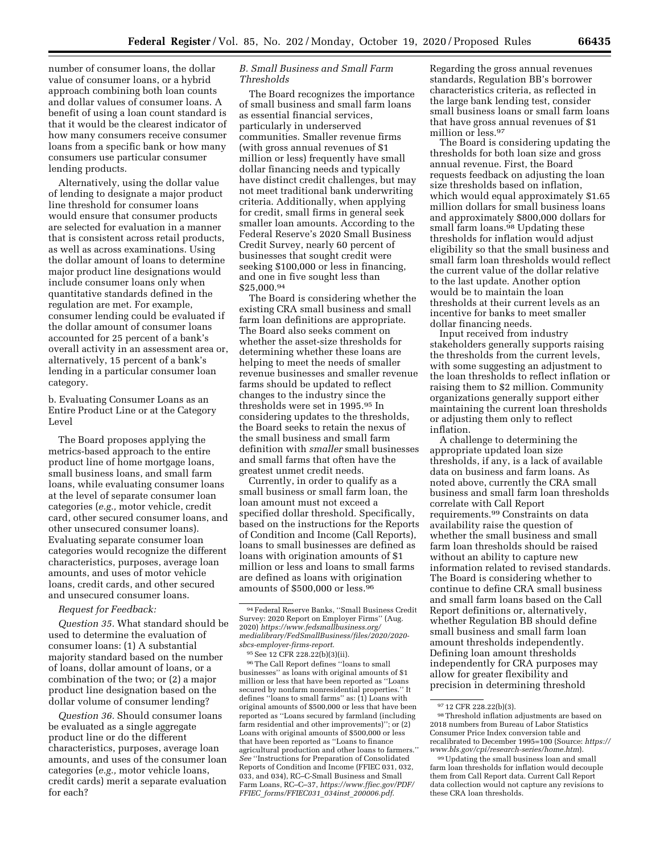number of consumer loans, the dollar value of consumer loans, or a hybrid approach combining both loan counts and dollar values of consumer loans. A benefit of using a loan count standard is that it would be the clearest indicator of how many consumers receive consumer loans from a specific bank or how many consumers use particular consumer lending products.

Alternatively, using the dollar value of lending to designate a major product line threshold for consumer loans would ensure that consumer products are selected for evaluation in a manner that is consistent across retail products, as well as across examinations. Using the dollar amount of loans to determine major product line designations would include consumer loans only when quantitative standards defined in the regulation are met. For example, consumer lending could be evaluated if the dollar amount of consumer loans accounted for 25 percent of a bank's overall activity in an assessment area or, alternatively, 15 percent of a bank's lending in a particular consumer loan category.

b. Evaluating Consumer Loans as an Entire Product Line or at the Category Level

The Board proposes applying the metrics-based approach to the entire product line of home mortgage loans, small business loans, and small farm loans, while evaluating consumer loans at the level of separate consumer loan categories (*e.g.,* motor vehicle, credit card, other secured consumer loans, and other unsecured consumer loans). Evaluating separate consumer loan categories would recognize the different characteristics, purposes, average loan amounts, and uses of motor vehicle loans, credit cards, and other secured and unsecured consumer loans.

#### *Request for Feedback:*

*Question 35.* What standard should be used to determine the evaluation of consumer loans: (1) A substantial majority standard based on the number of loans, dollar amount of loans, or a combination of the two; or (2) a major product line designation based on the dollar volume of consumer lending?

*Question 36.* Should consumer loans be evaluated as a single aggregate product line or do the different characteristics, purposes, average loan amounts, and uses of the consumer loan categories (*e.g.,* motor vehicle loans, credit cards) merit a separate evaluation for each?

#### *B. Small Business and Small Farm Thresholds*

The Board recognizes the importance of small business and small farm loans as essential financial services, particularly in underserved communities. Smaller revenue firms (with gross annual revenues of \$1 million or less) frequently have small dollar financing needs and typically have distinct credit challenges, but may not meet traditional bank underwriting criteria. Additionally, when applying for credit, small firms in general seek smaller loan amounts. According to the Federal Reserve's 2020 Small Business Credit Survey, nearly 60 percent of businesses that sought credit were seeking \$100,000 or less in financing, and one in five sought less than \$25,000.94

The Board is considering whether the existing CRA small business and small farm loan definitions are appropriate. The Board also seeks comment on whether the asset-size thresholds for determining whether these loans are helping to meet the needs of smaller revenue businesses and smaller revenue farms should be updated to reflect changes to the industry since the thresholds were set in 1995.95 In considering updates to the thresholds, the Board seeks to retain the nexus of the small business and small farm definition with *smaller* small businesses and small farms that often have the greatest unmet credit needs.

Currently, in order to qualify as a small business or small farm loan, the loan amount must not exceed a specified dollar threshold. Specifically, based on the instructions for the Reports of Condition and Income (Call Reports), loans to small businesses are defined as loans with origination amounts of \$1 million or less and loans to small farms are defined as loans with origination amounts of  $$500,000$  or less.<sup>96</sup>

95See 12 CFR 228.22(b)(3)(ii).

96The Call Report defines ''loans to small businesses'' as loans with original amounts of \$1 million or less that have been reported as ''Loans secured by nonfarm nonresidential properties.'' It defines ''loans to small farms'' as: (1) Loans with original amounts of \$500,000 or less that have been reported as ''Loans secured by farmland (including farm residential and other improvements)''; or (2) Loans with original amounts of \$500,000 or less that have been reported as ''Loans to finance agricultural production and other loans to farmers.'' *See* ''Instructions for Preparation of Consolidated Reports of Condition and Income (FFIEC 031, 032, 033, and 034), RC–C-Small Business and Small Farm Loans, RC–C–37, *[https://www.ffiec.gov/PDF/](https://www.ffiec.gov/PDF/FFIEC_forms/FFIEC031_034inst_200006.pdf) FFIEC*\_*[forms/FFIEC031](https://www.ffiec.gov/PDF/FFIEC_forms/FFIEC031_034inst_200006.pdf)*\_*034inst*\_*200006.pdf*.

Regarding the gross annual revenues standards, Regulation BB's borrower characteristics criteria, as reflected in the large bank lending test, consider small business loans or small farm loans that have gross annual revenues of \$1 million or less.97

The Board is considering updating the thresholds for both loan size and gross annual revenue. First, the Board requests feedback on adjusting the loan size thresholds based on inflation, which would equal approximately \$1.65 million dollars for small business loans and approximately \$800,000 dollars for small farm loans.<sup>98</sup> Updating these thresholds for inflation would adjust eligibility so that the small business and small farm loan thresholds would reflect the current value of the dollar relative to the last update. Another option would be to maintain the loan thresholds at their current levels as an incentive for banks to meet smaller dollar financing needs.

Input received from industry stakeholders generally supports raising the thresholds from the current levels, with some suggesting an adjustment to the loan thresholds to reflect inflation or raising them to \$2 million. Community organizations generally support either maintaining the current loan thresholds or adjusting them only to reflect inflation.

A challenge to determining the appropriate updated loan size thresholds, if any, is a lack of available data on business and farm loans. As noted above, currently the CRA small business and small farm loan thresholds correlate with Call Report requirements.99 Constraints on data availability raise the question of whether the small business and small farm loan thresholds should be raised without an ability to capture new information related to revised standards. The Board is considering whether to continue to define CRA small business and small farm loans based on the Call Report definitions or, alternatively, whether Regulation BB should define small business and small farm loan amount thresholds independently. Defining loan amount thresholds independently for CRA purposes may allow for greater flexibility and precision in determining threshold

<sup>94</sup>Federal Reserve Banks, ''Small Business Credit Survey: 2020 Report on Employer Firms'' (Aug. 2020) *[https://www.fedsmallbusiness.org/](https://www.fedsmallbusiness.org/medialibrary/FedSmallBusiness/files/2020/2020-sbcs-employer-firms-report) [medialibrary/FedSmallBusiness/files/2020/2020](https://www.fedsmallbusiness.org/medialibrary/FedSmallBusiness/files/2020/2020-sbcs-employer-firms-report)  [sbcs-employer-firms-report](https://www.fedsmallbusiness.org/medialibrary/FedSmallBusiness/files/2020/2020-sbcs-employer-firms-report)*.

 $^{97}$  12 CFR 228.22(b)(3).  $^{98}$  Threshold inflation adjustments are based on 2018 numbers from Bureau of Labor Statistics Consumer Price Index conversion table and recalibrated to December 1995=100 (Source: *[https://](https://www.bls.gov/cpi/research-series/home.htm)* 

<sup>&</sup>lt;sup>99</sup> Updating the small business loan and small farm loan thresholds for inflation would decouple them from Call Report data. Current Call Report data collection would not capture any revisions to these CRA loan thresholds.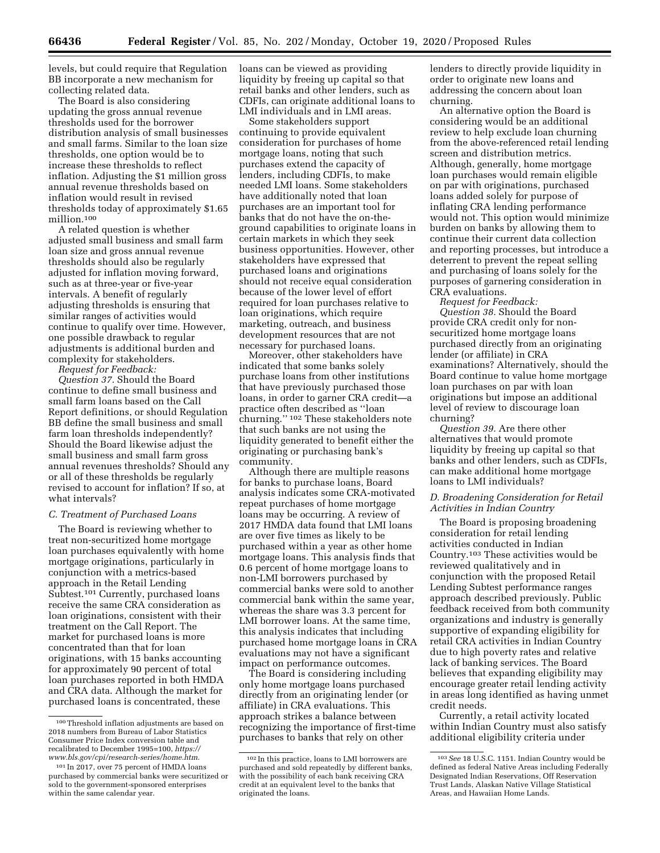levels, but could require that Regulation BB incorporate a new mechanism for collecting related data.

The Board is also considering updating the gross annual revenue thresholds used for the borrower distribution analysis of small businesses and small farms. Similar to the loan size thresholds, one option would be to increase these thresholds to reflect inflation. Adjusting the \$1 million gross annual revenue thresholds based on inflation would result in revised thresholds today of approximately \$1.65 million.100

A related question is whether adjusted small business and small farm loan size and gross annual revenue thresholds should also be regularly adjusted for inflation moving forward, such as at three-year or five-year intervals. A benefit of regularly adjusting thresholds is ensuring that similar ranges of activities would continue to qualify over time. However, one possible drawback to regular adjustments is additional burden and complexity for stakeholders.

*Request for Feedback:* 

*Question 37.* Should the Board continue to define small business and small farm loans based on the Call Report definitions, or should Regulation BB define the small business and small farm loan thresholds independently? Should the Board likewise adjust the small business and small farm gross annual revenues thresholds? Should any or all of these thresholds be regularly revised to account for inflation? If so, at what intervals?

#### *C. Treatment of Purchased Loans*

The Board is reviewing whether to treat non-securitized home mortgage loan purchases equivalently with home mortgage originations, particularly in conjunction with a metrics-based approach in the Retail Lending Subtest.101 Currently, purchased loans receive the same CRA consideration as loan originations, consistent with their treatment on the Call Report. The market for purchased loans is more concentrated than that for loan originations, with 15 banks accounting for approximately 90 percent of total loan purchases reported in both HMDA and CRA data. Although the market for purchased loans is concentrated, these

loans can be viewed as providing liquidity by freeing up capital so that retail banks and other lenders, such as CDFIs, can originate additional loans to LMI individuals and in LMI areas.

Some stakeholders support continuing to provide equivalent consideration for purchases of home mortgage loans, noting that such purchases extend the capacity of lenders, including CDFIs, to make needed LMI loans. Some stakeholders have additionally noted that loan purchases are an important tool for banks that do not have the on-theground capabilities to originate loans in certain markets in which they seek business opportunities. However, other stakeholders have expressed that purchased loans and originations should not receive equal consideration because of the lower level of effort required for loan purchases relative to loan originations, which require marketing, outreach, and business development resources that are not necessary for purchased loans.

Moreover, other stakeholders have indicated that some banks solely purchase loans from other institutions that have previously purchased those loans, in order to garner CRA credit—a practice often described as ''loan churning.'' 102 These stakeholders note that such banks are not using the liquidity generated to benefit either the originating or purchasing bank's community.

Although there are multiple reasons for banks to purchase loans, Board analysis indicates some CRA-motivated repeat purchases of home mortgage loans may be occurring. A review of 2017 HMDA data found that LMI loans are over five times as likely to be purchased within a year as other home mortgage loans. This analysis finds that 0.6 percent of home mortgage loans to non-LMI borrowers purchased by commercial banks were sold to another commercial bank within the same year, whereas the share was 3.3 percent for LMI borrower loans. At the same time, this analysis indicates that including purchased home mortgage loans in CRA evaluations may not have a significant impact on performance outcomes.

The Board is considering including only home mortgage loans purchased directly from an originating lender (or affiliate) in CRA evaluations. This approach strikes a balance between recognizing the importance of first-time purchases to banks that rely on other

lenders to directly provide liquidity in order to originate new loans and addressing the concern about loan churning.

An alternative option the Board is considering would be an additional review to help exclude loan churning from the above-referenced retail lending screen and distribution metrics. Although, generally, home mortgage loan purchases would remain eligible on par with originations, purchased loans added solely for purpose of inflating CRA lending performance would not. This option would minimize burden on banks by allowing them to continue their current data collection and reporting processes, but introduce a deterrent to prevent the repeat selling and purchasing of loans solely for the purposes of garnering consideration in CRA evaluations.

*Request for Feedback:* 

*Question 38.* Should the Board provide CRA credit only for nonsecuritized home mortgage loans purchased directly from an originating lender (or affiliate) in CRA examinations? Alternatively, should the Board continue to value home mortgage loan purchases on par with loan originations but impose an additional level of review to discourage loan churning?

*Question 39.* Are there other alternatives that would promote liquidity by freeing up capital so that banks and other lenders, such as CDFIs, can make additional home mortgage loans to LMI individuals?

#### *D. Broadening Consideration for Retail Activities in Indian Country*

The Board is proposing broadening consideration for retail lending activities conducted in Indian Country.103 These activities would be reviewed qualitatively and in conjunction with the proposed Retail Lending Subtest performance ranges approach described previously. Public feedback received from both community organizations and industry is generally supportive of expanding eligibility for retail CRA activities in Indian Country due to high poverty rates and relative lack of banking services. The Board believes that expanding eligibility may encourage greater retail lending activity in areas long identified as having unmet credit needs.

Currently, a retail activity located within Indian Country must also satisfy additional eligibility criteria under

<sup>100</sup>Threshold inflation adjustments are based on 2018 numbers from Bureau of Labor Statistics Consumer Price Index conversion table and recalibrated to December 1995=100, *[https://](https://www.bls.gov/cpi/research-series/home.htm) [www.bls.gov/cpi/research-series/home.htm](https://www.bls.gov/cpi/research-series/home.htm)*.

<sup>101</sup> In 2017, over 75 percent of HMDA loans purchased by commercial banks were securitized or sold to the government-sponsored enterprises within the same calendar year.

<sup>102</sup> In this practice, loans to LMI borrowers are purchased and sold repeatedly by different banks, with the possibility of each bank receiving CRA credit at an equivalent level to the banks that originated the loans.

<sup>103</sup>*See* 18 U.S.C. 1151. Indian Country would be defined as federal Native Areas including Federally Designated Indian Reservations, Off Reservation Trust Lands, Alaskan Native Village Statistical Areas, and Hawaiian Home Lands.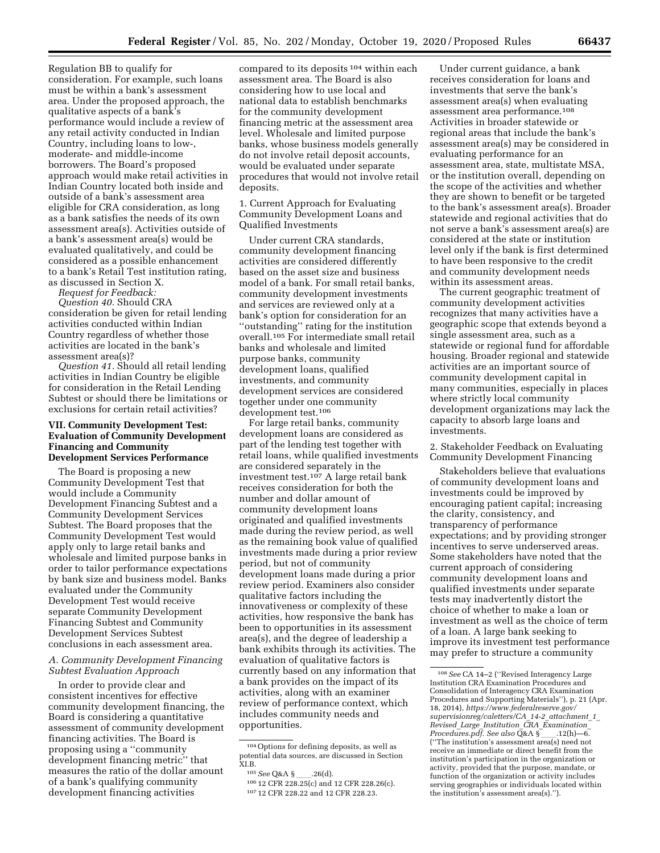Regulation BB to qualify for consideration. For example, such loans must be within a bank's assessment area. Under the proposed approach, the qualitative aspects of a bank's performance would include a review of any retail activity conducted in Indian Country, including loans to low-, moderate- and middle-income borrowers. The Board's proposed approach would make retail activities in Indian Country located both inside and outside of a bank's assessment area eligible for CRA consideration, as long as a bank satisfies the needs of its own assessment area(s). Activities outside of a bank's assessment area(s) would be evaluated qualitatively, and could be considered as a possible enhancement to a bank's Retail Test institution rating, as discussed in Section X.

*Request for Feedback:* 

*Question 40.* Should CRA consideration be given for retail lending activities conducted within Indian Country regardless of whether those activities are located in the bank's assessment area(s)?

*Question 41.* Should all retail lending activities in Indian Country be eligible for consideration in the Retail Lending Subtest or should there be limitations or exclusions for certain retail activities?

#### **VII. Community Development Test: Evaluation of Community Development Financing and Community Development Services Performance**

The Board is proposing a new Community Development Test that would include a Community Development Financing Subtest and a Community Development Services Subtest. The Board proposes that the Community Development Test would apply only to large retail banks and wholesale and limited purpose banks in order to tailor performance expectations by bank size and business model. Banks evaluated under the Community Development Test would receive separate Community Development Financing Subtest and Community Development Services Subtest conclusions in each assessment area.

#### *A. Community Development Financing Subtest Evaluation Approach*

In order to provide clear and consistent incentives for effective community development financing, the Board is considering a quantitative assessment of community development financing activities. The Board is proposing using a ''community development financing metric'' that measures the ratio of the dollar amount of a bank's qualifying community development financing activities

compared to its deposits 104 within each assessment area. The Board is also considering how to use local and national data to establish benchmarks for the community development financing metric at the assessment area level. Wholesale and limited purpose banks, whose business models generally do not involve retail deposit accounts, would be evaluated under separate procedures that would not involve retail deposits.

1. Current Approach for Evaluating Community Development Loans and Qualified Investments

Under current CRA standards, community development financing activities are considered differently based on the asset size and business model of a bank. For small retail banks, community development investments and services are reviewed only at a bank's option for consideration for an ''outstanding'' rating for the institution overall.105 For intermediate small retail banks and wholesale and limited purpose banks, community development loans, qualified investments, and community development services are considered together under one community development test.106

For large retail banks, community development loans are considered as part of the lending test together with retail loans, while qualified investments are considered separately in the investment test.107 A large retail bank receives consideration for both the number and dollar amount of community development loans originated and qualified investments made during the review period, as well as the remaining book value of qualified investments made during a prior review period, but not of community development loans made during a prior review period. Examiners also consider qualitative factors including the innovativeness or complexity of these activities, how responsive the bank has been to opportunities in its assessment area(s), and the degree of leadership a bank exhibits through its activities. The evaluation of qualitative factors is currently based on any information that a bank provides on the impact of its activities, along with an examiner review of performance context, which includes community needs and opportunities.

Under current guidance, a bank receives consideration for loans and investments that serve the bank's assessment area(s) when evaluating assessment area performance.108 Activities in broader statewide or regional areas that include the bank's assessment area(s) may be considered in evaluating performance for an assessment area, state, multistate MSA, or the institution overall, depending on the scope of the activities and whether they are shown to benefit or be targeted to the bank's assessment area(s). Broader statewide and regional activities that do not serve a bank's assessment area(s) are considered at the state or institution level only if the bank is first determined to have been responsive to the credit and community development needs within its assessment areas.

The current geographic treatment of community development activities recognizes that many activities have a geographic scope that extends beyond a single assessment area, such as a statewide or regional fund for affordable housing. Broader regional and statewide activities are an important source of community development capital in many communities, especially in places where strictly local community development organizations may lack the capacity to absorb large loans and investments.

2. Stakeholder Feedback on Evaluating Community Development Financing

Stakeholders believe that evaluations of community development loans and investments could be improved by encouraging patient capital; increasing the clarity, consistency, and transparency of performance expectations; and by providing stronger incentives to serve underserved areas. Some stakeholders have noted that the current approach of considering community development loans and qualified investments under separate tests may inadvertently distort the choice of whether to make a loan or investment as well as the choice of term of a loan. A large bank seeking to improve its investment test performance may prefer to structure a community

<sup>104</sup>Options for defining deposits, as well as potential data sources, are discussed in Section XI.B.

<sup>&</sup>lt;sup>105</sup> See Q&A §\_\_\_\_.26(d).<br><sup>106</sup> 12 CFR 228.25(c) and 12 CFR 228.26(c).

<sup>107</sup> 12 CFR 228.22 and 12 CFR 228.23.

<sup>108</sup>*See* CA 14–2 (''Revised Interagency Large Institution CRA Examination Procedures and Consolidation of Interagency CRA Examination Procedures and Supporting Materials''), p. 21 (Apr. 18, 2014), *[https://www.federalreserve.gov/](https://www.federalreserve.gov/supervisionreg/caletters/CA_14-2_attachment_1_Revised_Large_Institution_CRA_Examination_Procedures.pdf)  [supervisionreg/caletters/CA](https://www.federalreserve.gov/supervisionreg/caletters/CA_14-2_attachment_1_Revised_Large_Institution_CRA_Examination_Procedures.pdf)*\_*14-2*\_*attachment*\_*1*\_ *Revised*\_*Large*\_*Institution*\_*CRA*\_*[Examination](https://www.federalreserve.gov/supervisionreg/caletters/CA_14-2_attachment_1_Revised_Large_Institution_CRA_Examination_Procedures.pdf)*\_ *[Procedures.pdf.](https://www.federalreserve.gov/supervisionreg/caletters/CA_14-2_attachment_1_Revised_Large_Institution_CRA_Examination_Procedures.pdf) See also* Q&A §ll.12(h)—6. (''The institution's assessment area(s) need not receive an immediate or direct benefit from the institution's participation in the organization or activity, provided that the purpose, mandate, or function of the organization or activity includes serving geographies or individuals located within the institution's assessment area(s).'').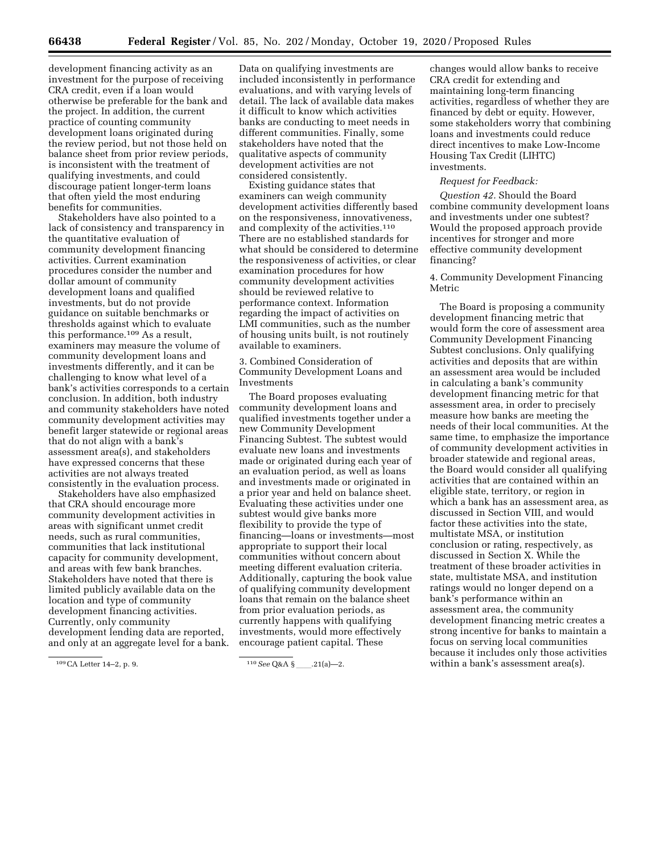development financing activity as an investment for the purpose of receiving CRA credit, even if a loan would otherwise be preferable for the bank and the project. In addition, the current practice of counting community development loans originated during the review period, but not those held on balance sheet from prior review periods, is inconsistent with the treatment of qualifying investments, and could discourage patient longer-term loans that often yield the most enduring benefits for communities.

Stakeholders have also pointed to a lack of consistency and transparency in the quantitative evaluation of community development financing activities. Current examination procedures consider the number and dollar amount of community development loans and qualified investments, but do not provide guidance on suitable benchmarks or thresholds against which to evaluate this performance.109 As a result, examiners may measure the volume of community development loans and investments differently, and it can be challenging to know what level of a bank's activities corresponds to a certain conclusion. In addition, both industry and community stakeholders have noted community development activities may benefit larger statewide or regional areas that do not align with a bank's assessment area(s), and stakeholders have expressed concerns that these activities are not always treated consistently in the evaluation process.

Stakeholders have also emphasized that CRA should encourage more community development activities in areas with significant unmet credit needs, such as rural communities, communities that lack institutional capacity for community development, and areas with few bank branches. Stakeholders have noted that there is limited publicly available data on the location and type of community development financing activities. Currently, only community development lending data are reported, and only at an aggregate level for a bank.

Data on qualifying investments are included inconsistently in performance evaluations, and with varying levels of detail. The lack of available data makes it difficult to know which activities banks are conducting to meet needs in different communities. Finally, some stakeholders have noted that the qualitative aspects of community development activities are not considered consistently.

Existing guidance states that examiners can weigh community development activities differently based on the responsiveness, innovativeness, and complexity of the activities.110 There are no established standards for what should be considered to determine the responsiveness of activities, or clear examination procedures for how community development activities should be reviewed relative to performance context. Information regarding the impact of activities on LMI communities, such as the number of housing units built, is not routinely available to examiners.

3. Combined Consideration of Community Development Loans and Investments

The Board proposes evaluating community development loans and qualified investments together under a new Community Development Financing Subtest. The subtest would evaluate new loans and investments made or originated during each year of an evaluation period, as well as loans and investments made or originated in a prior year and held on balance sheet. Evaluating these activities under one subtest would give banks more flexibility to provide the type of financing—loans or investments—most appropriate to support their local communities without concern about meeting different evaluation criteria. Additionally, capturing the book value of qualifying community development loans that remain on the balance sheet from prior evaluation periods, as currently happens with qualifying investments, would more effectively encourage patient capital. These

changes would allow banks to receive CRA credit for extending and maintaining long-term financing activities, regardless of whether they are financed by debt or equity. However, some stakeholders worry that combining loans and investments could reduce direct incentives to make Low-Income Housing Tax Credit (LIHTC) investments.

#### *Request for Feedback:*

*Question 42.* Should the Board combine community development loans and investments under one subtest? Would the proposed approach provide incentives for stronger and more effective community development financing?

#### 4. Community Development Financing Metric

The Board is proposing a community development financing metric that would form the core of assessment area Community Development Financing Subtest conclusions. Only qualifying activities and deposits that are within an assessment area would be included in calculating a bank's community development financing metric for that assessment area, in order to precisely measure how banks are meeting the needs of their local communities. At the same time, to emphasize the importance of community development activities in broader statewide and regional areas, the Board would consider all qualifying activities that are contained within an eligible state, territory, or region in which a bank has an assessment area, as discussed in Section VIII, and would factor these activities into the state, multistate MSA, or institution conclusion or rating, respectively, as discussed in Section X. While the treatment of these broader activities in state, multistate MSA, and institution ratings would no longer depend on a bank's performance within an assessment area, the community development financing metric creates a strong incentive for banks to maintain a focus on serving local communities because it includes only those activities within a bank's assessment area(s).

<sup>109</sup>CA Letter 14–2, p. 9. 110*See* Q&A §ll.21(a)—2.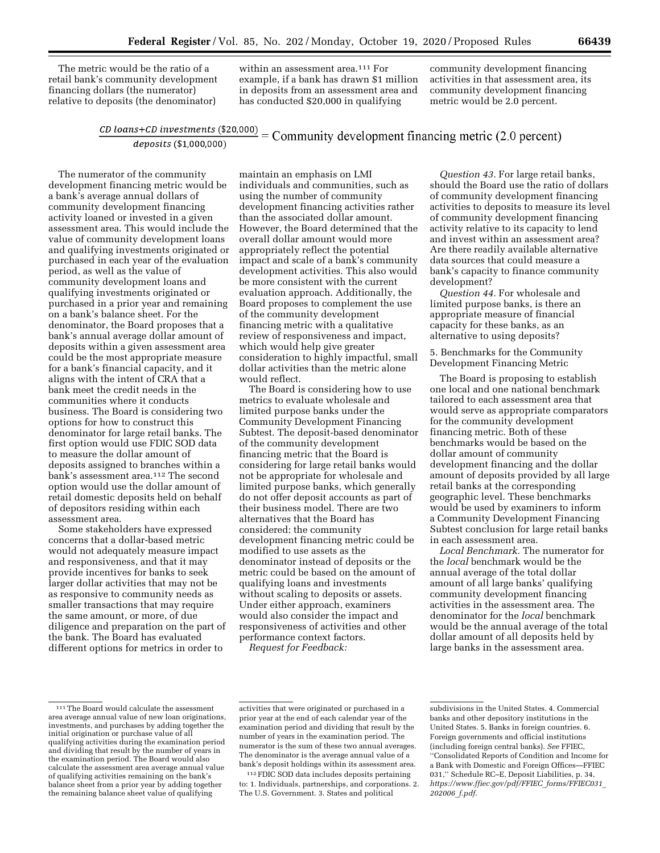The metric would be the ratio of a retail bank's community development financing dollars (the numerator) relative to deposits (the denominator)

within an assessment area.<sup>111</sup> For example, if a bank has drawn \$1 million in deposits from an assessment area and has conducted \$20,000 in qualifying

community development financing activities in that assessment area, its community development financing metric would be 2.0 percent.

#### $\frac{CD\; loans + CD\; investments\; ($1,000,000)}{deposits\; ($1,000,000)} = \text{Commutity development financing metric (2.0 percent)}$ deposits (\$1,000,000)

The numerator of the community development financing metric would be a bank's average annual dollars of community development financing activity loaned or invested in a given assessment area. This would include the value of community development loans and qualifying investments originated or purchased in each year of the evaluation period, as well as the value of community development loans and qualifying investments originated or purchased in a prior year and remaining on a bank's balance sheet. For the denominator, the Board proposes that a bank's annual average dollar amount of deposits within a given assessment area could be the most appropriate measure for a bank's financial capacity, and it aligns with the intent of CRA that a bank meet the credit needs in the communities where it conducts business. The Board is considering two options for how to construct this denominator for large retail banks. The first option would use FDIC SOD data to measure the dollar amount of deposits assigned to branches within a bank's assessment area.<sup>112</sup> The second option would use the dollar amount of retail domestic deposits held on behalf of depositors residing within each assessment area.

Some stakeholders have expressed concerns that a dollar-based metric would not adequately measure impact and responsiveness, and that it may provide incentives for banks to seek larger dollar activities that may not be as responsive to community needs as smaller transactions that may require the same amount, or more, of due diligence and preparation on the part of the bank. The Board has evaluated different options for metrics in order to

maintain an emphasis on LMI individuals and communities, such as using the number of community development financing activities rather than the associated dollar amount. However, the Board determined that the overall dollar amount would more appropriately reflect the potential impact and scale of a bank's community development activities. This also would be more consistent with the current evaluation approach. Additionally, the Board proposes to complement the use of the community development financing metric with a qualitative review of responsiveness and impact, which would help give greater consideration to highly impactful, small dollar activities than the metric alone would reflect.

The Board is considering how to use metrics to evaluate wholesale and limited purpose banks under the Community Development Financing Subtest. The deposit-based denominator of the community development financing metric that the Board is considering for large retail banks would not be appropriate for wholesale and limited purpose banks, which generally do not offer deposit accounts as part of their business model. There are two alternatives that the Board has considered: the community development financing metric could be modified to use assets as the denominator instead of deposits or the metric could be based on the amount of qualifying loans and investments without scaling to deposits or assets. Under either approach, examiners would also consider the impact and responsiveness of activities and other performance context factors.

*Request for Feedback:* 

*Question 43.* For large retail banks, should the Board use the ratio of dollars of community development financing activities to deposits to measure its level of community development financing activity relative to its capacity to lend and invest within an assessment area? Are there readily available alternative data sources that could measure a bank's capacity to finance community development?

*Question 44.* For wholesale and limited purpose banks, is there an appropriate measure of financial capacity for these banks, as an alternative to using deposits?

5. Benchmarks for the Community Development Financing Metric

The Board is proposing to establish one local and one national benchmark tailored to each assessment area that would serve as appropriate comparators for the community development financing metric. Both of these benchmarks would be based on the dollar amount of community development financing and the dollar amount of deposits provided by all large retail banks at the corresponding geographic level. These benchmarks would be used by examiners to inform a Community Development Financing Subtest conclusion for large retail banks in each assessment area.

*Local Benchmark.* The numerator for the *local* benchmark would be the annual average of the total dollar amount of all large banks' qualifying community development financing activities in the assessment area. The denominator for the *local* benchmark would be the annual average of the total dollar amount of all deposits held by large banks in the assessment area.

112FDIC SOD data includes deposits pertaining to: 1. Individuals, partnerships, and corporations. 2. The U.S. Government. 3. States and political

<sup>111</sup>The Board would calculate the assessment area average annual value of new loan originations, investments, and purchases by adding together the initial origination or purchase value of all qualifying activities during the examination period and dividing that result by the number of years in the examination period. The Board would also calculate the assessment area average annual value of qualifying activities remaining on the bank's balance sheet from a prior year by adding together the remaining balance sheet value of qualifying

activities that were originated or purchased in a prior year at the end of each calendar year of the examination period and dividing that result by the number of years in the examination period. The numerator is the sum of these two annual averages. The denominator is the average annual value of a bank's deposit holdings within its assessment area.

subdivisions in the United States. 4. Commercial banks and other depository institutions in the United States. 5. Banks in foreign countries. 6. Foreign governments and official institutions (including foreign central banks). *See* FFIEC, ''Consolidated Reports of Condition and Income for a Bank with Domestic and Foreign Offices—FFIEC 031,'' Schedule RC–E, Deposit Liabilities, p. 34, *[https://www.ffiec.gov/pdf/FFIEC](https://www.ffiec.gov/pdf/FFIEC_forms/FFIEC031_202006_f.pdf)*\_*forms/FFIEC031*\_ *[202006](https://www.ffiec.gov/pdf/FFIEC_forms/FFIEC031_202006_f.pdf)*\_*f.pdf*.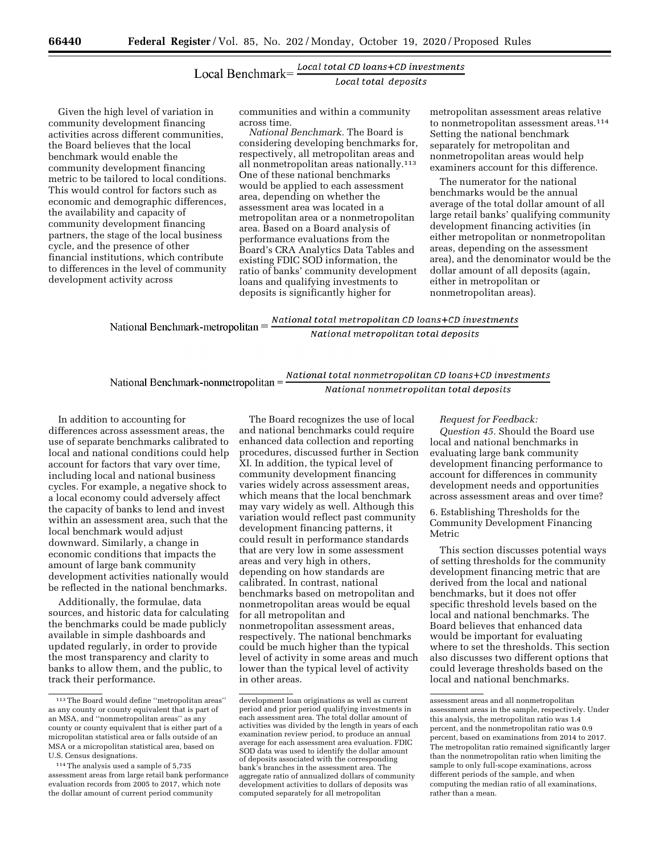## $Local \, \, \text{Benchmark} \text{=} \frac{\text{Local total CD loans} + \text{CD investments}}{\text{Local total deposits}}$

Given the high level of variation in community development financing activities across different communities, the Board believes that the local benchmark would enable the community development financing metric to be tailored to local conditions. This would control for factors such as economic and demographic differences, the availability and capacity of community development financing partners, the stage of the local business cycle, and the presence of other financial institutions, which contribute to differences in the level of community development activity across

communities and within a community across time.

*National Benchmark.* The Board is considering developing benchmarks for, respectively, all metropolitan areas and all nonmetropolitan areas nationally.113 One of these national benchmarks would be applied to each assessment area, depending on whether the assessment area was located in a metropolitan area or a nonmetropolitan area. Based on a Board analysis of performance evaluations from the Board's CRA Analytics Data Tables and existing FDIC SOD information, the ratio of banks' community development loans and qualifying investments to deposits is significantly higher for

metropolitan assessment areas relative to nonmetropolitan assessment areas.114 Setting the national benchmark separately for metropolitan and nonmetropolitan areas would help examiners account for this difference.

The numerator for the national benchmarks would be the annual average of the total dollar amount of all large retail banks' qualifying community development financing activities (in either metropolitan or nonmetropolitan areas, depending on the assessment area), and the denominator would be the dollar amount of all deposits (again, either in metropolitan or nonmetropolitan areas).

National Benchmark-metropolitan =  $\frac{National\ total\ metropolitan\ CD\ loans + CD\ investments}{National\ metropolitan\ total\ deposits}$ 

National Benchmark-nonmetropolitan =  $\frac{National\ total\ non\ metropolitan\ CD\ loans + CD\ investments}{National\ non\ metropolitan\ total\ deposits}$ 

In addition to accounting for differences across assessment areas, the use of separate benchmarks calibrated to local and national conditions could help account for factors that vary over time, including local and national business cycles. For example, a negative shock to a local economy could adversely affect the capacity of banks to lend and invest within an assessment area, such that the local benchmark would adjust downward. Similarly, a change in economic conditions that impacts the amount of large bank community development activities nationally would be reflected in the national benchmarks.

Additionally, the formulae, data sources, and historic data for calculating the benchmarks could be made publicly available in simple dashboards and updated regularly, in order to provide the most transparency and clarity to banks to allow them, and the public, to track their performance.

The Board recognizes the use of local and national benchmarks could require enhanced data collection and reporting procedures, discussed further in Section XI. In addition, the typical level of community development financing varies widely across assessment areas, which means that the local benchmark may vary widely as well. Although this variation would reflect past community development financing patterns, it could result in performance standards that are very low in some assessment areas and very high in others, depending on how standards are calibrated. In contrast, national benchmarks based on metropolitan and nonmetropolitan areas would be equal for all metropolitan and nonmetropolitan assessment areas, respectively. The national benchmarks could be much higher than the typical level of activity in some areas and much lower than the typical level of activity in other areas.

#### *Request for Feedback:*

*Question 45.* Should the Board use local and national benchmarks in evaluating large bank community development financing performance to account for differences in community development needs and opportunities across assessment areas and over time?

6. Establishing Thresholds for the Community Development Financing Metric

This section discusses potential ways of setting thresholds for the community development financing metric that are derived from the local and national benchmarks, but it does not offer specific threshold levels based on the local and national benchmarks. The Board believes that enhanced data would be important for evaluating where to set the thresholds. This section also discusses two different options that could leverage thresholds based on the local and national benchmarks.

<sup>113</sup>The Board would define ''metropolitan areas'' as any county or county equivalent that is part of an MSA, and ''nonmetropolitan areas'' as any county or county equivalent that is either part of a micropolitan statistical area or falls outside of an MSA or a micropolitan statistical area, based on U.S. Census designations.

<sup>114</sup>The analysis used a sample of 5,735 assessment areas from large retail bank performance evaluation records from 2005 to 2017, which note the dollar amount of current period community

development loan originations as well as current period and prior period qualifying investments in each assessment area. The total dollar amount of activities was divided by the length in years of each examination review period, to produce an annual average for each assessment area evaluation. FDIC SOD data was used to identify the dollar amount of deposits associated with the corresponding bank's branches in the assessment area. The aggregate ratio of annualized dollars of community development activities to dollars of deposits was computed separately for all metropolitan

assessment areas and all nonmetropolitan assessment areas in the sample, respectively. Under this analysis, the metropolitan ratio was 1.4 percent, and the nonmetropolitan ratio was 0.9 percent, based on examinations from 2014 to 2017. The metropolitan ratio remained significantly larger than the nonmetropolitan ratio when limiting the sample to only full-scope examinations, across different periods of the sample, and when computing the median ratio of all examinations, rather than a mean.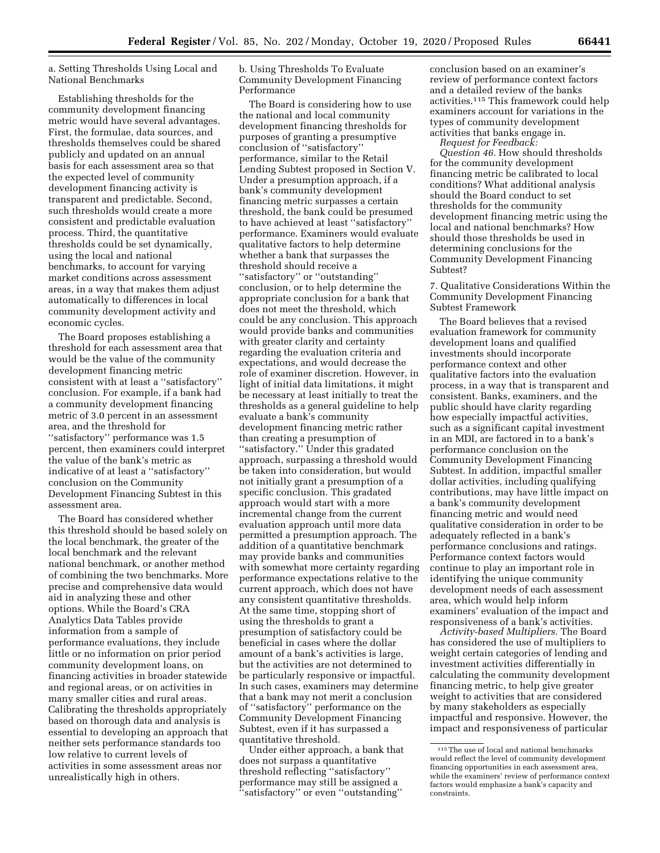a. Setting Thresholds Using Local and National Benchmarks

Establishing thresholds for the community development financing metric would have several advantages. First, the formulae, data sources, and thresholds themselves could be shared publicly and updated on an annual basis for each assessment area so that the expected level of community development financing activity is transparent and predictable. Second, such thresholds would create a more consistent and predictable evaluation process. Third, the quantitative thresholds could be set dynamically, using the local and national benchmarks, to account for varying market conditions across assessment areas, in a way that makes them adjust automatically to differences in local community development activity and economic cycles.

The Board proposes establishing a threshold for each assessment area that would be the value of the community development financing metric consistent with at least a ''satisfactory'' conclusion. For example, if a bank had a community development financing metric of 3.0 percent in an assessment area, and the threshold for ''satisfactory'' performance was 1.5 percent, then examiners could interpret the value of the bank's metric as indicative of at least a ''satisfactory'' conclusion on the Community Development Financing Subtest in this assessment area.

The Board has considered whether this threshold should be based solely on the local benchmark, the greater of the local benchmark and the relevant national benchmark, or another method of combining the two benchmarks. More precise and comprehensive data would aid in analyzing these and other options. While the Board's CRA Analytics Data Tables provide information from a sample of performance evaluations, they include little or no information on prior period community development loans, on financing activities in broader statewide and regional areas, or on activities in many smaller cities and rural areas. Calibrating the thresholds appropriately based on thorough data and analysis is essential to developing an approach that neither sets performance standards too low relative to current levels of activities in some assessment areas nor unrealistically high in others.

b. Using Thresholds To Evaluate Community Development Financing Performance

The Board is considering how to use the national and local community development financing thresholds for purposes of granting a presumptive conclusion of ''satisfactory'' performance, similar to the Retail Lending Subtest proposed in Section V. Under a presumption approach, if a bank's community development financing metric surpasses a certain threshold, the bank could be presumed to have achieved at least ''satisfactory'' performance. Examiners would evaluate qualitative factors to help determine whether a bank that surpasses the threshold should receive a ''satisfactory'' or ''outstanding'' conclusion, or to help determine the appropriate conclusion for a bank that does not meet the threshold, which could be any conclusion. This approach would provide banks and communities with greater clarity and certainty regarding the evaluation criteria and expectations, and would decrease the role of examiner discretion. However, in light of initial data limitations, it might be necessary at least initially to treat the thresholds as a general guideline to help evaluate a bank's community development financing metric rather than creating a presumption of ''satisfactory.'' Under this gradated approach, surpassing a threshold would be taken into consideration, but would not initially grant a presumption of a specific conclusion. This gradated approach would start with a more incremental change from the current evaluation approach until more data permitted a presumption approach. The addition of a quantitative benchmark may provide banks and communities with somewhat more certainty regarding performance expectations relative to the current approach, which does not have any consistent quantitative thresholds. At the same time, stopping short of using the thresholds to grant a presumption of satisfactory could be beneficial in cases where the dollar amount of a bank's activities is large, but the activities are not determined to be particularly responsive or impactful. In such cases, examiners may determine that a bank may not merit a conclusion of ''satisfactory'' performance on the Community Development Financing Subtest, even if it has surpassed a quantitative threshold.

Under either approach, a bank that does not surpass a quantitative threshold reflecting ''satisfactory'' performance may still be assigned a ''satisfactory'' or even ''outstanding''

conclusion based on an examiner's review of performance context factors and a detailed review of the banks activities.115 This framework could help examiners account for variations in the types of community development activities that banks engage in. *Request for Feedback:* 

*Question 46.* How should thresholds for the community development financing metric be calibrated to local conditions? What additional analysis should the Board conduct to set thresholds for the community development financing metric using the local and national benchmarks? How should those thresholds be used in determining conclusions for the Community Development Financing Subtest?

7. Qualitative Considerations Within the Community Development Financing Subtest Framework

The Board believes that a revised evaluation framework for community development loans and qualified investments should incorporate performance context and other qualitative factors into the evaluation process, in a way that is transparent and consistent. Banks, examiners, and the public should have clarity regarding how especially impactful activities, such as a significant capital investment in an MDI, are factored in to a bank's performance conclusion on the Community Development Financing Subtest. In addition, impactful smaller dollar activities, including qualifying contributions, may have little impact on a bank's community development financing metric and would need qualitative consideration in order to be adequately reflected in a bank's performance conclusions and ratings. Performance context factors would continue to play an important role in identifying the unique community development needs of each assessment area, which would help inform examiners' evaluation of the impact and responsiveness of a bank's activities.

*Activity-based Multipliers.* The Board has considered the use of multipliers to weight certain categories of lending and investment activities differentially in calculating the community development financing metric, to help give greater weight to activities that are considered by many stakeholders as especially impactful and responsive. However, the impact and responsiveness of particular

<sup>115</sup>The use of local and national benchmarks would reflect the level of community development financing opportunities in each assessment area, while the examiners' review of performance context factors would emphasize a bank's capacity and constraints.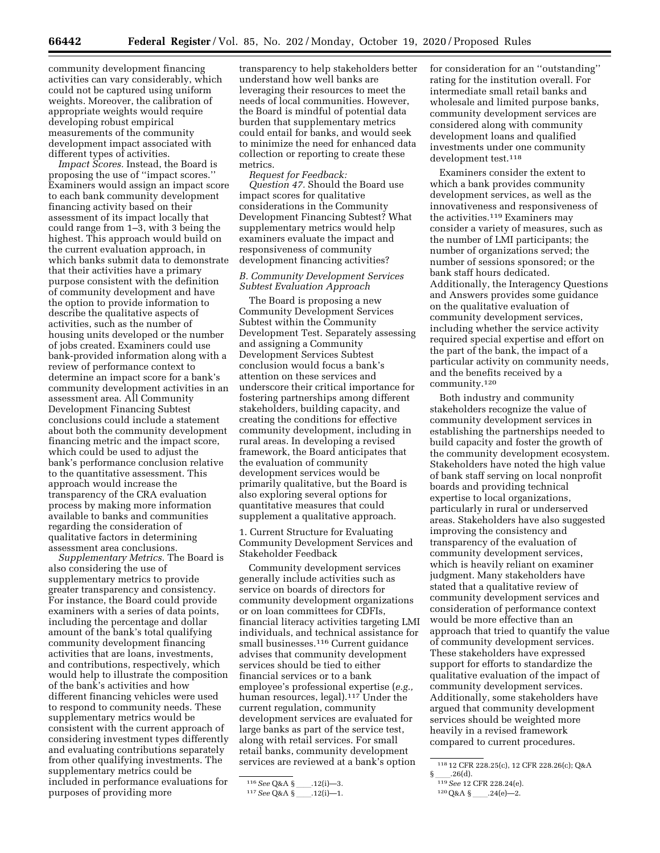community development financing activities can vary considerably, which could not be captured using uniform weights. Moreover, the calibration of appropriate weights would require developing robust empirical measurements of the community development impact associated with different types of activities.

*Impact Scores.* Instead, the Board is proposing the use of ''impact scores.'' Examiners would assign an impact score to each bank community development financing activity based on their assessment of its impact locally that could range from 1–3, with 3 being the highest. This approach would build on the current evaluation approach, in which banks submit data to demonstrate that their activities have a primary purpose consistent with the definition of community development and have the option to provide information to describe the qualitative aspects of activities, such as the number of housing units developed or the number of jobs created. Examiners could use bank-provided information along with a review of performance context to determine an impact score for a bank's community development activities in an assessment area. All Community Development Financing Subtest conclusions could include a statement about both the community development financing metric and the impact score, which could be used to adjust the bank's performance conclusion relative to the quantitative assessment. This approach would increase the transparency of the CRA evaluation process by making more information available to banks and communities regarding the consideration of qualitative factors in determining assessment area conclusions.

*Supplementary Metrics.* The Board is also considering the use of supplementary metrics to provide greater transparency and consistency. For instance, the Board could provide examiners with a series of data points, including the percentage and dollar amount of the bank's total qualifying community development financing activities that are loans, investments, and contributions, respectively, which would help to illustrate the composition of the bank's activities and how different financing vehicles were used to respond to community needs. These supplementary metrics would be consistent with the current approach of considering investment types differently and evaluating contributions separately from other qualifying investments. The supplementary metrics could be included in performance evaluations for purposes of providing more

transparency to help stakeholders better understand how well banks are leveraging their resources to meet the needs of local communities. However, the Board is mindful of potential data burden that supplementary metrics could entail for banks, and would seek to minimize the need for enhanced data collection or reporting to create these metrics.

*Request for Feedback: Question 47.* Should the Board use impact scores for qualitative considerations in the Community Development Financing Subtest? What supplementary metrics would help examiners evaluate the impact and responsiveness of community development financing activities?

#### *B. Community Development Services Subtest Evaluation Approach*

The Board is proposing a new Community Development Services Subtest within the Community Development Test. Separately assessing and assigning a Community Development Services Subtest conclusion would focus a bank's attention on these services and underscore their critical importance for fostering partnerships among different stakeholders, building capacity, and creating the conditions for effective community development, including in rural areas. In developing a revised framework, the Board anticipates that the evaluation of community development services would be primarily qualitative, but the Board is also exploring several options for quantitative measures that could supplement a qualitative approach.

1. Current Structure for Evaluating Community Development Services and Stakeholder Feedback

Community development services generally include activities such as service on boards of directors for community development organizations or on loan committees for CDFIs, financial literacy activities targeting LMI individuals, and technical assistance for small businesses.116 Current guidance advises that community development services should be tied to either financial services or to a bank employee's professional expertise (*e.g.,*  human resources, legal).<sup>117</sup> Under the current regulation, community development services are evaluated for large banks as part of the service test, along with retail services. For small retail banks, community development services are reviewed at a bank's option

for consideration for an ''outstanding'' rating for the institution overall. For intermediate small retail banks and wholesale and limited purpose banks, community development services are considered along with community development loans and qualified investments under one community development test.118

Examiners consider the extent to which a bank provides community development services, as well as the innovativeness and responsiveness of the activities.<sup>119</sup> Examiners may consider a variety of measures, such as the number of LMI participants; the number of organizations served; the number of sessions sponsored; or the bank staff hours dedicated. Additionally, the Interagency Questions and Answers provides some guidance on the qualitative evaluation of community development services, including whether the service activity required special expertise and effort on the part of the bank, the impact of a particular activity on community needs, and the benefits received by a community.120

Both industry and community stakeholders recognize the value of community development services in establishing the partnerships needed to build capacity and foster the growth of the community development ecosystem. Stakeholders have noted the high value of bank staff serving on local nonprofit boards and providing technical expertise to local organizations, particularly in rural or underserved areas. Stakeholders have also suggested improving the consistency and transparency of the evaluation of community development services, which is heavily reliant on examiner judgment. Many stakeholders have stated that a qualitative review of community development services and consideration of performance context would be more effective than an approach that tried to quantify the value of community development services. These stakeholders have expressed support for efforts to standardize the qualitative evaluation of the impact of community development services. Additionally, some stakeholders have argued that community development services should be weighted more heavily in a revised framework compared to current procedures.

<sup>116</sup> See Q&A §\_\_\_\_.12(i)-3.

<sup>117</sup> See Q&A §\_\_\_\_.12(i)-1.

<sup>118</sup> 12 CFR 228.25(c), 12 CFR 228.26(c); Q&A

<sup>§</sup> \_\_\_\_.26(d).<br><sup>119</sup> *See* 12 CFR 228.24(e).

 $120 \text{Q} & A \text{S}$  .24(e)-2.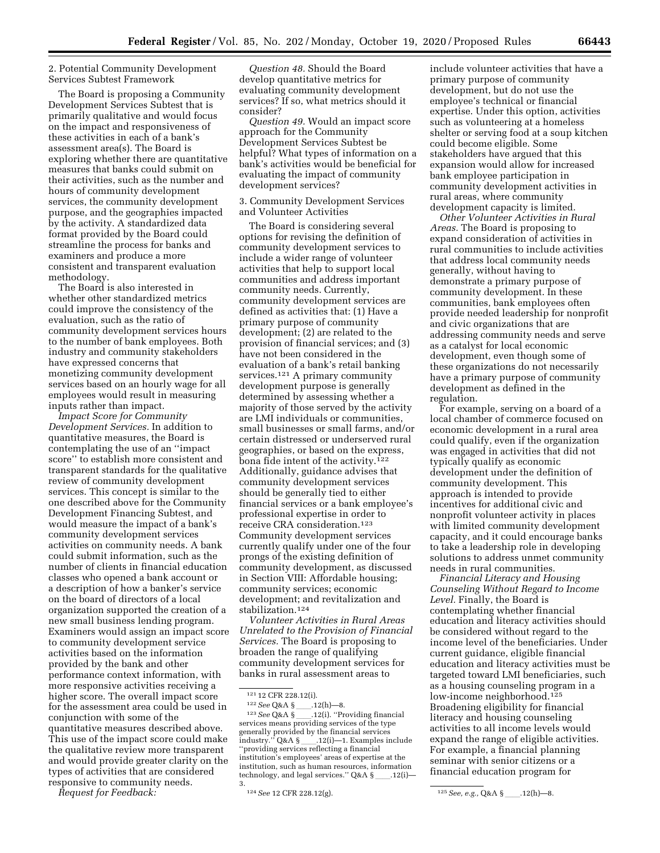#### 2. Potential Community Development Services Subtest Framework

The Board is proposing a Community Development Services Subtest that is primarily qualitative and would focus on the impact and responsiveness of these activities in each of a bank's assessment area(s). The Board is exploring whether there are quantitative measures that banks could submit on their activities, such as the number and hours of community development services, the community development purpose, and the geographies impacted by the activity. A standardized data format provided by the Board could streamline the process for banks and examiners and produce a more consistent and transparent evaluation methodology.

The Board is also interested in whether other standardized metrics could improve the consistency of the evaluation, such as the ratio of community development services hours to the number of bank employees. Both industry and community stakeholders have expressed concerns that monetizing community development services based on an hourly wage for all employees would result in measuring inputs rather than impact.

*Impact Score for Community Development Services.* In addition to quantitative measures, the Board is contemplating the use of an ''impact score'' to establish more consistent and transparent standards for the qualitative review of community development services. This concept is similar to the one described above for the Community Development Financing Subtest, and would measure the impact of a bank's community development services activities on community needs. A bank could submit information, such as the number of clients in financial education classes who opened a bank account or a description of how a banker's service on the board of directors of a local organization supported the creation of a new small business lending program. Examiners would assign an impact score to community development service activities based on the information provided by the bank and other performance context information, with more responsive activities receiving a higher score. The overall impact score for the assessment area could be used in conjunction with some of the quantitative measures described above. This use of the impact score could make the qualitative review more transparent and would provide greater clarity on the types of activities that are considered responsive to community needs.

*Request for Feedback:* 

*Question 48.* Should the Board develop quantitative metrics for evaluating community development services? If so, what metrics should it consider?

*Question 49.* Would an impact score approach for the Community Development Services Subtest be helpful? What types of information on a bank's activities would be beneficial for evaluating the impact of community development services?

3. Community Development Services and Volunteer Activities

The Board is considering several options for revising the definition of community development services to include a wider range of volunteer activities that help to support local communities and address important community needs. Currently, community development services are defined as activities that: (1) Have a primary purpose of community development; (2) are related to the provision of financial services; and (3) have not been considered in the evaluation of a bank's retail banking services.121 A primary community development purpose is generally determined by assessing whether a majority of those served by the activity are LMI individuals or communities, small businesses or small farms, and/or certain distressed or underserved rural geographies, or based on the express, bona fide intent of the activity.<sup>122</sup> Additionally, guidance advises that community development services should be generally tied to either financial services or a bank employee's professional expertise in order to receive CRA consideration.123 Community development services currently qualify under one of the four prongs of the existing definition of community development, as discussed in Section VIII: Affordable housing; community services; economic development; and revitalization and stabilization.<sup>124</sup>

*Volunteer Activities in Rural Areas Unrelated to the Provision of Financial Services.* The Board is proposing to broaden the range of qualifying community development services for banks in rural assessment areas to

include volunteer activities that have a primary purpose of community development, but do not use the employee's technical or financial expertise. Under this option, activities such as volunteering at a homeless shelter or serving food at a soup kitchen could become eligible. Some stakeholders have argued that this expansion would allow for increased bank employee participation in community development activities in rural areas, where community development capacity is limited.

*Other Volunteer Activities in Rural Areas.* The Board is proposing to expand consideration of activities in rural communities to include activities that address local community needs generally, without having to demonstrate a primary purpose of community development. In these communities, bank employees often provide needed leadership for nonprofit and civic organizations that are addressing community needs and serve as a catalyst for local economic development, even though some of these organizations do not necessarily have a primary purpose of community development as defined in the regulation.

For example, serving on a board of a local chamber of commerce focused on economic development in a rural area could qualify, even if the organization was engaged in activities that did not typically qualify as economic development under the definition of community development. This approach is intended to provide incentives for additional civic and nonprofit volunteer activity in places with limited community development capacity, and it could encourage banks to take a leadership role in developing solutions to address unmet community needs in rural communities.

*Financial Literacy and Housing Counseling Without Regard to Income Level.* Finally, the Board is contemplating whether financial education and literacy activities should be considered without regard to the income level of the beneficiaries. Under current guidance, eligible financial education and literacy activities must be targeted toward LMI beneficiaries, such as a housing counseling program in a low-income neighborhood.125 Broadening eligibility for financial literacy and housing counseling activities to all income levels would expand the range of eligible activities. For example, a financial planning seminar with senior citizens or a financial education program for

<sup>121 12</sup> CFR 228.12(i).

<sup>&</sup>lt;sup>122</sup> See Q&A §\_\_\_\_.12(h)—8.<br><sup>123</sup> See Q&A §\_\_\_\_.12(i). "Providing financial <sup>123</sup> See Q&A §\_\_\_\_.12(i). "Providing financial services means providing services of the type generally provided by the financial services industry." Q&A §\_\_\_.12(i)-1. Examples include 'providing services reflecting a financial institution's employees' areas of expertise at the institution, such as human resources, information technology, and legal services." Q&A §\_\_\_\_.12(i)-3.

<sup>124</sup>*See* 12 CFR 228.12(g). 125*See, e.g., Q&A* §\_\_\_\_.12(h)-8.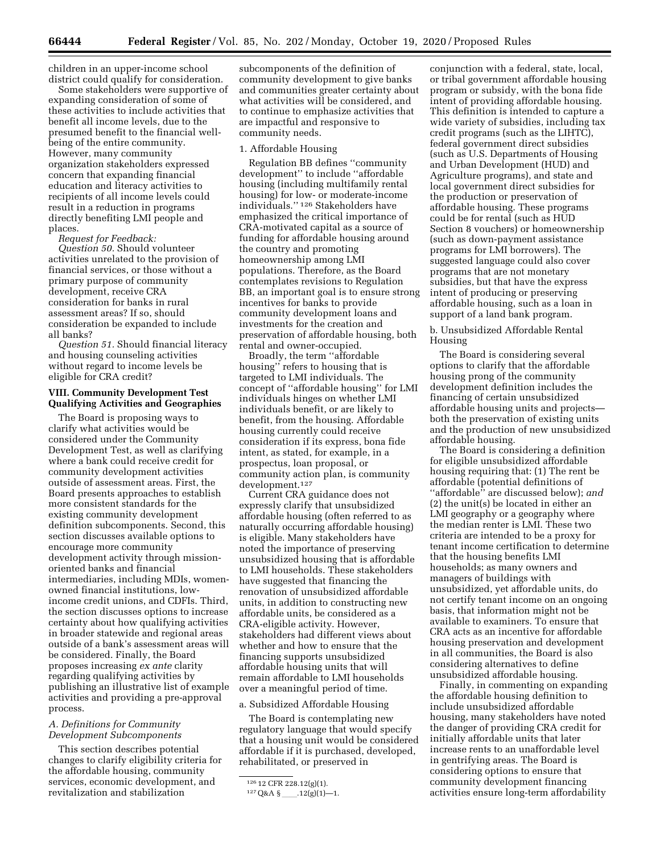children in an upper-income school district could qualify for consideration.

Some stakeholders were supportive of expanding consideration of some of these activities to include activities that benefit all income levels, due to the presumed benefit to the financial wellbeing of the entire community. However, many community organization stakeholders expressed concern that expanding financial education and literacy activities to recipients of all income levels could result in a reduction in programs directly benefiting LMI people and places.

*Request for Feedback:* 

*Question 50.* Should volunteer activities unrelated to the provision of financial services, or those without a primary purpose of community development, receive CRA consideration for banks in rural assessment areas? If so, should consideration be expanded to include all banks?

*Question 51.* Should financial literacy and housing counseling activities without regard to income levels be eligible for CRA credit?

#### **VIII. Community Development Test Qualifying Activities and Geographies**

The Board is proposing ways to clarify what activities would be considered under the Community Development Test, as well as clarifying where a bank could receive credit for community development activities outside of assessment areas. First, the Board presents approaches to establish more consistent standards for the existing community development definition subcomponents. Second, this section discusses available options to encourage more community development activity through missionoriented banks and financial intermediaries, including MDIs, womenowned financial institutions, lowincome credit unions, and CDFIs. Third, the section discusses options to increase certainty about how qualifying activities in broader statewide and regional areas outside of a bank's assessment areas will be considered. Finally, the Board proposes increasing *ex ante* clarity regarding qualifying activities by publishing an illustrative list of example activities and providing a pre-approval process.

#### *A. Definitions for Community Development Subcomponents*

This section describes potential changes to clarify eligibility criteria for the affordable housing, community services, economic development, and revitalization and stabilization

subcomponents of the definition of community development to give banks and communities greater certainty about what activities will be considered, and to continue to emphasize activities that are impactful and responsive to community needs.

#### 1. Affordable Housing

Regulation BB defines ''community development'' to include ''affordable housing (including multifamily rental housing) for low- or moderate-income individuals.'' 126 Stakeholders have emphasized the critical importance of CRA-motivated capital as a source of funding for affordable housing around the country and promoting homeownership among LMI populations. Therefore, as the Board contemplates revisions to Regulation BB, an important goal is to ensure strong incentives for banks to provide community development loans and investments for the creation and preservation of affordable housing, both rental and owner-occupied.

Broadly, the term ''affordable housing'' refers to housing that is targeted to LMI individuals. The concept of ''affordable housing'' for LMI individuals hinges on whether LMI individuals benefit, or are likely to benefit, from the housing. Affordable housing currently could receive consideration if its express, bona fide intent, as stated, for example, in a prospectus, loan proposal, or community action plan, is community development.127

Current CRA guidance does not expressly clarify that unsubsidized affordable housing (often referred to as naturally occurring affordable housing) is eligible. Many stakeholders have noted the importance of preserving unsubsidized housing that is affordable to LMI households. These stakeholders have suggested that financing the renovation of unsubsidized affordable units, in addition to constructing new affordable units, be considered as a CRA-eligible activity. However, stakeholders had different views about whether and how to ensure that the financing supports unsubsidized affordable housing units that will remain affordable to LMI households over a meaningful period of time.

#### a. Subsidized Affordable Housing

The Board is contemplating new regulatory language that would specify that a housing unit would be considered affordable if it is purchased, developed, rehabilitated, or preserved in

conjunction with a federal, state, local, or tribal government affordable housing program or subsidy, with the bona fide intent of providing affordable housing. This definition is intended to capture a wide variety of subsidies, including tax credit programs (such as the LIHTC), federal government direct subsidies (such as U.S. Departments of Housing and Urban Development (HUD) and Agriculture programs), and state and local government direct subsidies for the production or preservation of affordable housing. These programs could be for rental (such as HUD Section 8 vouchers) or homeownership (such as down-payment assistance programs for LMI borrowers). The suggested language could also cover programs that are not monetary subsidies, but that have the express intent of producing or preserving affordable housing, such as a loan in support of a land bank program.

b. Unsubsidized Affordable Rental Housing

The Board is considering several options to clarify that the affordable housing prong of the community development definition includes the financing of certain unsubsidized affordable housing units and projects both the preservation of existing units and the production of new unsubsidized affordable housing.

The Board is considering a definition for eligible unsubsidized affordable housing requiring that: (1) The rent be affordable (potential definitions of ''affordable'' are discussed below); *and*  (2) the unit(s) be located in either an LMI geography or a geography where the median renter is LMI. These two criteria are intended to be a proxy for tenant income certification to determine that the housing benefits LMI households; as many owners and managers of buildings with unsubsidized, yet affordable units, do not certify tenant income on an ongoing basis, that information might not be available to examiners. To ensure that CRA acts as an incentive for affordable housing preservation and development in all communities, the Board is also considering alternatives to define unsubsidized affordable housing.

Finally, in commenting on expanding the affordable housing definition to include unsubsidized affordable housing, many stakeholders have noted the danger of providing CRA credit for initially affordable units that later increase rents to an unaffordable level in gentrifying areas. The Board is considering options to ensure that community development financing activities ensure long-term affordability

<sup>126</sup> 12 CFR 228.12(g)(1).

<sup>127</sup>Q&A §ll.12(g)(1)—1.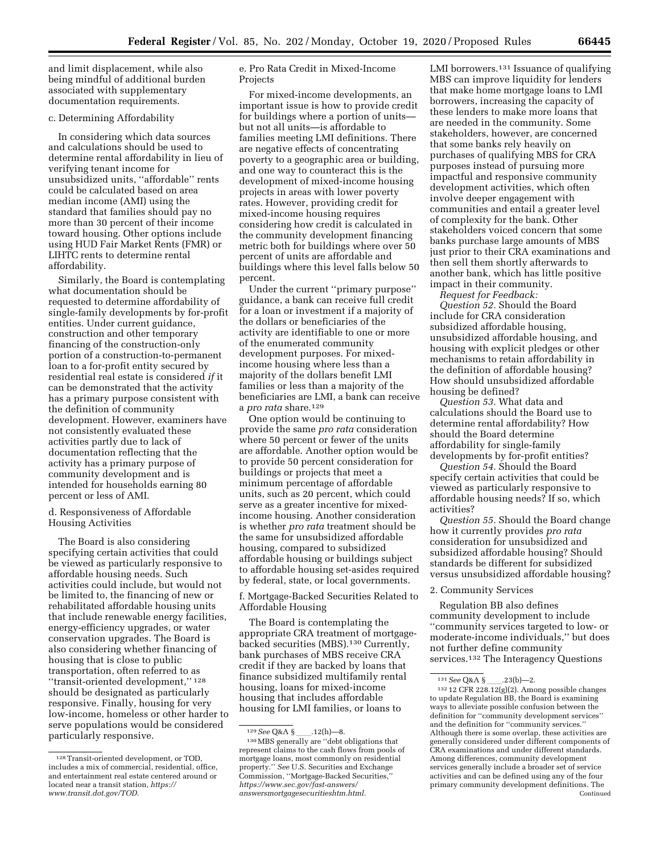and limit displacement, while also being mindful of additional burden associated with supplementary documentation requirements.

#### c. Determining Affordability

In considering which data sources and calculations should be used to determine rental affordability in lieu of verifying tenant income for unsubsidized units, ''affordable'' rents could be calculated based on area median income (AMI) using the standard that families should pay no more than 30 percent of their income toward housing. Other options include using HUD Fair Market Rents (FMR) or LIHTC rents to determine rental affordability.

Similarly, the Board is contemplating what documentation should be requested to determine affordability of single-family developments by for-profit entities. Under current guidance, construction and other temporary financing of the construction-only portion of a construction-to-permanent loan to a for-profit entity secured by residential real estate is considered *if* it can be demonstrated that the activity has a primary purpose consistent with the definition of community development. However, examiners have not consistently evaluated these activities partly due to lack of documentation reflecting that the activity has a primary purpose of community development and is intended for households earning 80 percent or less of AMI.

d. Responsiveness of Affordable Housing Activities

The Board is also considering specifying certain activities that could be viewed as particularly responsive to affordable housing needs. Such activities could include, but would not be limited to, the financing of new or rehabilitated affordable housing units that include renewable energy facilities, energy-efficiency upgrades, or water conservation upgrades. The Board is also considering whether financing of housing that is close to public transportation, often referred to as ''transit-oriented development,'' 128 should be designated as particularly responsive. Finally, housing for very low-income, homeless or other harder to serve populations would be considered particularly responsive.

e. Pro Rata Credit in Mixed-Income Projects

For mixed-income developments, an important issue is how to provide credit for buildings where a portion of units but not all units—is affordable to families meeting LMI definitions. There are negative effects of concentrating poverty to a geographic area or building, and one way to counteract this is the development of mixed-income housing projects in areas with lower poverty rates. However, providing credit for mixed-income housing requires considering how credit is calculated in the community development financing metric both for buildings where over 50 percent of units are affordable and buildings where this level falls below 50 percent.

Under the current ''primary purpose'' guidance, a bank can receive full credit for a loan or investment if a majority of the dollars or beneficiaries of the activity are identifiable to one or more of the enumerated community development purposes. For mixedincome housing where less than a majority of the dollars benefit LMI families or less than a majority of the beneficiaries are LMI, a bank can receive a *pro rata* share.129

One option would be continuing to provide the same *pro rata* consideration where 50 percent or fewer of the units are affordable. Another option would be to provide 50 percent consideration for buildings or projects that meet a minimum percentage of affordable units, such as 20 percent, which could serve as a greater incentive for mixedincome housing. Another consideration is whether *pro rata* treatment should be the same for unsubsidized affordable housing, compared to subsidized affordable housing or buildings subject to affordable housing set-asides required by federal, state, or local governments.

f. Mortgage-Backed Securities Related to Affordable Housing

The Board is contemplating the appropriate CRA treatment of mortgagebacked securities (MBS).130 Currently, bank purchases of MBS receive CRA credit if they are backed by loans that finance subsidized multifamily rental housing, loans for mixed-income housing that includes affordable housing for LMI families, or loans to

LMI borrowers.<sup>131</sup> Issuance of qualifying MBS can improve liquidity for lenders that make home mortgage loans to LMI borrowers, increasing the capacity of these lenders to make more loans that are needed in the community. Some stakeholders, however, are concerned that some banks rely heavily on purchases of qualifying MBS for CRA purposes instead of pursuing more impactful and responsive community development activities, which often involve deeper engagement with communities and entail a greater level of complexity for the bank. Other stakeholders voiced concern that some banks purchase large amounts of MBS just prior to their CRA examinations and then sell them shortly afterwards to another bank, which has little positive impact in their community.

*Request for Feedback:* 

*Question 52.* Should the Board include for CRA consideration subsidized affordable housing, unsubsidized affordable housing, and housing with explicit pledges or other mechanisms to retain affordability in the definition of affordable housing? How should unsubsidized affordable housing be defined?

*Question 53.* What data and calculations should the Board use to determine rental affordability? How should the Board determine affordability for single-family developments by for-profit entities?

*Question 54.* Should the Board specify certain activities that could be viewed as particularly responsive to affordable housing needs? If so, which activities?

*Question 55.* Should the Board change how it currently provides *pro rata*  consideration for unsubsidized and subsidized affordable housing? Should standards be different for subsidized versus unsubsidized affordable housing?

#### 2. Community Services

Regulation BB also defines community development to include ''community services targeted to low- or moderate-income individuals,'' but does not further define community services.132 The Interagency Questions

<sup>128</sup>Transit-oriented development, or TOD, includes a mix of commercial, residential, office, and entertainment real estate centered around or located near a transit station, *[https://](https://www.transit.dot.gov/TOD) [www.transit.dot.gov/TOD.](https://www.transit.dot.gov/TOD)* 

<sup>&</sup>lt;sup>129</sup> See Q&A §<sub>\_\_\_\_</sub>\_\_.12(h)—8.<br><sup>130</sup> MBS generally are ''debt obligations that represent claims to the cash flows from pools of mortgage loans, most commonly on residential property.'' *See* U.S. Securities and Exchange Commission, ''Mortgage-Backed Securities,'' *[https://www.sec.gov/fast-answers/](https://www.sec.gov/fast-answers/answersmortgagesecuritieshtm.html) [answersmortgagesecuritieshtm.html.](https://www.sec.gov/fast-answers/answersmortgagesecuritieshtm.html)* 

<sup>131</sup> See Q&A §\_\_\_\_.23(b)—2.<br><sup>132</sup> 12 CFR 228.12(g)(2). Among possible changes to update Regulation BB, the Board is examining ways to alleviate possible confusion between the definition for ''community development services'' and the definition for ''community services.'' Although there is some overlap, these activities are generally considered under different components of CRA examinations and under different standards. Among differences, community development services generally include a broader set of service activities and can be defined using any of the four primary community development definitions. The Continued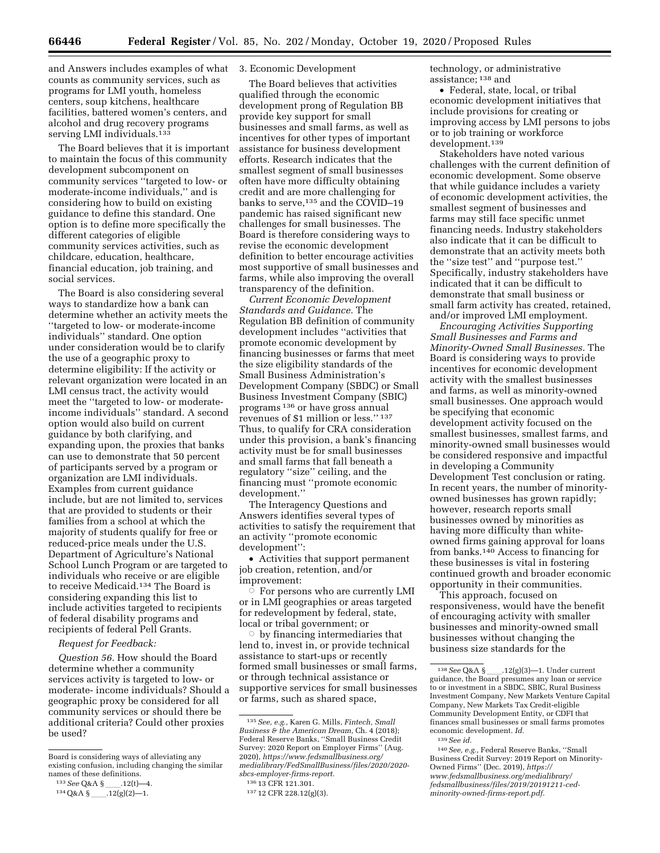and Answers includes examples of what 3. Economic Development counts as community services, such as programs for LMI youth, homeless centers, soup kitchens, healthcare facilities, battered women's centers, and alcohol and drug recovery programs serving LMI individuals.<sup>133</sup>

The Board believes that it is important to maintain the focus of this community development subcomponent on community services ''targeted to low- or moderate-income individuals,'' and is considering how to build on existing guidance to define this standard. One option is to define more specifically the different categories of eligible community services activities, such as childcare, education, healthcare, financial education, job training, and social services.

The Board is also considering several ways to standardize how a bank can determine whether an activity meets the ''targeted to low- or moderate-income individuals'' standard. One option under consideration would be to clarify the use of a geographic proxy to determine eligibility: If the activity or relevant organization were located in an LMI census tract, the activity would meet the ''targeted to low- or moderateincome individuals'' standard. A second option would also build on current guidance by both clarifying, and expanding upon, the proxies that banks can use to demonstrate that 50 percent of participants served by a program or organization are LMI individuals. Examples from current guidance include, but are not limited to, services that are provided to students or their families from a school at which the majority of students qualify for free or reduced-price meals under the U.S. Department of Agriculture's National School Lunch Program or are targeted to individuals who receive or are eligible to receive Medicaid.134 The Board is considering expanding this list to include activities targeted to recipients of federal disability programs and recipients of federal Pell Grants.

#### *Request for Feedback:*

*Question 56.* How should the Board determine whether a community services activity is targeted to low- or moderate- income individuals? Should a geographic proxy be considered for all community services or should there be additional criteria? Could other proxies be used?

The Board believes that activities qualified through the economic development prong of Regulation BB provide key support for small businesses and small farms, as well as incentives for other types of important assistance for business development efforts. Research indicates that the smallest segment of small businesses often have more difficulty obtaining credit and are more challenging for banks to serve,<sup>135</sup> and the COVID-19 pandemic has raised significant new challenges for small businesses. The Board is therefore considering ways to revise the economic development definition to better encourage activities most supportive of small businesses and farms, while also improving the overall transparency of the definition.

*Current Economic Development Standards and Guidance.* The Regulation BB definition of community development includes ''activities that promote economic development by financing businesses or farms that meet the size eligibility standards of the Small Business Administration's Development Company (SBDC) or Small Business Investment Company (SBIC) programs 136 or have gross annual revenues of \$1 million or less.'' 137 Thus, to qualify for CRA consideration under this provision, a bank's financing activity must be for small businesses and small farms that fall beneath a regulatory ''size'' ceiling, and the financing must ''promote economic development.''

The Interagency Questions and Answers identifies several types of activities to satisfy the requirement that an activity ''promote economic development'':

• Activities that support permanent job creation, retention, and/or improvement:

 $\dot{\circ}\,$  For persons who are currently LMI or in LMI geographies or areas targeted for redevelopment by federal, state, local or tribal government; or

 $\circ$  by financing intermediaries that lend to, invest in, or provide technical assistance to start-ups or recently formed small businesses or small farms, or through technical assistance or supportive services for small businesses or farms, such as shared space,

technology, or administrative assistance; 138 and

• Federal, state, local, or tribal economic development initiatives that include provisions for creating or improving access by LMI persons to jobs or to job training or workforce development.139

Stakeholders have noted various challenges with the current definition of economic development. Some observe that while guidance includes a variety of economic development activities, the smallest segment of businesses and farms may still face specific unmet financing needs. Industry stakeholders also indicate that it can be difficult to demonstrate that an activity meets both the ''size test'' and ''purpose test.'' Specifically, industry stakeholders have indicated that it can be difficult to demonstrate that small business or small farm activity has created, retained, and/or improved LMI employment.

*Encouraging Activities Supporting Small Businesses and Farms and Minority-Owned Small Businesses.* The Board is considering ways to provide incentives for economic development activity with the smallest businesses and farms, as well as minority-owned small businesses. One approach would be specifying that economic development activity focused on the smallest businesses, smallest farms, and minority-owned small businesses would be considered responsive and impactful in developing a Community Development Test conclusion or rating. In recent years, the number of minorityowned businesses has grown rapidly; however, research reports small businesses owned by minorities as having more difficulty than whiteowned firms gaining approval for loans from banks.140 Access to financing for these businesses is vital in fostering continued growth and broader economic opportunity in their communities.

This approach, focused on responsiveness, would have the benefit of encouraging activity with smaller businesses and minority-owned small businesses without changing the business size standards for the

Board is considering ways of alleviating any existing confusion, including changing the similar names of these definitions.

<sup>133</sup> See Q&A §<sub>\_\_\_\_</sub>.12(t)-4.

 $134 \text{Q}$ &A §\_\_\_\_.12(g)(2)—1.

<sup>135</sup>*See, e.g.,* Karen G. Mills, *Fintech, Small Business & the American Dream,* Ch. 4 (2018); Federal Reserve Banks, ''Small Business Credit Survey: 2020 Report on Employer Firms'' (Aug. 2020), *[https://www.fedsmallbusiness.org/](https://www.fedsmallbusiness.org/medialibrary/FedSmallBusiness/files/2020/2020-sbcs-employer-firms-report) [medialibrary/FedSmallBusiness/files/2020/2020](https://www.fedsmallbusiness.org/medialibrary/FedSmallBusiness/files/2020/2020-sbcs-employer-firms-report)  [sbcs-employer-firms-report.](https://www.fedsmallbusiness.org/medialibrary/FedSmallBusiness/files/2020/2020-sbcs-employer-firms-report)* 

<sup>136</sup> 13 CFR 121.301.

<sup>137</sup> 12 CFR 228.12(g)(3).

<sup>&</sup>lt;sup>138</sup> See Q&A §<sub>ll</sub>.12(g)(3)—1. Under current guidance, the Board presumes any loan or service to or investment in a SBDC, SBIC, Rural Business Investment Company, New Markets Venture Capital Company, New Markets Tax Credit-eligible Community Development Entity, or CDFI that finances small businesses or small farms promotes economic development. *Id.* 

<sup>139</sup>*See id.* 

<sup>140</sup>*See, e.g.,* Federal Reserve Banks, ''Small Business Credit Survey: 2019 Report on Minority-Owned Firms'' (Dec. 2019), *[https://](https://www.fedsmallbusiness.org/medialibrary/fedsmallbusiness/files/2019/20191211-ced-minority-owned-firms-report.pdf) [www.fedsmallbusiness.org/medialibrary/](https://www.fedsmallbusiness.org/medialibrary/fedsmallbusiness/files/2019/20191211-ced-minority-owned-firms-report.pdf)  [fedsmallbusiness/files/2019/20191211-ced](https://www.fedsmallbusiness.org/medialibrary/fedsmallbusiness/files/2019/20191211-ced-minority-owned-firms-report.pdf)[minority-owned-firms-report.pdf.](https://www.fedsmallbusiness.org/medialibrary/fedsmallbusiness/files/2019/20191211-ced-minority-owned-firms-report.pdf)*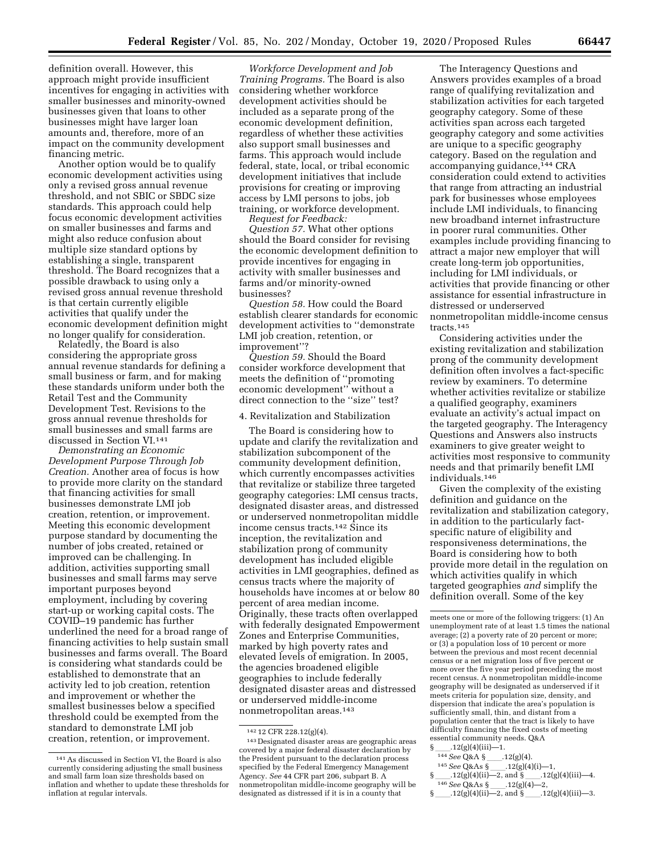definition overall. However, this approach might provide insufficient incentives for engaging in activities with smaller businesses and minority-owned businesses given that loans to other businesses might have larger loan amounts and, therefore, more of an impact on the community development financing metric.

Another option would be to qualify economic development activities using only a revised gross annual revenue threshold, and not SBIC or SBDC size standards. This approach could help focus economic development activities on smaller businesses and farms and might also reduce confusion about multiple size standard options by establishing a single, transparent threshold. The Board recognizes that a possible drawback to using only a revised gross annual revenue threshold is that certain currently eligible activities that qualify under the economic development definition might no longer qualify for consideration.

Relatedly, the Board is also considering the appropriate gross annual revenue standards for defining a small business or farm, and for making these standards uniform under both the Retail Test and the Community Development Test. Revisions to the gross annual revenue thresholds for small businesses and small farms are discussed in Section VI.141

*Demonstrating an Economic Development Purpose Through Job Creation.* Another area of focus is how to provide more clarity on the standard that financing activities for small businesses demonstrate LMI job creation, retention, or improvement. Meeting this economic development purpose standard by documenting the number of jobs created, retained or improved can be challenging. In addition, activities supporting small businesses and small farms may serve important purposes beyond employment, including by covering start-up or working capital costs. The COVID–19 pandemic has further underlined the need for a broad range of financing activities to help sustain small businesses and farms overall. The Board is considering what standards could be established to demonstrate that an activity led to job creation, retention and improvement or whether the smallest businesses below a specified threshold could be exempted from the standard to demonstrate LMI job creation, retention, or improvement.

*Workforce Development and Job Training Programs.* The Board is also considering whether workforce development activities should be included as a separate prong of the economic development definition, regardless of whether these activities also support small businesses and farms. This approach would include federal, state, local, or tribal economic development initiatives that include provisions for creating or improving access by LMI persons to jobs, job training, or workforce development.

*Request for Feedback:* 

*Question 57.* What other options should the Board consider for revising the economic development definition to provide incentives for engaging in activity with smaller businesses and farms and/or minority-owned businesses?

*Question 58.* How could the Board establish clearer standards for economic development activities to ''demonstrate LMI job creation, retention, or improvement''?

*Question 59.* Should the Board consider workforce development that meets the definition of ''promoting economic development'' without a direct connection to the ''size'' test?

#### 4. Revitalization and Stabilization

The Board is considering how to update and clarify the revitalization and stabilization subcomponent of the community development definition, which currently encompasses activities that revitalize or stabilize three targeted geography categories: LMI census tracts, designated disaster areas, and distressed or underserved nonmetropolitan middle income census tracts.142 Since its inception, the revitalization and stabilization prong of community development has included eligible activities in LMI geographies, defined as census tracts where the majority of households have incomes at or below 80 percent of area median income. Originally, these tracts often overlapped with federally designated Empowerment Zones and Enterprise Communities, marked by high poverty rates and elevated levels of emigration. In 2005, the agencies broadened eligible geographies to include federally designated disaster areas and distressed or underserved middle-income nonmetropolitan areas.143

The Interagency Questions and Answers provides examples of a broad range of qualifying revitalization and stabilization activities for each targeted geography category. Some of these activities span across each targeted geography category and some activities are unique to a specific geography category. Based on the regulation and accompanying guidance, 144 CRA consideration could extend to activities that range from attracting an industrial park for businesses whose employees include LMI individuals, to financing new broadband internet infrastructure in poorer rural communities. Other examples include providing financing to attract a major new employer that will create long-term job opportunities, including for LMI individuals, or activities that provide financing or other assistance for essential infrastructure in distressed or underserved nonmetropolitan middle-income census tracts.145

Considering activities under the existing revitalization and stabilization prong of the community development definition often involves a fact-specific review by examiners. To determine whether activities revitalize or stabilize a qualified geography, examiners evaluate an activity's actual impact on the targeted geography. The Interagency Questions and Answers also instructs examiners to give greater weight to activities most responsive to community needs and that primarily benefit LMI individuals.146

Given the complexity of the existing definition and guidance on the revitalization and stabilization category, in addition to the particularly factspecific nature of eligibility and responsiveness determinations, the Board is considering how to both provide more detail in the regulation on which activities qualify in which targeted geographies *and* simplify the definition overall. Some of the key

<sup>141</sup>As discussed in Section VI, the Board is also currently considering adjusting the small business and small farm loan size thresholds based on inflation and whether to update these thresholds for inflation at regular intervals.

<sup>142</sup> 12 CFR 228.12(g)(4).

<sup>143</sup> Designated disaster areas are geographic areas covered by a major federal disaster declaration by the President pursuant to the declaration process specified by the Federal Emergency Management Agency. *See* 44 CFR part 206, subpart B. A nonmetropolitan middle-income geography will be designated as distressed if it is in a county that

meets one or more of the following triggers: (1) An unemployment rate of at least 1.5 times the national average; (2) a poverty rate of 20 percent or more; or (3) a population loss of 10 percent or more between the previous and most recent decennial census or a net migration loss of five percent or more over the five year period preceding the most recent census. A nonmetropolitan middle-income geography will be designated as underserved if it meets criteria for population size, density, and dispersion that indicate the area's population is sufficiently small, thin, and distant from a population center that the tract is likely to have difficulty financing the fixed costs of meeting essential community needs. Q&A<br>§ \_\_\_\_.12(g)(4)(iii)—1.

 $\frac{12(g)(4)(iii)}{144(500)(3.8)}$ 

 $144$  See Q&A §<sub>ll</sub>.12(g)(4).<br>145 See Q&Aa §<sup>ll</sup>.12(g)(4).

<sup>&</sup>lt;sup>145</sup> See Q&As §<sub>ll</sub>.12(g)(4)(i)-1,<br>12(g)(4)(ii)-2 and § 12(g)

<sup>§</sup>ll.12(g)(4)(ii)—2, and §ll.12(g)(4)(iii)—4.  $\frac{146}{2}$  See Q&As § \_\_\_\_\_. 12(g)(4)—2,<br>12(g)(4)(ii)—2, and § 12

<sup>§</sup> \_\_\_\_\_.12(g)(4)(ii)—2, and § \_\_\_\_\_.12(g)(4)(iii)—3.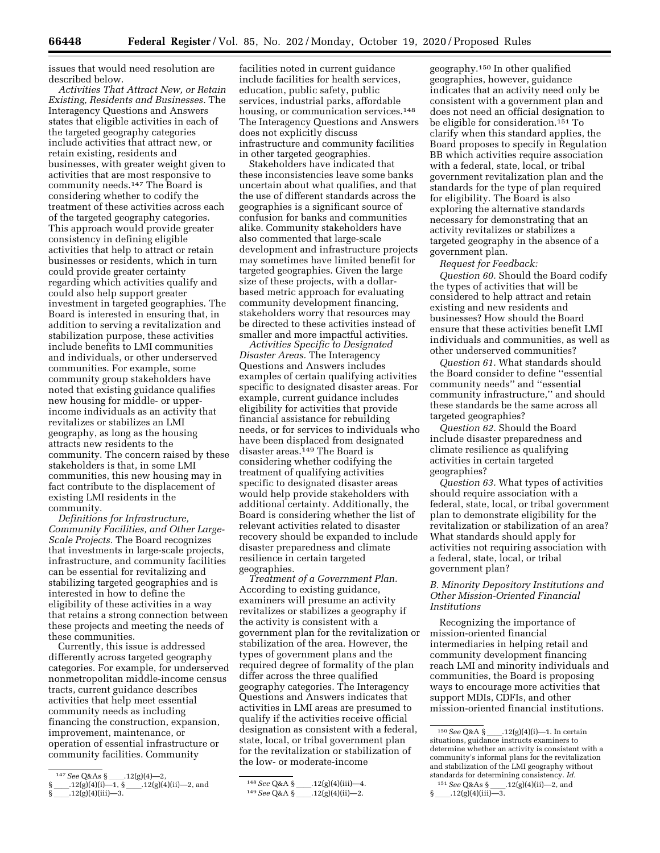issues that would need resolution are described below.

*Activities That Attract New, or Retain Existing, Residents and Businesses.* The Interagency Questions and Answers states that eligible activities in each of the targeted geography categories include activities that attract new, or retain existing, residents and businesses, with greater weight given to activities that are most responsive to community needs.147 The Board is considering whether to codify the treatment of these activities across each of the targeted geography categories. This approach would provide greater consistency in defining eligible activities that help to attract or retain businesses or residents, which in turn could provide greater certainty regarding which activities qualify and could also help support greater investment in targeted geographies. The Board is interested in ensuring that, in addition to serving a revitalization and stabilization purpose, these activities include benefits to LMI communities and individuals, or other underserved communities. For example, some community group stakeholders have noted that existing guidance qualifies new housing for middle- or upperincome individuals as an activity that revitalizes or stabilizes an LMI geography, as long as the housing attracts new residents to the community. The concern raised by these stakeholders is that, in some LMI communities, this new housing may in fact contribute to the displacement of existing LMI residents in the community.

*Definitions for Infrastructure, Community Facilities, and Other Large-Scale Projects.* The Board recognizes that investments in large-scale projects, infrastructure, and community facilities can be essential for revitalizing and stabilizing targeted geographies and is interested in how to define the eligibility of these activities in a way that retains a strong connection between these projects and meeting the needs of these communities.

Currently, this issue is addressed differently across targeted geography categories. For example, for underserved nonmetropolitan middle-income census tracts, current guidance describes activities that help meet essential community needs as including financing the construction, expansion, improvement, maintenance, or operation of essential infrastructure or community facilities. Community

facilities noted in current guidance include facilities for health services, education, public safety, public services, industrial parks, affordable housing, or communication services.148 The Interagency Questions and Answers does not explicitly discuss infrastructure and community facilities in other targeted geographies.

Stakeholders have indicated that these inconsistencies leave some banks uncertain about what qualifies, and that the use of different standards across the geographies is a significant source of confusion for banks and communities alike. Community stakeholders have also commented that large-scale development and infrastructure projects may sometimes have limited benefit for targeted geographies. Given the large size of these projects, with a dollarbased metric approach for evaluating community development financing, stakeholders worry that resources may be directed to these activities instead of smaller and more impactful activities.

*Activities Specific to Designated Disaster Areas.* The Interagency Questions and Answers includes examples of certain qualifying activities specific to designated disaster areas. For example, current guidance includes eligibility for activities that provide financial assistance for rebuilding needs, or for services to individuals who have been displaced from designated disaster areas.149 The Board is considering whether codifying the treatment of qualifying activities specific to designated disaster areas would help provide stakeholders with additional certainty. Additionally, the Board is considering whether the list of relevant activities related to disaster recovery should be expanded to include disaster preparedness and climate resilience in certain targeted geographies.

*Treatment of a Government Plan.*  According to existing guidance, examiners will presume an activity revitalizes or stabilizes a geography if the activity is consistent with a government plan for the revitalization or stabilization of the area. However, the types of government plans and the required degree of formality of the plan differ across the three qualified geography categories. The Interagency Questions and Answers indicates that activities in LMI areas are presumed to qualify if the activities receive official designation as consistent with a federal, state, local, or tribal government plan for the revitalization or stabilization of the low- or moderate-income

149 See Q&A §\_\_\_\_.12(g)(4)(ii)—2.

geography.150 In other qualified geographies, however, guidance indicates that an activity need only be consistent with a government plan and does not need an official designation to be eligible for consideration.151 To clarify when this standard applies, the Board proposes to specify in Regulation BB which activities require association with a federal, state, local, or tribal government revitalization plan and the standards for the type of plan required for eligibility. The Board is also exploring the alternative standards necessary for demonstrating that an activity revitalizes or stabilizes a targeted geography in the absence of a government plan.

*Request for Feedback:* 

*Question 60.* Should the Board codify the types of activities that will be considered to help attract and retain existing and new residents and businesses? How should the Board ensure that these activities benefit LMI individuals and communities, as well as other underserved communities?

*Question 61.* What standards should the Board consider to define ''essential community needs'' and ''essential community infrastructure,'' and should these standards be the same across all targeted geographies?

*Question 62.* Should the Board include disaster preparedness and climate resilience as qualifying activities in certain targeted geographies?

*Question 63.* What types of activities should require association with a federal, state, local, or tribal government plan to demonstrate eligibility for the revitalization or stabilization of an area? What standards should apply for activities not requiring association with a federal, state, local, or tribal government plan?

*B. Minority Depository Institutions and Other Mission-Oriented Financial Institutions* 

Recognizing the importance of mission-oriented financial intermediaries in helping retail and community development financing reach LMI and minority individuals and communities, the Board is proposing ways to encourage more activities that support MDIs, CDFIs, and other mission-oriented financial institutions.

<sup>&</sup>lt;sup>147</sup>*See* Q&As §<sub>\_\_\_\_</sub>.12(g)(4)—2,<br>.12(g)(4)(i)—1, §\_\_\_.12(g)(4

 $.12(g)(4)(ii)$ —2, and  $12(g)(4)(iii)$ —3.

<sup>148</sup> See Q&A §\_\_\_\_.12(g)(4)(iii)—4.

<sup>&</sup>lt;sup>150</sup> See Q&A §\_\_\_\_.12(g)(4)(i)—1. In certain situations, guidance instructs examiners to determine whether an activity is consistent with a community's informal plans for the revitalization and stabilization of the LMI geography without standards for determining consistency. *Id.* 

<sup>&</sup>lt;sup>151</sup> See Q&As §<sub>ll</sub>.12(g)(4)(ii)—2, and §<br>3.12(g)(4)(iii)—3.  $12(g)(4)(iii)$ —3.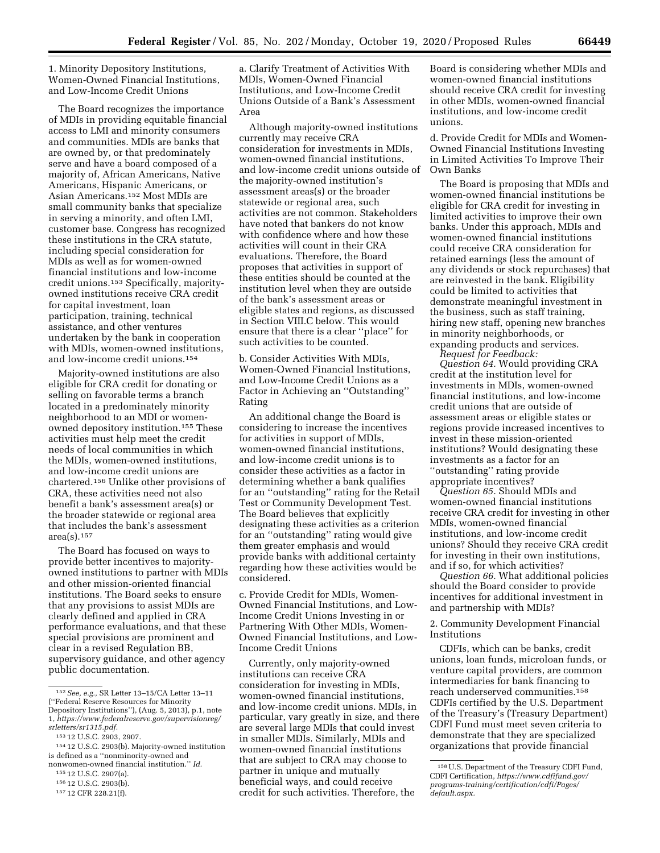1. Minority Depository Institutions, Women-Owned Financial Institutions, and Low-Income Credit Unions

The Board recognizes the importance of MDIs in providing equitable financial access to LMI and minority consumers and communities. MDIs are banks that are owned by, or that predominately serve and have a board composed of a majority of, African Americans, Native Americans, Hispanic Americans, or Asian Americans.152 Most MDIs are small community banks that specialize in serving a minority, and often LMI, customer base. Congress has recognized these institutions in the CRA statute, including special consideration for MDIs as well as for women-owned financial institutions and low-income credit unions.153 Specifically, majorityowned institutions receive CRA credit for capital investment, loan participation, training, technical assistance, and other ventures undertaken by the bank in cooperation with MDIs, women-owned institutions, and low-income credit unions.154

Majority-owned institutions are also eligible for CRA credit for donating or selling on favorable terms a branch located in a predominately minority neighborhood to an MDI or womenowned depository institution.155 These activities must help meet the credit needs of local communities in which the MDIs, women-owned institutions, and low-income credit unions are chartered.156 Unlike other provisions of CRA, these activities need not also benefit a bank's assessment area(s) or the broader statewide or regional area that includes the bank's assessment  $area(s)$ . 157

The Board has focused on ways to provide better incentives to majorityowned institutions to partner with MDIs and other mission-oriented financial institutions. The Board seeks to ensure that any provisions to assist MDIs are clearly defined and applied in CRA performance evaluations, and that these special provisions are prominent and clear in a revised Regulation BB, supervisory guidance, and other agency public documentation.

154 12 U.S.C. 2903(b). Majority-owned institution is defined as a ''nonminority-owned and nonwomen-owned financial institution.'' *Id.* 

a. Clarify Treatment of Activities With MDIs, Women-Owned Financial Institutions, and Low-Income Credit Unions Outside of a Bank's Assessment Area

Although majority-owned institutions currently may receive CRA consideration for investments in MDIs, women-owned financial institutions, and low-income credit unions outside of the majority-owned institution's assessment areas(s) or the broader statewide or regional area, such activities are not common. Stakeholders have noted that bankers do not know with confidence where and how these activities will count in their CRA evaluations. Therefore, the Board proposes that activities in support of these entities should be counted at the institution level when they are outside of the bank's assessment areas or eligible states and regions, as discussed in Section VIII.C below. This would ensure that there is a clear ''place'' for such activities to be counted.

b. Consider Activities With MDIs, Women-Owned Financial Institutions, and Low-Income Credit Unions as a Factor in Achieving an ''Outstanding'' Rating

An additional change the Board is considering to increase the incentives for activities in support of MDIs, women-owned financial institutions, and low-income credit unions is to consider these activities as a factor in determining whether a bank qualifies for an ''outstanding'' rating for the Retail Test or Community Development Test. The Board believes that explicitly designating these activities as a criterion for an ''outstanding'' rating would give them greater emphasis and would provide banks with additional certainty regarding how these activities would be considered.

c. Provide Credit for MDIs, Women-Owned Financial Institutions, and Low-Income Credit Unions Investing in or Partnering With Other MDIs, Women-Owned Financial Institutions, and Low-Income Credit Unions

Currently, only majority-owned institutions can receive CRA consideration for investing in MDIs, women-owned financial institutions, and low-income credit unions. MDIs, in particular, vary greatly in size, and there are several large MDIs that could invest in smaller MDIs. Similarly, MDIs and women-owned financial institutions that are subject to CRA may choose to partner in unique and mutually beneficial ways, and could receive credit for such activities. Therefore, the

Board is considering whether MDIs and women-owned financial institutions should receive CRA credit for investing in other MDIs, women-owned financial institutions, and low-income credit unions.

d. Provide Credit for MDIs and Women-Owned Financial Institutions Investing in Limited Activities To Improve Their Own Banks

The Board is proposing that MDIs and women-owned financial institutions be eligible for CRA credit for investing in limited activities to improve their own banks. Under this approach, MDIs and women-owned financial institutions could receive CRA consideration for retained earnings (less the amount of any dividends or stock repurchases) that are reinvested in the bank. Eligibility could be limited to activities that demonstrate meaningful investment in the business, such as staff training, hiring new staff, opening new branches in minority neighborhoods, or expanding products and services.

*Request for Feedback: Question 64.* Would providing CRA credit at the institution level for investments in MDIs, women-owned financial institutions, and low-income credit unions that are outside of assessment areas or eligible states or regions provide increased incentives to invest in these mission-oriented institutions? Would designating these investments as a factor for an ''outstanding'' rating provide appropriate incentives?

*Question 65.* Should MDIs and women-owned financial institutions receive CRA credit for investing in other MDIs, women-owned financial institutions, and low-income credit unions? Should they receive CRA credit for investing in their own institutions, and if so, for which activities?

*Question 66.* What additional policies should the Board consider to provide incentives for additional investment in and partnership with MDIs?

2. Community Development Financial Institutions

CDFIs, which can be banks, credit unions, loan funds, microloan funds, or venture capital providers, are common intermediaries for bank financing to reach underserved communities.158 CDFIs certified by the U.S. Department of the Treasury's (Treasury Department) CDFI Fund must meet seven criteria to demonstrate that they are specialized organizations that provide financial

<sup>152</sup>*See, e.g.,* SR Letter 13–15/CA Letter 13–11 (''Federal Reserve Resources for Minority Depository Institutions''), (Aug. 5, 2013), p.1, note 1, *[https://www.federalreserve.gov/supervisionreg/](https://www.federalreserve.gov/supervisionreg/srletters/sr1315.pdf)* 

*[srletters/sr1315.pdf.](https://www.federalreserve.gov/supervisionreg/srletters/sr1315.pdf)*  153 12 U.S.C. 2903, 2907.

<sup>155</sup> 12 U.S.C. 2907(a).

<sup>156</sup> 12 U.S.C. 2903(b).

<sup>157</sup> 12 CFR 228.21(f).

<sup>158</sup>U.S. Department of the Treasury CDFI Fund, CDFI Certification, *[https://www.cdfifund.gov/](https://www.cdfifund.gov/programs-training/certification/cdfi/Pages/default.aspx)  [programs-training/certification/cdfi/Pages/](https://www.cdfifund.gov/programs-training/certification/cdfi/Pages/default.aspx) [default.aspx.](https://www.cdfifund.gov/programs-training/certification/cdfi/Pages/default.aspx)*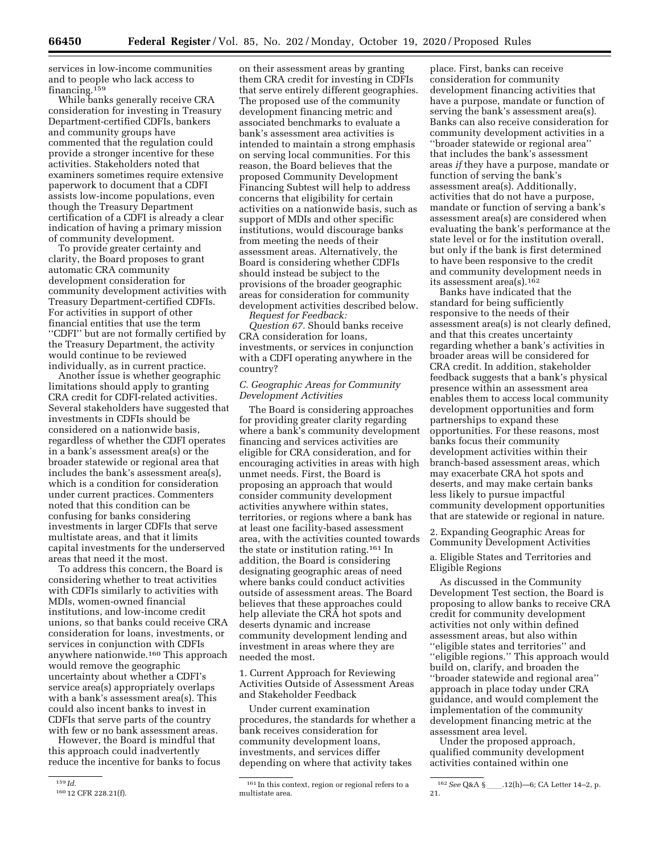services in low-income communities and to people who lack access to financing.159

While banks generally receive CRA consideration for investing in Treasury Department-certified CDFIs, bankers and community groups have commented that the regulation could provide a stronger incentive for these activities. Stakeholders noted that examiners sometimes require extensive paperwork to document that a CDFI assists low-income populations, even though the Treasury Department certification of a CDFI is already a clear indication of having a primary mission of community development.

To provide greater certainty and clarity, the Board proposes to grant automatic CRA community development consideration for community development activities with Treasury Department-certified CDFIs. For activities in support of other financial entities that use the term ''CDFI'' but are not formally certified by the Treasury Department, the activity would continue to be reviewed individually, as in current practice.

Another issue is whether geographic limitations should apply to granting CRA credit for CDFI-related activities. Several stakeholders have suggested that investments in CDFIs should be considered on a nationwide basis, regardless of whether the CDFI operates in a bank's assessment area(s) or the broader statewide or regional area that includes the bank's assessment area(s), which is a condition for consideration under current practices. Commenters noted that this condition can be confusing for banks considering investments in larger CDFIs that serve multistate areas, and that it limits capital investments for the underserved areas that need it the most.

To address this concern, the Board is considering whether to treat activities with CDFIs similarly to activities with MDIs, women-owned financial institutions, and low-income credit unions, so that banks could receive CRA consideration for loans, investments, or services in conjunction with CDFIs anywhere nationwide.160 This approach would remove the geographic uncertainty about whether a CDFI's service area(s) appropriately overlaps with a bank's assessment area(s). This could also incent banks to invest in CDFIs that serve parts of the country with few or no bank assessment areas.

However, the Board is mindful that this approach could inadvertently reduce the incentive for banks to focus

on their assessment areas by granting them CRA credit for investing in CDFIs that serve entirely different geographies. The proposed use of the community development financing metric and associated benchmarks to evaluate a bank's assessment area activities is intended to maintain a strong emphasis on serving local communities. For this reason, the Board believes that the proposed Community Development Financing Subtest will help to address concerns that eligibility for certain activities on a nationwide basis, such as support of MDIs and other specific institutions, would discourage banks from meeting the needs of their assessment areas. Alternatively, the Board is considering whether CDFIs should instead be subject to the provisions of the broader geographic areas for consideration for community development activities described below.

*Request for Feedback: Question 67.* Should banks receive CRA consideration for loans, investments, or services in conjunction with a CDFI operating anywhere in the country?

#### *C. Geographic Areas for Community Development Activities*

The Board is considering approaches for providing greater clarity regarding where a bank's community development financing and services activities are eligible for CRA consideration, and for encouraging activities in areas with high unmet needs. First, the Board is proposing an approach that would consider community development activities anywhere within states, territories, or regions where a bank has at least one facility-based assessment area, with the activities counted towards the state or institution rating.161 In addition, the Board is considering designating geographic areas of need where banks could conduct activities outside of assessment areas. The Board believes that these approaches could help alleviate the CRA hot spots and deserts dynamic and increase community development lending and investment in areas where they are needed the most.

1. Current Approach for Reviewing Activities Outside of Assessment Areas and Stakeholder Feedback

Under current examination procedures, the standards for whether a bank receives consideration for community development loans, investments, and services differ depending on where that activity takes

place. First, banks can receive consideration for community development financing activities that have a purpose, mandate or function of serving the bank's assessment area(s). Banks can also receive consideration for community development activities in a ''broader statewide or regional area'' that includes the bank's assessment areas *if* they have a purpose, mandate or function of serving the bank's assessment area(s). Additionally, activities that do not have a purpose, mandate or function of serving a bank's assessment area(s) are considered when evaluating the bank's performance at the state level or for the institution overall, but only if the bank is first determined to have been responsive to the credit and community development needs in its assessment area(s).162

Banks have indicated that the standard for being sufficiently responsive to the needs of their assessment area(s) is not clearly defined, and that this creates uncertainty regarding whether a bank's activities in broader areas will be considered for CRA credit. In addition, stakeholder feedback suggests that a bank's physical presence within an assessment area enables them to access local community development opportunities and form partnerships to expand these opportunities. For these reasons, most banks focus their community development activities within their branch-based assessment areas, which may exacerbate CRA hot spots and deserts, and may make certain banks less likely to pursue impactful community development opportunities that are statewide or regional in nature.

2. Expanding Geographic Areas for Community Development Activities

#### a. Eligible States and Territories and Eligible Regions

As discussed in the Community Development Test section, the Board is proposing to allow banks to receive CRA credit for community development activities not only within defined assessment areas, but also within ''eligible states and territories'' and ''eligible regions.'' This approach would build on, clarify, and broaden the ''broader statewide and regional area'' approach in place today under CRA guidance, and would complement the implementation of the community development financing metric at the assessment area level.

Under the proposed approach, qualified community development activities contained within one

<sup>159</sup> *Id.* 

<sup>160</sup> 12 CFR 228.21(f).

<sup>161</sup> In this context, region or regional refers to a multistate area.

<sup>&</sup>lt;sup>162</sup> See Q&A §\_\_\_\_.12(h)—6; CA Letter 14–2, p. 21.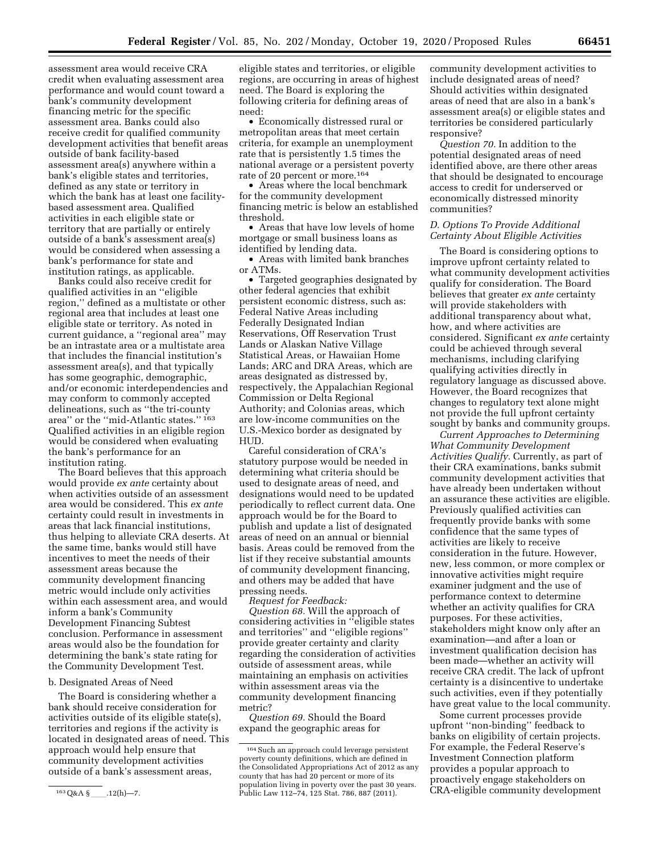assessment area would receive CRA credit when evaluating assessment area performance and would count toward a bank's community development financing metric for the specific assessment area. Banks could also receive credit for qualified community development activities that benefit areas outside of bank facility-based assessment area(s) anywhere within a bank's eligible states and territories, defined as any state or territory in which the bank has at least one facilitybased assessment area. Qualified activities in each eligible state or territory that are partially or entirely outside of a bank's assessment area(s) would be considered when assessing a bank's performance for state and institution ratings, as applicable.

Banks could also receive credit for qualified activities in an ''eligible region,'' defined as a multistate or other regional area that includes at least one eligible state or territory. As noted in current guidance, a ''regional area'' may be an intrastate area or a multistate area that includes the financial institution's assessment area(s), and that typically has some geographic, demographic, and/or economic interdependencies and may conform to commonly accepted delineations, such as ''the tri-county area'' or the ''mid-Atlantic states.'' 163 Qualified activities in an eligible region would be considered when evaluating the bank's performance for an institution rating.

The Board believes that this approach would provide *ex ante* certainty about when activities outside of an assessment area would be considered. This *ex ante*  certainty could result in investments in areas that lack financial institutions, thus helping to alleviate CRA deserts. At the same time, banks would still have incentives to meet the needs of their assessment areas because the community development financing metric would include only activities within each assessment area, and would inform a bank's Community Development Financing Subtest conclusion. Performance in assessment areas would also be the foundation for determining the bank's state rating for the Community Development Test.

#### b. Designated Areas of Need

The Board is considering whether a bank should receive consideration for activities outside of its eligible state(s), territories and regions if the activity is located in designated areas of need. This approach would help ensure that community development activities outside of a bank's assessment areas,

eligible states and territories, or eligible regions, are occurring in areas of highest need. The Board is exploring the following criteria for defining areas of need:

• Economically distressed rural or metropolitan areas that meet certain criteria, for example an unemployment rate that is persistently 1.5 times the national average or a persistent poverty rate of 20 percent or more.164

• Areas where the local benchmark for the community development financing metric is below an established threshold.

• Areas that have low levels of home mortgage or small business loans as identified by lending data.

• Areas with limited bank branches or ATMs.

• Targeted geographies designated by other federal agencies that exhibit persistent economic distress, such as: Federal Native Areas including Federally Designated Indian Reservations, Off Reservation Trust Lands or Alaskan Native Village Statistical Areas, or Hawaiian Home Lands; ARC and DRA Areas, which are areas designated as distressed by, respectively, the Appalachian Regional Commission or Delta Regional Authority; and Colonias areas, which are low-income communities on the U.S.-Mexico border as designated by HUD.

Careful consideration of CRA's statutory purpose would be needed in determining what criteria should be used to designate areas of need, and designations would need to be updated periodically to reflect current data. One approach would be for the Board to publish and update a list of designated areas of need on an annual or biennial basis. Areas could be removed from the list if they receive substantial amounts of community development financing, and others may be added that have pressing needs.

*Request for Feedback:* 

*Question 68.* Will the approach of considering activities in ''eligible states and territories'' and ''eligible regions'' provide greater certainty and clarity regarding the consideration of activities outside of assessment areas, while maintaining an emphasis on activities within assessment areas via the community development financing metric?

*Question 69.* Should the Board expand the geographic areas for

community development activities to include designated areas of need? Should activities within designated areas of need that are also in a bank's assessment area(s) or eligible states and territories be considered particularly responsive?

*Question 70.* In addition to the potential designated areas of need identified above, are there other areas that should be designated to encourage access to credit for underserved or economically distressed minority communities?

#### *D. Options To Provide Additional Certainty About Eligible Activities*

The Board is considering options to improve upfront certainty related to what community development activities qualify for consideration. The Board believes that greater *ex ante* certainty will provide stakeholders with additional transparency about what, how, and where activities are considered. Significant *ex ante* certainty could be achieved through several mechanisms, including clarifying qualifying activities directly in regulatory language as discussed above. However, the Board recognizes that changes to regulatory text alone might not provide the full upfront certainty sought by banks and community groups.

*Current Approaches to Determining What Community Development Activities Qualify.* Currently, as part of their CRA examinations, banks submit community development activities that have already been undertaken without an assurance these activities are eligible. Previously qualified activities can frequently provide banks with some confidence that the same types of activities are likely to receive consideration in the future. However, new, less common, or more complex or innovative activities might require examiner judgment and the use of performance context to determine whether an activity qualifies for CRA purposes. For these activities, stakeholders might know only after an examination—and after a loan or investment qualification decision has been made—whether an activity will receive CRA credit. The lack of upfront certainty is a disincentive to undertake such activities, even if they potentially have great value to the local community.

Some current processes provide upfront ''non-binding'' feedback to banks on eligibility of certain projects. For example, the Federal Reserve's Investment Connection platform provides a popular approach to proactively engage stakeholders on CRA-eligible community development

<sup>163</sup>Q&A §ll.12(h)—7.

<sup>164</sup> Such an approach could leverage persistent poverty county definitions, which are defined in the Consolidated Appropriations Act of 2012 as any county that has had 20 percent or more of its population living in poverty over the past 30 years. Public Law 112–74, 125 Stat. 786, 887 (2011).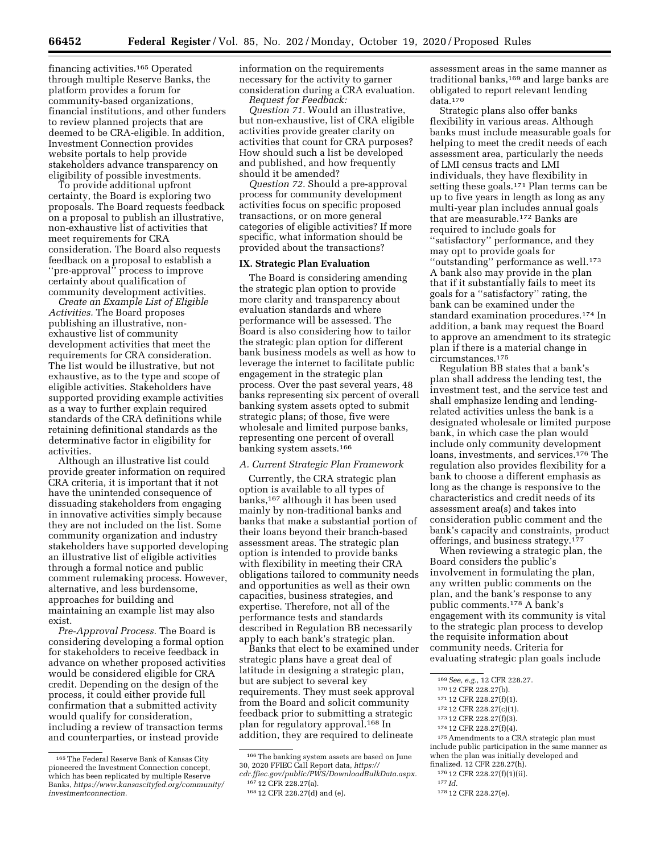financing activities.165 Operated through multiple Reserve Banks, the platform provides a forum for community-based organizations, financial institutions, and other funders to review planned projects that are deemed to be CRA-eligible. In addition, Investment Connection provides website portals to help provide stakeholders advance transparency on eligibility of possible investments.

To provide additional upfront certainty, the Board is exploring two proposals. The Board requests feedback on a proposal to publish an illustrative, non-exhaustive list of activities that meet requirements for CRA consideration. The Board also requests feedback on a proposal to establish a ''pre-approval'' process to improve certainty about qualification of community development activities.

*Create an Example List of Eligible Activities.* The Board proposes publishing an illustrative, nonexhaustive list of community development activities that meet the requirements for CRA consideration. The list would be illustrative, but not exhaustive, as to the type and scope of eligible activities. Stakeholders have supported providing example activities as a way to further explain required standards of the CRA definitions while retaining definitional standards as the determinative factor in eligibility for activities.

Although an illustrative list could provide greater information on required CRA criteria, it is important that it not have the unintended consequence of dissuading stakeholders from engaging in innovative activities simply because they are not included on the list. Some community organization and industry stakeholders have supported developing an illustrative list of eligible activities through a formal notice and public comment rulemaking process. However, alternative, and less burdensome, approaches for building and maintaining an example list may also exist.

*Pre-Approval Process.* The Board is considering developing a formal option for stakeholders to receive feedback in advance on whether proposed activities would be considered eligible for CRA credit. Depending on the design of the process, it could either provide full confirmation that a submitted activity would qualify for consideration, including a review of transaction terms and counterparties, or instead provide

information on the requirements necessary for the activity to garner consideration during a CRA evaluation. *Request for Feedback:* 

*Question 71.* Would an illustrative, but non-exhaustive, list of CRA eligible activities provide greater clarity on activities that count for CRA purposes? How should such a list be developed and published, and how frequently should it be amended?

*Question 72.* Should a pre-approval process for community development activities focus on specific proposed transactions, or on more general categories of eligible activities? If more specific, what information should be provided about the transactions?

#### **IX. Strategic Plan Evaluation**

The Board is considering amending the strategic plan option to provide more clarity and transparency about evaluation standards and where performance will be assessed. The Board is also considering how to tailor the strategic plan option for different bank business models as well as how to leverage the internet to facilitate public engagement in the strategic plan process. Over the past several years, 48 banks representing six percent of overall banking system assets opted to submit strategic plans; of those, five were wholesale and limited purpose banks, representing one percent of overall banking system assets.166

#### *A. Current Strategic Plan Framework*

Currently, the CRA strategic plan option is available to all types of banks,167 although it has been used mainly by non-traditional banks and banks that make a substantial portion of their loans beyond their branch-based assessment areas. The strategic plan option is intended to provide banks with flexibility in meeting their CRA obligations tailored to community needs and opportunities as well as their own capacities, business strategies, and expertise. Therefore, not all of the performance tests and standards described in Regulation BB necessarily apply to each bank's strategic plan.

Banks that elect to be examined under strategic plans have a great deal of latitude in designing a strategic plan, but are subject to several key requirements. They must seek approval from the Board and solicit community feedback prior to submitting a strategic plan for regulatory approval.168 In addition, they are required to delineate

assessment areas in the same manner as traditional banks,<sup>169</sup> and large banks are obligated to report relevant lending data.170

Strategic plans also offer banks flexibility in various areas. Although banks must include measurable goals for helping to meet the credit needs of each assessment area, particularly the needs of LMI census tracts and LMI individuals, they have flexibility in setting these goals.171 Plan terms can be up to five years in length as long as any multi-year plan includes annual goals that are measurable.172 Banks are required to include goals for ''satisfactory'' performance, and they may opt to provide goals for ''outstanding'' performance as well.173 A bank also may provide in the plan that if it substantially fails to meet its goals for a ''satisfactory'' rating, the bank can be examined under the standard examination procedures.174 In addition, a bank may request the Board to approve an amendment to its strategic plan if there is a material change in circumstances.175

Regulation BB states that a bank's plan shall address the lending test, the investment test, and the service test and shall emphasize lending and lendingrelated activities unless the bank is a designated wholesale or limited purpose bank, in which case the plan would include only community development loans, investments, and services.176 The regulation also provides flexibility for a bank to choose a different emphasis as long as the change is responsive to the characteristics and credit needs of its assessment area(s) and takes into consideration public comment and the bank's capacity and constraints, product offerings, and business strategy.177

When reviewing a strategic plan, the Board considers the public's involvement in formulating the plan, any written public comments on the plan, and the bank's response to any public comments.178 A bank's engagement with its community is vital to the strategic plan process to develop the requisite information about community needs. Criteria for evaluating strategic plan goals include

175Amendments to a CRA strategic plan must include public participation in the same manner as when the plan was initially developed and finalized. 12 CFR 228.27(h).

176 12 CFR 228.27(f)(1)(ii).

<sup>165</sup>The Federal Reserve Bank of Kansas City pioneered the Investment Connection concept, which has been replicated by multiple Reserve Banks, *[https://www.kansascityfed.org/community/](https://www.kansascityfed.org/community/investmentconnection)  [investmentconnection.](https://www.kansascityfed.org/community/investmentconnection)* 

<sup>166</sup>The banking system assets are based on June 30, 2020 FFIEC Call Report data, *[https://](https://cdr.ffiec.gov/public/PWS/DownloadBulkData.aspx)*

*[cdr.ffiec.gov/public/PWS/DownloadBulkData.aspx.](https://cdr.ffiec.gov/public/PWS/DownloadBulkData.aspx)*  167 12 CFR 228.27(a).

<sup>168</sup> 12 CFR 228.27(d) and (e).

<sup>169</sup>*See, e.g.,* 12 CFR 228.27.

<sup>170</sup> 12 CFR 228.27(b).

<sup>171</sup> 12 CFR 228.27(f)(1).

<sup>172</sup> 12 CFR 228.27(c)(1).

<sup>173</sup> 12 CFR 228.27(f)(3).

<sup>174</sup> 12 CFR 228.27(f)(4).

<sup>177</sup> *Id.* 

<sup>178</sup> 12 CFR 228.27(e).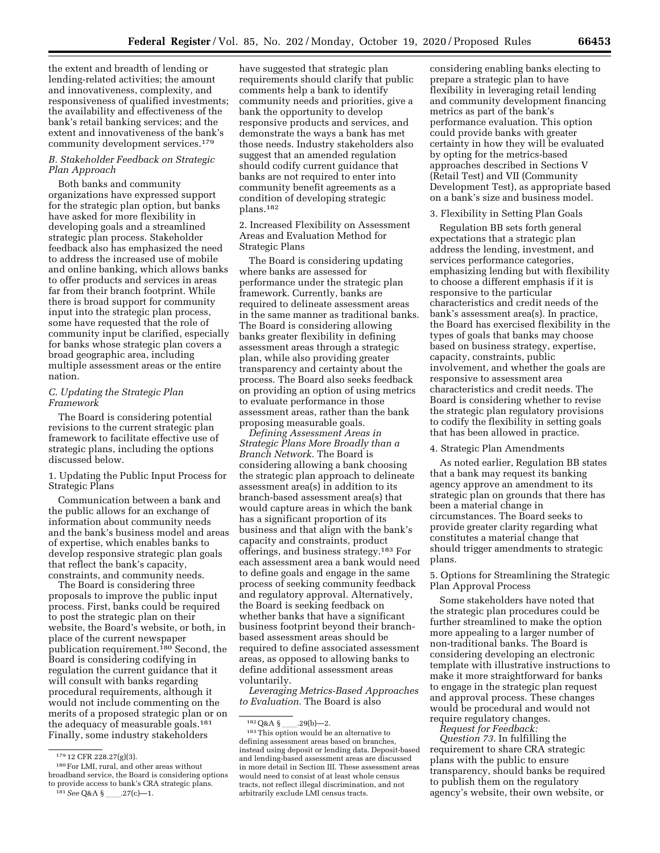the extent and breadth of lending or lending-related activities; the amount and innovativeness, complexity, and responsiveness of qualified investments; the availability and effectiveness of the bank's retail banking services; and the extent and innovativeness of the bank's community development services.179

#### *B. Stakeholder Feedback on Strategic Plan Approach*

Both banks and community organizations have expressed support for the strategic plan option, but banks have asked for more flexibility in developing goals and a streamlined strategic plan process. Stakeholder feedback also has emphasized the need to address the increased use of mobile and online banking, which allows banks to offer products and services in areas far from their branch footprint. While there is broad support for community input into the strategic plan process, some have requested that the role of community input be clarified, especially for banks whose strategic plan covers a broad geographic area, including multiple assessment areas or the entire nation.

#### *C. Updating the Strategic Plan Framework*

The Board is considering potential revisions to the current strategic plan framework to facilitate effective use of strategic plans, including the options discussed below.

1. Updating the Public Input Process for Strategic Plans

Communication between a bank and the public allows for an exchange of information about community needs and the bank's business model and areas of expertise, which enables banks to develop responsive strategic plan goals that reflect the bank's capacity, constraints, and community needs.

The Board is considering three proposals to improve the public input process. First, banks could be required to post the strategic plan on their website, the Board's website, or both, in place of the current newspaper publication requirement.<sup>180</sup> Second, the Board is considering codifying in regulation the current guidance that it will consult with banks regarding procedural requirements, although it would not include commenting on the merits of a proposed strategic plan or on the adequacy of measurable goals.181 Finally, some industry stakeholders

have suggested that strategic plan requirements should clarify that public comments help a bank to identify community needs and priorities, give a bank the opportunity to develop responsive products and services, and demonstrate the ways a bank has met those needs. Industry stakeholders also suggest that an amended regulation should codify current guidance that banks are not required to enter into community benefit agreements as a condition of developing strategic plans.182

2. Increased Flexibility on Assessment Areas and Evaluation Method for Strategic Plans

The Board is considering updating where banks are assessed for performance under the strategic plan framework. Currently, banks are required to delineate assessment areas in the same manner as traditional banks. The Board is considering allowing banks greater flexibility in defining assessment areas through a strategic plan, while also providing greater transparency and certainty about the process. The Board also seeks feedback on providing an option of using metrics to evaluate performance in those assessment areas, rather than the bank proposing measurable goals.

*Defining Assessment Areas in Strategic Plans More Broadly than a Branch Network.* The Board is considering allowing a bank choosing the strategic plan approach to delineate assessment area(s) in addition to its branch-based assessment area(s) that would capture areas in which the bank has a significant proportion of its business and that align with the bank's capacity and constraints, product offerings, and business strategy.183 For each assessment area a bank would need to define goals and engage in the same process of seeking community feedback and regulatory approval. Alternatively, the Board is seeking feedback on whether banks that have a significant business footprint beyond their branchbased assessment areas should be required to define associated assessment areas, as opposed to allowing banks to define additional assessment areas voluntarily.

*Leveraging Metrics-Based Approaches to Evaluation.* The Board is also

considering enabling banks electing to prepare a strategic plan to have flexibility in leveraging retail lending and community development financing metrics as part of the bank's performance evaluation. This option could provide banks with greater certainty in how they will be evaluated by opting for the metrics-based approaches described in Sections V (Retail Test) and VII (Community Development Test), as appropriate based on a bank's size and business model.

#### 3. Flexibility in Setting Plan Goals

Regulation BB sets forth general expectations that a strategic plan address the lending, investment, and services performance categories, emphasizing lending but with flexibility to choose a different emphasis if it is responsive to the particular characteristics and credit needs of the bank's assessment area(s). In practice, the Board has exercised flexibility in the types of goals that banks may choose based on business strategy, expertise, capacity, constraints, public involvement, and whether the goals are responsive to assessment area characteristics and credit needs. The Board is considering whether to revise the strategic plan regulatory provisions to codify the flexibility in setting goals that has been allowed in practice.

#### 4. Strategic Plan Amendments

As noted earlier, Regulation BB states that a bank may request its banking agency approve an amendment to its strategic plan on grounds that there has been a material change in circumstances. The Board seeks to provide greater clarity regarding what constitutes a material change that should trigger amendments to strategic plans.

#### 5. Options for Streamlining the Strategic Plan Approval Process

Some stakeholders have noted that the strategic plan procedures could be further streamlined to make the option more appealing to a larger number of non-traditional banks. The Board is considering developing an electronic template with illustrative instructions to make it more straightforward for banks to engage in the strategic plan request and approval process. These changes would be procedural and would not require regulatory changes.

*Request for Feedback:* 

*Question 73.* In fulfilling the requirement to share CRA strategic plans with the public to ensure transparency, should banks be required to publish them on the regulatory agency's website, their own website, or

<sup>179</sup> 12 CFR 228.27(g)(3).

<sup>180</sup>For LMI, rural, and other areas without broadband service, the Board is considering options to provide access to bank's CRA strategic plans. 181 See Q&A §\_\_\_\_\_.27(c)-1.

 $182\,\mbox{Q\&A}$  § \_\_\_\_.29(b)—2.

<sup>183</sup>This option would be an alternative to defining assessment areas based on branches, instead using deposit or lending data. Deposit-based and lending-based assessment areas are discussed in more detail in Section III. These assessment areas would need to consist of at least whole census tracts, not reflect illegal discrimination, and not arbitrarily exclude LMI census tracts.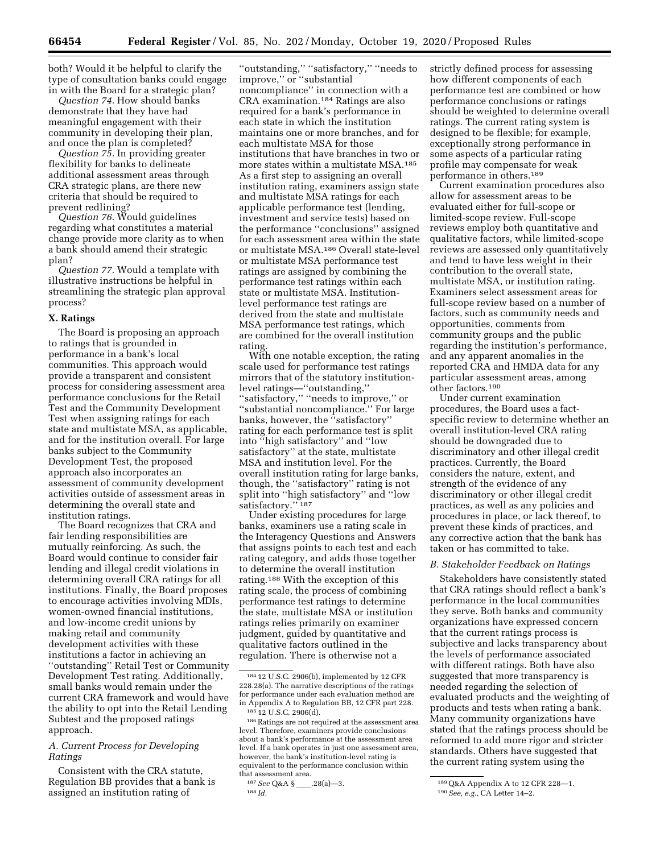both? Would it be helpful to clarify the type of consultation banks could engage in with the Board for a strategic plan?

*Question 74.* How should banks demonstrate that they have had meaningful engagement with their community in developing their plan, and once the plan is completed?

*Question 75.* In providing greater flexibility for banks to delineate additional assessment areas through CRA strategic plans, are there new criteria that should be required to prevent redlining?

*Question 76.* Would guidelines regarding what constitutes a material change provide more clarity as to when a bank should amend their strategic plan?

*Question 77.* Would a template with illustrative instructions be helpful in streamlining the strategic plan approval process?

#### **X. Ratings**

The Board is proposing an approach to ratings that is grounded in performance in a bank's local communities. This approach would provide a transparent and consistent process for considering assessment area performance conclusions for the Retail Test and the Community Development Test when assigning ratings for each state and multistate MSA, as applicable, and for the institution overall. For large banks subject to the Community Development Test, the proposed approach also incorporates an assessment of community development activities outside of assessment areas in determining the overall state and institution ratings.

The Board recognizes that CRA and fair lending responsibilities are mutually reinforcing. As such, the Board would continue to consider fair lending and illegal credit violations in determining overall CRA ratings for all institutions. Finally, the Board proposes to encourage activities involving MDIs, women-owned financial institutions, and low-income credit unions by making retail and community development activities with these institutions a factor in achieving an ''outstanding'' Retail Test or Community Development Test rating. Additionally, small banks would remain under the current CRA framework and would have the ability to opt into the Retail Lending Subtest and the proposed ratings approach.

#### *A. Current Process for Developing Ratings*

Consistent with the CRA statute, Regulation BB provides that a bank is assigned an institution rating of

''outstanding,'' ''satisfactory,'' ''needs to improve,'' or ''substantial noncompliance'' in connection with a CRA examination.184 Ratings are also required for a bank's performance in each state in which the institution maintains one or more branches, and for each multistate MSA for those institutions that have branches in two or more states within a multistate MSA.185 As a first step to assigning an overall institution rating, examiners assign state and multistate MSA ratings for each applicable performance test (lending, investment and service tests) based on the performance ''conclusions'' assigned for each assessment area within the state or multistate MSA.186 Overall state-level or multistate MSA performance test ratings are assigned by combining the performance test ratings within each state or multistate MSA. Institutionlevel performance test ratings are derived from the state and multistate MSA performance test ratings, which are combined for the overall institution rating.

With one notable exception, the rating scale used for performance test ratings mirrors that of the statutory institutionlevel ratings—''outstanding,'' ''satisfactory,'' ''needs to improve,'' or ''substantial noncompliance.'' For large banks, however, the ''satisfactory'' rating for each performance test is split into ''high satisfactory'' and ''low satisfactory'' at the state, multistate MSA and institution level. For the overall institution rating for large banks, though, the ''satisfactory'' rating is not split into ''high satisfactory'' and ''low satisfactory."<sup>187</sup>

Under existing procedures for large banks, examiners use a rating scale in the Interagency Questions and Answers that assigns points to each test and each rating category, and adds those together to determine the overall institution rating.188 With the exception of this rating scale, the process of combining performance test ratings to determine the state, multistate MSA or institution ratings relies primarily on examiner judgment, guided by quantitative and qualitative factors outlined in the regulation. There is otherwise not a

strictly defined process for assessing how different components of each performance test are combined or how performance conclusions or ratings should be weighted to determine overall ratings. The current rating system is designed to be flexible; for example, exceptionally strong performance in some aspects of a particular rating profile may compensate for weak performance in others.189

Current examination procedures also allow for assessment areas to be evaluated either for full-scope or limited-scope review. Full-scope reviews employ both quantitative and qualitative factors, while limited-scope reviews are assessed only quantitatively and tend to have less weight in their contribution to the overall state, multistate MSA, or institution rating. Examiners select assessment areas for full-scope review based on a number of factors, such as community needs and opportunities, comments from community groups and the public regarding the institution's performance, and any apparent anomalies in the reported CRA and HMDA data for any particular assessment areas, among other factors.190

Under current examination procedures, the Board uses a factspecific review to determine whether an overall institution-level CRA rating should be downgraded due to discriminatory and other illegal credit practices. Currently, the Board considers the nature, extent, and strength of the evidence of any discriminatory or other illegal credit practices, as well as any policies and procedures in place, or lack thereof, to prevent these kinds of practices, and any corrective action that the bank has taken or has committed to take.

#### *B. Stakeholder Feedback on Ratings*

Stakeholders have consistently stated that CRA ratings should reflect a bank's performance in the local communities they serve. Both banks and community organizations have expressed concern that the current ratings process is subjective and lacks transparency about the levels of performance associated with different ratings. Both have also suggested that more transparency is needed regarding the selection of evaluated products and the weighting of products and tests when rating a bank. Many community organizations have stated that the ratings process should be reformed to add more rigor and stricter standards. Others have suggested that the current rating system using the

<sup>184</sup> 12 U.S.C. 2906(b), implemented by 12 CFR 228.28(a). The narrative descriptions of the ratings for performance under each evaluation method are in Appendix A to Regulation BB, 12 CFR part 228. 185 12 U.S.C. 2906(d).

<sup>186</sup>Ratings are not required at the assessment area level. Therefore, examiners provide conclusions about a bank's performance at the assessment area level. If a bank operates in just one assessment area, however, the bank's institution-level rating is equivalent to the performance conclusion within that assessment area.

<sup>187</sup> See Q&A §\_\_\_\_.28(a)-3. 188 *Id.* 

<sup>189</sup>Q&A Appendix A to 12 CFR 228—1.

<sup>190</sup>*See, e.g.,* CA Letter 14–2.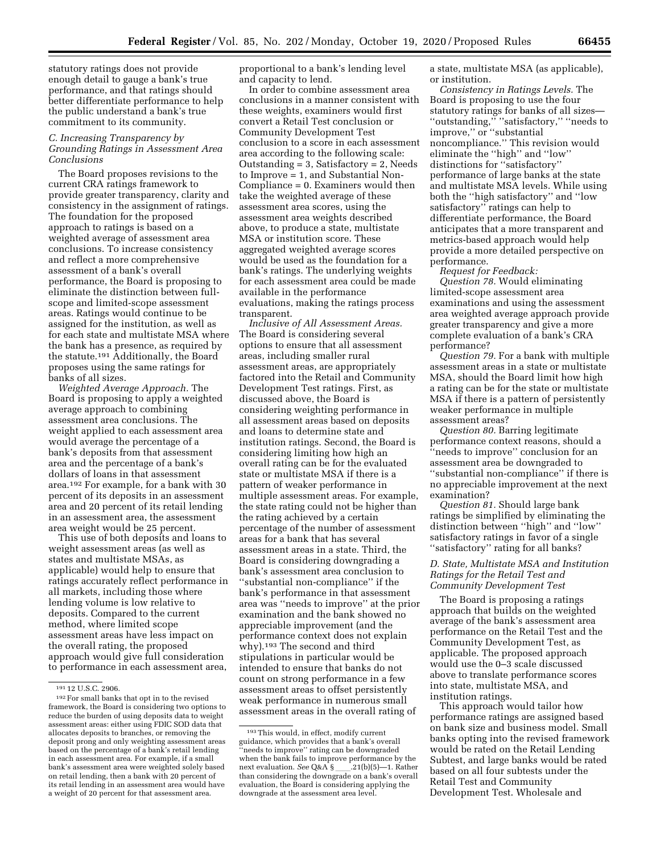statutory ratings does not provide enough detail to gauge a bank's true performance, and that ratings should better differentiate performance to help the public understand a bank's true commitment to its community.

#### *C. Increasing Transparency by Grounding Ratings in Assessment Area Conclusions*

The Board proposes revisions to the current CRA ratings framework to provide greater transparency, clarity and consistency in the assignment of ratings. The foundation for the proposed approach to ratings is based on a weighted average of assessment area conclusions. To increase consistency and reflect a more comprehensive assessment of a bank's overall performance, the Board is proposing to eliminate the distinction between fullscope and limited-scope assessment areas. Ratings would continue to be assigned for the institution, as well as for each state and multistate MSA where the bank has a presence, as required by the statute.191 Additionally, the Board proposes using the same ratings for banks of all sizes.

*Weighted Average Approach.* The Board is proposing to apply a weighted average approach to combining assessment area conclusions. The weight applied to each assessment area would average the percentage of a bank's deposits from that assessment area and the percentage of a bank's dollars of loans in that assessment area.192 For example, for a bank with 30 percent of its deposits in an assessment area and 20 percent of its retail lending in an assessment area, the assessment area weight would be 25 percent.

This use of both deposits and loans to weight assessment areas (as well as states and multistate MSAs, as applicable) would help to ensure that ratings accurately reflect performance in all markets, including those where lending volume is low relative to deposits. Compared to the current method, where limited scope assessment areas have less impact on the overall rating, the proposed approach would give full consideration to performance in each assessment area,

proportional to a bank's lending level and capacity to lend.

In order to combine assessment area conclusions in a manner consistent with these weights, examiners would first convert a Retail Test conclusion or Community Development Test conclusion to a score in each assessment area according to the following scale: Outstanding  $= 3$ , Satisfactory  $= 2$ , Needs to Improve = 1, and Substantial Non-Compliance = 0. Examiners would then take the weighted average of these assessment area scores, using the assessment area weights described above, to produce a state, multistate MSA or institution score. These aggregated weighted average scores would be used as the foundation for a bank's ratings. The underlying weights for each assessment area could be made available in the performance evaluations, making the ratings process transparent.

*Inclusive of All Assessment Areas.*  The Board is considering several options to ensure that all assessment areas, including smaller rural assessment areas, are appropriately factored into the Retail and Community Development Test ratings. First, as discussed above, the Board is considering weighting performance in all assessment areas based on deposits and loans to determine state and institution ratings. Second, the Board is considering limiting how high an overall rating can be for the evaluated state or multistate MSA if there is a pattern of weaker performance in multiple assessment areas. For example, the state rating could not be higher than the rating achieved by a certain percentage of the number of assessment areas for a bank that has several assessment areas in a state. Third, the Board is considering downgrading a bank's assessment area conclusion to ''substantial non-compliance'' if the bank's performance in that assessment area was ''needs to improve'' at the prior examination and the bank showed no appreciable improvement (and the performance context does not explain why).193 The second and third stipulations in particular would be intended to ensure that banks do not count on strong performance in a few assessment areas to offset persistently weak performance in numerous small assessment areas in the overall rating of

a state, multistate MSA (as applicable), or institution.

*Consistency in Ratings Levels.* The Board is proposing to use the four statutory ratings for banks of all sizes— ''outstanding,'' ''satisfactory,'' ''needs to improve,'' or ''substantial noncompliance.'' This revision would eliminate the ''high'' and ''low'' distinctions for ''satisfactory'' performance of large banks at the state and multistate MSA levels. While using both the ''high satisfactory'' and ''low satisfactory'' ratings can help to differentiate performance, the Board anticipates that a more transparent and metrics-based approach would help provide a more detailed perspective on performance.

*Request for Feedback:* 

*Question 78.* Would eliminating limited-scope assessment area examinations and using the assessment area weighted average approach provide greater transparency and give a more complete evaluation of a bank's CRA performance?

*Question 79.* For a bank with multiple assessment areas in a state or multistate MSA, should the Board limit how high a rating can be for the state or multistate MSA if there is a pattern of persistently weaker performance in multiple assessment areas?

*Question 80.* Barring legitimate performance context reasons, should a ''needs to improve'' conclusion for an assessment area be downgraded to ''substantial non-compliance'' if there is no appreciable improvement at the next examination?

*Question 81.* Should large bank ratings be simplified by eliminating the distinction between ''high'' and ''low'' satisfactory ratings in favor of a single ''satisfactory'' rating for all banks?

#### *D. State, Multistate MSA and Institution Ratings for the Retail Test and Community Development Test*

The Board is proposing a ratings approach that builds on the weighted average of the bank's assessment area performance on the Retail Test and the Community Development Test, as applicable. The proposed approach would use the 0–3 scale discussed above to translate performance scores into state, multistate MSA, and institution ratings.

This approach would tailor how performance ratings are assigned based on bank size and business model. Small banks opting into the revised framework would be rated on the Retail Lending Subtest, and large banks would be rated based on all four subtests under the Retail Test and Community Development Test. Wholesale and

<sup>191</sup> 12 U.S.C. 2906.

<sup>192</sup>For small banks that opt in to the revised framework, the Board is considering two options to reduce the burden of using deposits data to weight assessment areas: either using FDIC SOD data that allocates deposits to branches, or removing the deposit prong and only weighting assessment areas based on the percentage of a bank's retail lending in each assessment area. For example, if a small bank's assessment area were weighted solely based on retail lending, then a bank with 20 percent of its retail lending in an assessment area would have a weight of 20 percent for that assessment area.

<sup>193</sup>This would, in effect, modify current guidance, which provides that a bank's overall 'needs to improve'' rating can be downgraded when the bank fails to improve performance by the next evaluation. *See* Q&A §\_\_\_\_.21(b)(5)—1. Rather<br>than considering the downgrade on a bank's overall than considering the downgrade on a bank's overall evaluation, the Board is considering applying the downgrade at the assessment area level.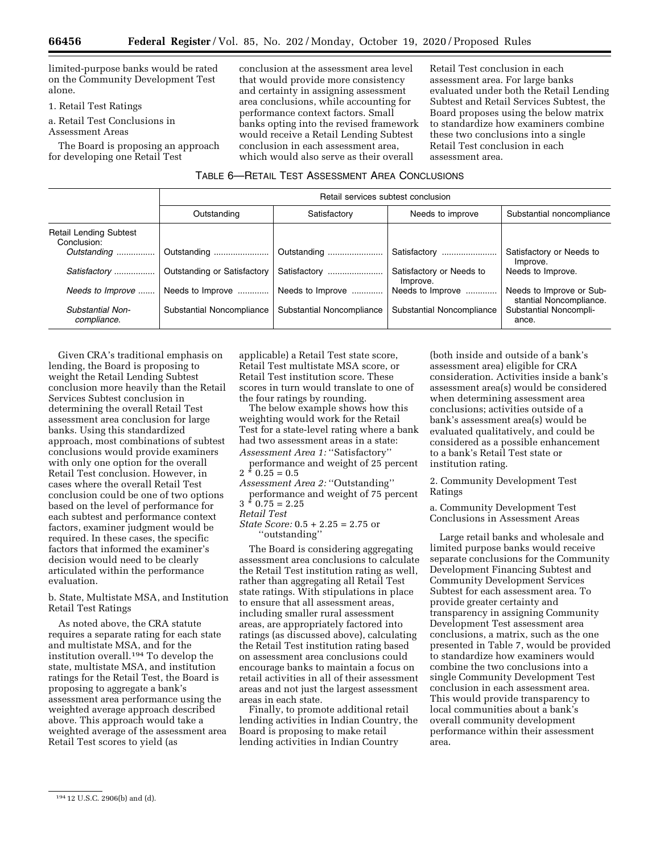limited-purpose banks would be rated on the Community Development Test alone.

1. Retail Test Ratings

a. Retail Test Conclusions in Assessment Areas

The Board is proposing an approach for developing one Retail Test

conclusion at the assessment area level that would provide more consistency and certainty in assigning assessment area conclusions, while accounting for performance context factors. Small banks opting into the revised framework would receive a Retail Lending Subtest conclusion in each assessment area, which would also serve as their overall

Retail Test conclusion in each assessment area. For large banks evaluated under both the Retail Lending Subtest and Retail Services Subtest, the Board proposes using the below matrix to standardize how examiners combine these two conclusions into a single Retail Test conclusion in each assessment area.

| TABLE 6—RETAIL TEST ASSESSMENT AREA CONCLUSIONS |  |  |  |  |
|-------------------------------------------------|--|--|--|--|
|-------------------------------------------------|--|--|--|--|

|                                              | Retail services subtest conclusion |                           |                                      |                                                     |  |  |  |
|----------------------------------------------|------------------------------------|---------------------------|--------------------------------------|-----------------------------------------------------|--|--|--|
|                                              | Outstanding                        | Satisfactory              | Needs to improve                     | Substantial noncompliance                           |  |  |  |
| <b>Retail Lending Subtest</b><br>Conclusion: |                                    |                           |                                      |                                                     |  |  |  |
| Outstanding                                  | Outstanding                        | Outstanding               | Satisfactory                         | Satisfactory or Needs to<br>Improve.                |  |  |  |
| Satisfactory                                 | Outstanding or Satisfactory        | Satisfactory              | Satisfactory or Needs to<br>Improve. | Needs to Improve.                                   |  |  |  |
| Needs to Improve                             | Needs to Improve                   | Needs to Improve          | Needs to Improve                     | Needs to Improve or Sub-<br>stantial Noncompliance. |  |  |  |
| Substantial Non-<br>compliance.              | Substantial Noncompliance          | Substantial Noncompliance | Substantial Noncompliance            | Substantial Noncompli-<br>ance.                     |  |  |  |

Given CRA's traditional emphasis on lending, the Board is proposing to weight the Retail Lending Subtest conclusion more heavily than the Retail Services Subtest conclusion in determining the overall Retail Test assessment area conclusion for large banks. Using this standardized approach, most combinations of subtest conclusions would provide examiners with only one option for the overall Retail Test conclusion. However, in cases where the overall Retail Test conclusion could be one of two options based on the level of performance for each subtest and performance context factors, examiner judgment would be required. In these cases, the specific factors that informed the examiner's decision would need to be clearly articulated within the performance evaluation.

b. State, Multistate MSA, and Institution Retail Test Ratings

As noted above, the CRA statute requires a separate rating for each state and multistate MSA, and for the institution overall.194 To develop the state, multistate MSA, and institution ratings for the Retail Test, the Board is proposing to aggregate a bank's assessment area performance using the weighted average approach described above. This approach would take a weighted average of the assessment area Retail Test scores to yield (as

applicable) a Retail Test state score, Retail Test multistate MSA score, or Retail Test institution score. These scores in turn would translate to one of the four ratings by rounding.

The below example shows how this weighting would work for the Retail Test for a state-level rating where a bank had two assessment areas in a state: *Assessment Area 1:* ''Satisfactory''

performance and weight of 25 percent  $2 * 0.25 = 0.5$ 

*Assessment Area 2:* ''Outstanding'' performance and weight of 75 percent  $3 * 0.75 = 2.25$ 

*Retail Test* 

*State Score:* 0.5 + 2.25 = 2.75 or ''outstanding''

The Board is considering aggregating assessment area conclusions to calculate the Retail Test institution rating as well, rather than aggregating all Retail Test state ratings. With stipulations in place to ensure that all assessment areas, including smaller rural assessment areas, are appropriately factored into ratings (as discussed above), calculating the Retail Test institution rating based on assessment area conclusions could encourage banks to maintain a focus on retail activities in all of their assessment areas and not just the largest assessment areas in each state.

Finally, to promote additional retail lending activities in Indian Country, the Board is proposing to make retail lending activities in Indian Country

(both inside and outside of a bank's assessment area) eligible for CRA consideration. Activities inside a bank's assessment area(s) would be considered when determining assessment area conclusions; activities outside of a bank's assessment area(s) would be evaluated qualitatively, and could be considered as a possible enhancement to a bank's Retail Test state or institution rating.

2. Community Development Test Ratings

a. Community Development Test Conclusions in Assessment Areas

Large retail banks and wholesale and limited purpose banks would receive separate conclusions for the Community Development Financing Subtest and Community Development Services Subtest for each assessment area. To provide greater certainty and transparency in assigning Community Development Test assessment area conclusions, a matrix, such as the one presented in Table 7, would be provided to standardize how examiners would combine the two conclusions into a single Community Development Test conclusion in each assessment area. This would provide transparency to local communities about a bank's overall community development performance within their assessment area.

<sup>194</sup> 12 U.S.C. 2906(b) and (d).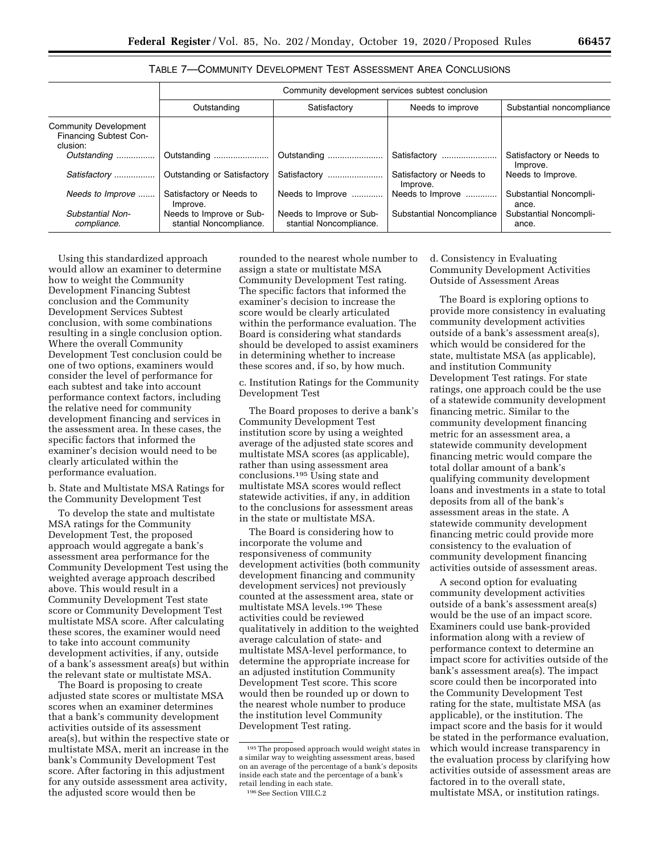#### TABLE 7—COMMUNITY DEVELOPMENT TEST ASSESSMENT AREA CONCLUSIONS

|                                                                           | Community development services subtest conclusion   |                                                     |                                      |                                      |  |  |  |
|---------------------------------------------------------------------------|-----------------------------------------------------|-----------------------------------------------------|--------------------------------------|--------------------------------------|--|--|--|
|                                                                           | Outstanding                                         | Satisfactory                                        | Needs to improve                     | Substantial noncompliance            |  |  |  |
| <b>Community Development</b><br><b>Financing Subtest Con-</b><br>clusion: |                                                     |                                                     |                                      |                                      |  |  |  |
| Outstanding                                                               | Outstanding                                         | Outstanding                                         | Satisfactory                         | Satisfactory or Needs to<br>Improve. |  |  |  |
| Satisfactory                                                              | Outstanding or Satisfactory                         | Satisfactory                                        | Satisfactory or Needs to<br>Improve. | Needs to Improve.                    |  |  |  |
| Needs to Improve                                                          | Satisfactory or Needs to<br>Improve.                | Needs to Improve                                    | Needs to Improve                     | Substantial Noncompli-<br>ance.      |  |  |  |
| Substantial Non-<br>compliance.                                           | Needs to Improve or Sub-<br>stantial Noncompliance. | Needs to Improve or Sub-<br>stantial Noncompliance. | Substantial Noncompliance            | Substantial Noncompli-<br>ance.      |  |  |  |

Using this standardized approach would allow an examiner to determine how to weight the Community Development Financing Subtest conclusion and the Community Development Services Subtest conclusion, with some combinations resulting in a single conclusion option. Where the overall Community Development Test conclusion could be one of two options, examiners would consider the level of performance for each subtest and take into account performance context factors, including the relative need for community development financing and services in the assessment area. In these cases, the specific factors that informed the examiner's decision would need to be clearly articulated within the performance evaluation.

b. State and Multistate MSA Ratings for the Community Development Test

To develop the state and multistate MSA ratings for the Community Development Test, the proposed approach would aggregate a bank's assessment area performance for the Community Development Test using the weighted average approach described above. This would result in a Community Development Test state score or Community Development Test multistate MSA score. After calculating these scores, the examiner would need to take into account community development activities, if any, outside of a bank's assessment area(s) but within the relevant state or multistate MSA.

The Board is proposing to create adjusted state scores or multistate MSA scores when an examiner determines that a bank's community development activities outside of its assessment area(s), but within the respective state or multistate MSA, merit an increase in the bank's Community Development Test score. After factoring in this adjustment for any outside assessment area activity, the adjusted score would then be

rounded to the nearest whole number to assign a state or multistate MSA Community Development Test rating. The specific factors that informed the examiner's decision to increase the score would be clearly articulated within the performance evaluation. The Board is considering what standards should be developed to assist examiners in determining whether to increase these scores and, if so, by how much.

c. Institution Ratings for the Community Development Test

The Board proposes to derive a bank's Community Development Test institution score by using a weighted average of the adjusted state scores and multistate MSA scores (as applicable), rather than using assessment area conclusions.195 Using state and multistate MSA scores would reflect statewide activities, if any, in addition to the conclusions for assessment areas in the state or multistate MSA.

The Board is considering how to incorporate the volume and responsiveness of community development activities (both community development financing and community development services) not previously counted at the assessment area, state or multistate MSA levels.196 These activities could be reviewed qualitatively in addition to the weighted average calculation of state- and multistate MSA-level performance, to determine the appropriate increase for an adjusted institution Community Development Test score. This score would then be rounded up or down to the nearest whole number to produce the institution level Community Development Test rating.

#### 196See Section VIII.C.2

#### d. Consistency in Evaluating Community Development Activities Outside of Assessment Areas

The Board is exploring options to provide more consistency in evaluating community development activities outside of a bank's assessment area(s), which would be considered for the state, multistate MSA (as applicable), and institution Community Development Test ratings. For state ratings, one approach could be the use of a statewide community development financing metric. Similar to the community development financing metric for an assessment area, a statewide community development financing metric would compare the total dollar amount of a bank's qualifying community development loans and investments in a state to total deposits from all of the bank's assessment areas in the state. A statewide community development financing metric could provide more consistency to the evaluation of community development financing activities outside of assessment areas.

A second option for evaluating community development activities outside of a bank's assessment area(s) would be the use of an impact score. Examiners could use bank-provided information along with a review of performance context to determine an impact score for activities outside of the bank's assessment area(s). The impact score could then be incorporated into the Community Development Test rating for the state, multistate MSA (as applicable), or the institution. The impact score and the basis for it would be stated in the performance evaluation, which would increase transparency in the evaluation process by clarifying how activities outside of assessment areas are factored in to the overall state, multistate MSA, or institution ratings.

<sup>195</sup>The proposed approach would weight states in a similar way to weighting assessment areas, based on an average of the percentage of a bank's deposits inside each state and the percentage of a bank's retail lending in each state.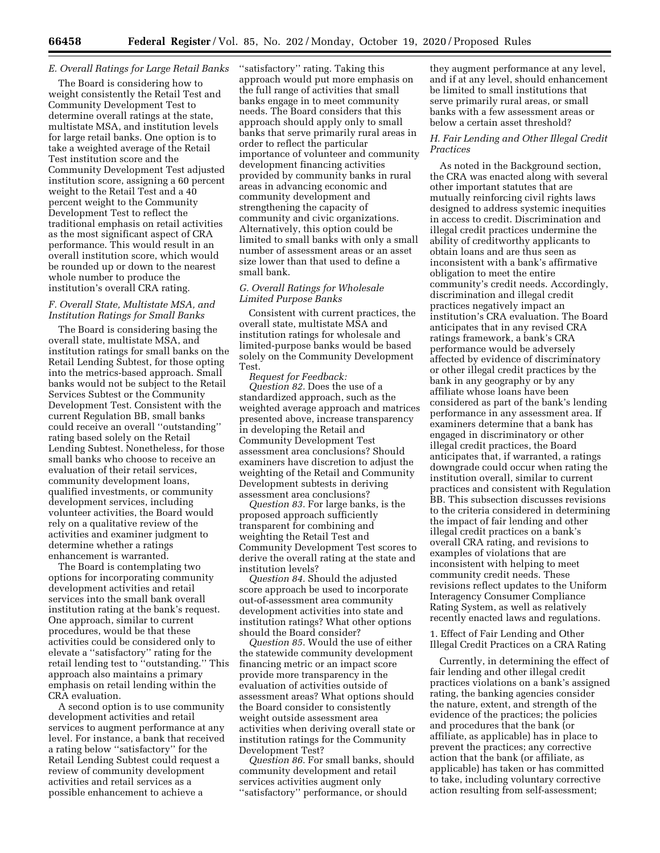#### *E. Overall Ratings for Large Retail Banks*

The Board is considering how to weight consistently the Retail Test and Community Development Test to determine overall ratings at the state, multistate MSA, and institution levels for large retail banks. One option is to take a weighted average of the Retail Test institution score and the Community Development Test adjusted institution score, assigning a 60 percent weight to the Retail Test and a 40 percent weight to the Community Development Test to reflect the traditional emphasis on retail activities as the most significant aspect of CRA performance. This would result in an overall institution score, which would be rounded up or down to the nearest whole number to produce the institution's overall CRA rating.

#### *F. Overall State, Multistate MSA, and Institution Ratings for Small Banks*

The Board is considering basing the overall state, multistate MSA, and institution ratings for small banks on the Retail Lending Subtest, for those opting into the metrics-based approach. Small banks would not be subject to the Retail Services Subtest or the Community Development Test. Consistent with the current Regulation BB, small banks could receive an overall ''outstanding'' rating based solely on the Retail Lending Subtest. Nonetheless, for those small banks who choose to receive an evaluation of their retail services, community development loans, qualified investments, or community development services, including volunteer activities, the Board would rely on a qualitative review of the activities and examiner judgment to determine whether a ratings enhancement is warranted.

The Board is contemplating two options for incorporating community development activities and retail services into the small bank overall institution rating at the bank's request. One approach, similar to current procedures, would be that these activities could be considered only to elevate a ''satisfactory'' rating for the retail lending test to ''outstanding.'' This approach also maintains a primary emphasis on retail lending within the CRA evaluation.

A second option is to use community development activities and retail services to augment performance at any level. For instance, a bank that received a rating below ''satisfactory'' for the Retail Lending Subtest could request a review of community development activities and retail services as a possible enhancement to achieve a

''satisfactory'' rating. Taking this approach would put more emphasis on the full range of activities that small banks engage in to meet community needs. The Board considers that this approach should apply only to small banks that serve primarily rural areas in order to reflect the particular importance of volunteer and community development financing activities provided by community banks in rural areas in advancing economic and community development and strengthening the capacity of community and civic organizations. Alternatively, this option could be limited to small banks with only a small number of assessment areas or an asset size lower than that used to define a small bank.

#### *G. Overall Ratings for Wholesale Limited Purpose Banks*

Consistent with current practices, the overall state, multistate MSA and institution ratings for wholesale and limited-purpose banks would be based solely on the Community Development Test.

*Request for Feedback: Question 82.* Does the use of a standardized approach, such as the weighted average approach and matrices presented above, increase transparency in developing the Retail and Community Development Test assessment area conclusions? Should examiners have discretion to adjust the weighting of the Retail and Community Development subtests in deriving assessment area conclusions?

*Question 83.* For large banks, is the proposed approach sufficiently transparent for combining and weighting the Retail Test and Community Development Test scores to derive the overall rating at the state and institution levels?

*Question 84.* Should the adjusted score approach be used to incorporate out-of-assessment area community development activities into state and institution ratings? What other options should the Board consider?

*Question 85.* Would the use of either the statewide community development financing metric or an impact score provide more transparency in the evaluation of activities outside of assessment areas? What options should the Board consider to consistently weight outside assessment area activities when deriving overall state or institution ratings for the Community Development Test?

*Question 86.* For small banks, should community development and retail services activities augment only ''satisfactory'' performance, or should

they augment performance at any level, and if at any level, should enhancement be limited to small institutions that serve primarily rural areas, or small banks with a few assessment areas or below a certain asset threshold?

#### *H. Fair Lending and Other Illegal Credit Practices*

As noted in the Background section, the CRA was enacted along with several other important statutes that are mutually reinforcing civil rights laws designed to address systemic inequities in access to credit. Discrimination and illegal credit practices undermine the ability of creditworthy applicants to obtain loans and are thus seen as inconsistent with a bank's affirmative obligation to meet the entire community's credit needs. Accordingly, discrimination and illegal credit practices negatively impact an institution's CRA evaluation. The Board anticipates that in any revised CRA ratings framework, a bank's CRA performance would be adversely affected by evidence of discriminatory or other illegal credit practices by the bank in any geography or by any affiliate whose loans have been considered as part of the bank's lending performance in any assessment area. If examiners determine that a bank has engaged in discriminatory or other illegal credit practices, the Board anticipates that, if warranted, a ratings downgrade could occur when rating the institution overall, similar to current practices and consistent with Regulation BB. This subsection discusses revisions to the criteria considered in determining the impact of fair lending and other illegal credit practices on a bank's overall CRA rating, and revisions to examples of violations that are inconsistent with helping to meet community credit needs. These revisions reflect updates to the Uniform Interagency Consumer Compliance Rating System, as well as relatively recently enacted laws and regulations.

1. Effect of Fair Lending and Other Illegal Credit Practices on a CRA Rating

Currently, in determining the effect of fair lending and other illegal credit practices violations on a bank's assigned rating, the banking agencies consider the nature, extent, and strength of the evidence of the practices; the policies and procedures that the bank (or affiliate, as applicable) has in place to prevent the practices; any corrective action that the bank (or affiliate, as applicable) has taken or has committed to take, including voluntary corrective action resulting from self-assessment;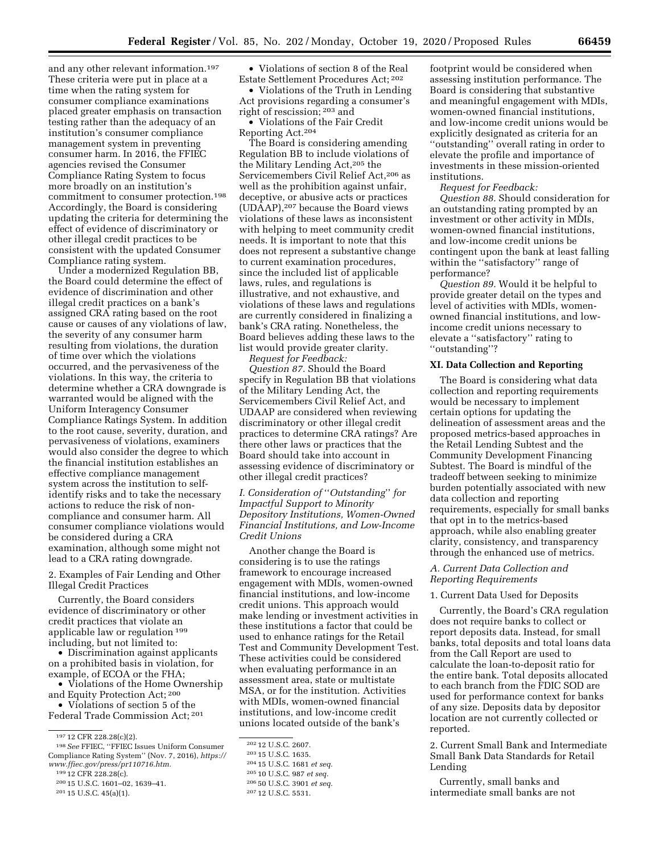and any other relevant information.197 These criteria were put in place at a time when the rating system for consumer compliance examinations placed greater emphasis on transaction testing rather than the adequacy of an institution's consumer compliance management system in preventing consumer harm. In 2016, the FFIEC agencies revised the Consumer Compliance Rating System to focus more broadly on an institution's commitment to consumer protection.198 Accordingly, the Board is considering updating the criteria for determining the effect of evidence of discriminatory or other illegal credit practices to be consistent with the updated Consumer Compliance rating system.

Under a modernized Regulation BB, the Board could determine the effect of evidence of discrimination and other illegal credit practices on a bank's assigned CRA rating based on the root cause or causes of any violations of law, the severity of any consumer harm resulting from violations, the duration of time over which the violations occurred, and the pervasiveness of the violations. In this way, the criteria to determine whether a CRA downgrade is warranted would be aligned with the Uniform Interagency Consumer Compliance Ratings System. In addition to the root cause, severity, duration, and pervasiveness of violations, examiners would also consider the degree to which the financial institution establishes an effective compliance management system across the institution to selfidentify risks and to take the necessary actions to reduce the risk of noncompliance and consumer harm. All consumer compliance violations would be considered during a CRA examination, although some might not lead to a CRA rating downgrade.

#### 2. Examples of Fair Lending and Other Illegal Credit Practices

Currently, the Board considers evidence of discriminatory or other credit practices that violate an applicable law or regulation 199 including, but not limited to:

• Discrimination against applicants on a prohibited basis in violation, for example, of ECOA or the FHA;

• Violations of the Home Ownership and Equity Protection Act; 200

• Violations of section 5 of the Federal Trade Commission Act; 201

199 12 CFR 228.28(c).

• Violations of section 8 of the Real Estate Settlement Procedures Act; 202

• Violations of the Truth in Lending Act provisions regarding a consumer's right of rescission; 203 and

• Violations of the Fair Credit Reporting Act.204

The Board is considering amending Regulation BB to include violations of the Military Lending Act,205 the Servicemembers Civil Relief Act,206 as well as the prohibition against unfair, deceptive, or abusive acts or practices (UDAAP),207 because the Board views violations of these laws as inconsistent with helping to meet community credit needs. It is important to note that this does not represent a substantive change to current examination procedures, since the included list of applicable laws, rules, and regulations is illustrative, and not exhaustive, and violations of these laws and regulations are currently considered in finalizing a bank's CRA rating. Nonetheless, the Board believes adding these laws to the list would provide greater clarity.

*Request for Feedback:* 

*Question 87.* Should the Board specify in Regulation BB that violations of the Military Lending Act, the Servicemembers Civil Relief Act, and UDAAP are considered when reviewing discriminatory or other illegal credit practices to determine CRA ratings? Are there other laws or practices that the Board should take into account in assessing evidence of discriminatory or other illegal credit practices?

*I. Consideration of* ''*Outstanding*'' *for Impactful Support to Minority Depository Institutions, Women-Owned Financial Institutions, and Low-Income Credit Unions* 

Another change the Board is considering is to use the ratings framework to encourage increased engagement with MDIs, women-owned financial institutions, and low-income credit unions. This approach would make lending or investment activities in these institutions a factor that could be used to enhance ratings for the Retail Test and Community Development Test. These activities could be considered when evaluating performance in an assessment area, state or multistate MSA, or for the institution. Activities with MDIs, women-owned financial institutions, and low-income credit unions located outside of the bank's

205 10 U.S.C. 987 *et seq.* 

footprint would be considered when assessing institution performance. The Board is considering that substantive and meaningful engagement with MDIs, women-owned financial institutions, and low-income credit unions would be explicitly designated as criteria for an ''outstanding'' overall rating in order to elevate the profile and importance of investments in these mission-oriented institutions.

*Request for Feedback:* 

*Question 88.* Should consideration for an outstanding rating prompted by an investment or other activity in MDIs, women-owned financial institutions, and low-income credit unions be contingent upon the bank at least falling within the ''satisfactory'' range of performance?

*Question 89.* Would it be helpful to provide greater detail on the types and level of activities with MDIs, womenowned financial institutions, and lowincome credit unions necessary to elevate a ''satisfactory'' rating to ''outstanding''?

#### **XI. Data Collection and Reporting**

The Board is considering what data collection and reporting requirements would be necessary to implement certain options for updating the delineation of assessment areas and the proposed metrics-based approaches in the Retail Lending Subtest and the Community Development Financing Subtest. The Board is mindful of the tradeoff between seeking to minimize burden potentially associated with new data collection and reporting requirements, especially for small banks that opt in to the metrics-based approach, while also enabling greater clarity, consistency, and transparency through the enhanced use of metrics.

#### *A. Current Data Collection and Reporting Requirements*

#### 1. Current Data Used for Deposits

Currently, the Board's CRA regulation does not require banks to collect or report deposits data. Instead, for small banks, total deposits and total loans data from the Call Report are used to calculate the loan-to-deposit ratio for the entire bank. Total deposits allocated to each branch from the FDIC SOD are used for performance context for banks of any size. Deposits data by depositor location are not currently collected or reported.

2. Current Small Bank and Intermediate Small Bank Data Standards for Retail Lending

Currently, small banks and intermediate small banks are not

<sup>197</sup> 12 CFR 228.28(c)(2).

<sup>198</sup>*See* FFIEC, ''FFIEC Issues Uniform Consumer Compliance Rating System'' (Nov. 7, 2016), *[https://](https://www.ffiec.gov/press/pr110716.htm)  [www.ffiec.gov/press/pr110716.htm.](https://www.ffiec.gov/press/pr110716.htm)* 

<sup>200</sup> 15 U.S.C. 1601–02, 1639–41.

<sup>201</sup> 15 U.S.C. 45(a)(1).

<sup>202</sup> 12 U.S.C. 2607.

<sup>203</sup> 15 U.S.C. 1635.

<sup>204</sup> 15 U.S.C. 1681 *et seq.* 

<sup>206</sup> 50 U.S.C. 3901 *et seq.* 

<sup>207</sup> 12 U.S.C. 5531.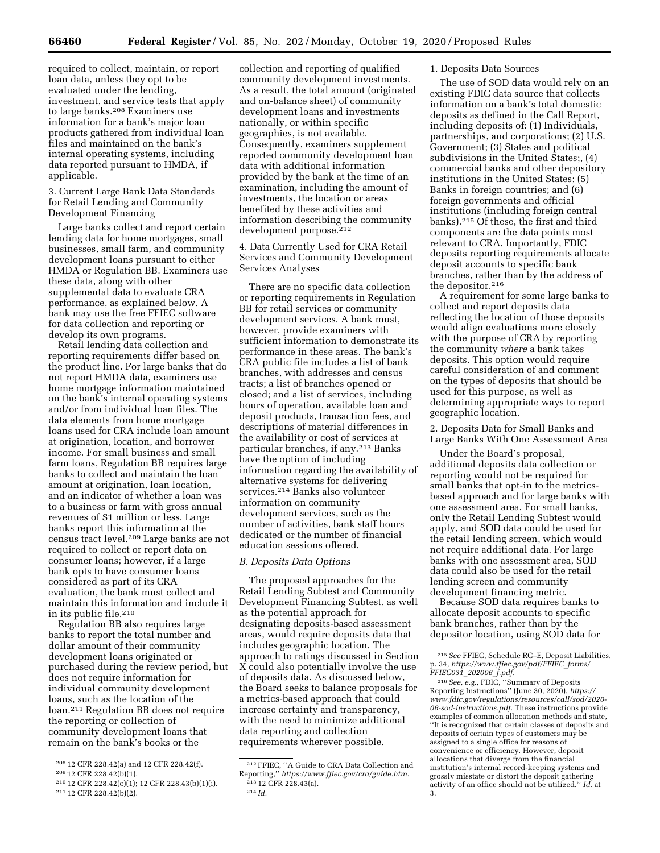required to collect, maintain, or report loan data, unless they opt to be evaluated under the lending, investment, and service tests that apply to large banks.208 Examiners use information for a bank's major loan products gathered from individual loan files and maintained on the bank's internal operating systems, including data reported pursuant to HMDA, if applicable.

3. Current Large Bank Data Standards for Retail Lending and Community Development Financing

Large banks collect and report certain lending data for home mortgages, small businesses, small farm, and community development loans pursuant to either HMDA or Regulation BB. Examiners use these data, along with other supplemental data to evaluate CRA performance, as explained below. A bank may use the free FFIEC software for data collection and reporting or develop its own programs.

Retail lending data collection and reporting requirements differ based on the product line. For large banks that do not report HMDA data, examiners use home mortgage information maintained on the bank's internal operating systems and/or from individual loan files. The data elements from home mortgage loans used for CRA include loan amount at origination, location, and borrower income. For small business and small farm loans, Regulation BB requires large banks to collect and maintain the loan amount at origination, loan location, and an indicator of whether a loan was to a business or farm with gross annual revenues of \$1 million or less. Large banks report this information at the census tract level.209 Large banks are not required to collect or report data on consumer loans; however, if a large bank opts to have consumer loans considered as part of its CRA evaluation, the bank must collect and maintain this information and include it in its public file.210

Regulation BB also requires large banks to report the total number and dollar amount of their community development loans originated or purchased during the review period, but does not require information for individual community development loans, such as the location of the loan.211 Regulation BB does not require the reporting or collection of community development loans that remain on the bank's books or the

collection and reporting of qualified community development investments. As a result, the total amount (originated and on-balance sheet) of community development loans and investments nationally, or within specific geographies, is not available. Consequently, examiners supplement reported community development loan data with additional information provided by the bank at the time of an examination, including the amount of investments, the location or areas benefited by these activities and information describing the community development purpose.<sup>212</sup>

4. Data Currently Used for CRA Retail Services and Community Development Services Analyses

There are no specific data collection or reporting requirements in Regulation BB for retail services or community development services. A bank must, however, provide examiners with sufficient information to demonstrate its performance in these areas. The bank's CRA public file includes a list of bank branches, with addresses and census tracts; a list of branches opened or closed; and a list of services, including hours of operation, available loan and deposit products, transaction fees, and descriptions of material differences in the availability or cost of services at particular branches, if any.213 Banks have the option of including information regarding the availability of alternative systems for delivering services.214 Banks also volunteer information on community development services, such as the number of activities, bank staff hours dedicated or the number of financial education sessions offered.

#### *B. Deposits Data Options*

The proposed approaches for the Retail Lending Subtest and Community Development Financing Subtest, as well as the potential approach for designating deposits-based assessment areas, would require deposits data that includes geographic location. The approach to ratings discussed in Section X could also potentially involve the use of deposits data. As discussed below, the Board seeks to balance proposals for a metrics-based approach that could increase certainty and transparency, with the need to minimize additional data reporting and collection requirements wherever possible.

#### 1. Deposits Data Sources

The use of SOD data would rely on an existing FDIC data source that collects information on a bank's total domestic deposits as defined in the Call Report, including deposits of: (1) Individuals, partnerships, and corporations; (2) U.S. Government; (3) States and political subdivisions in the United States;, (4) commercial banks and other depository institutions in the United States; (5) Banks in foreign countries; and (6) foreign governments and official institutions (including foreign central banks).215 Of these, the first and third components are the data points most relevant to CRA. Importantly, FDIC deposits reporting requirements allocate deposit accounts to specific bank branches, rather than by the address of the depositor.216

A requirement for some large banks to collect and report deposits data reflecting the location of those deposits would align evaluations more closely with the purpose of CRA by reporting the community *where* a bank takes deposits. This option would require careful consideration of and comment on the types of deposits that should be used for this purpose, as well as determining appropriate ways to report geographic location.

2. Deposits Data for Small Banks and Large Banks With One Assessment Area

Under the Board's proposal, additional deposits data collection or reporting would not be required for small banks that opt-in to the metricsbased approach and for large banks with one assessment area. For small banks, only the Retail Lending Subtest would apply, and SOD data could be used for the retail lending screen, which would not require additional data. For large banks with one assessment area, SOD data could also be used for the retail lending screen and community development financing metric.

Because SOD data requires banks to allocate deposit accounts to specific bank branches, rather than by the depositor location, using SOD data for

<sup>208</sup> 12 CFR 228.42(a) and 12 CFR 228.42(f).

<sup>209</sup> 12 CFR 228.42(b)(1).

<sup>210</sup> 12 CFR 228.42(c)(1); 12 CFR 228.43(b)(1)(i). 211 12 CFR 228.42(b)(2).

<sup>212</sup>FFIEC, ''A Guide to CRA Data Collection and Reporting,'' *[https://www.ffiec.gov/cra/guide.htm.](https://www.ffiec.gov/cra/guide.htm)*  213 12 CFR 228.43(a).

<sup>214</sup> *Id.* 

<sup>215</sup>*See* FFIEC, Schedule RC–E, Deposit Liabilities, p. 34, *[https://www.ffiec.gov/pdf/FFIEC](https://www.ffiec.gov/pdf/FFIEC_forms/FFIEC031_202006_f.pdf)*\_*forms/ [FFIEC031](https://www.ffiec.gov/pdf/FFIEC_forms/FFIEC031_202006_f.pdf)*\_*202006*\_*f.pdf.* 

<sup>216</sup>*See, e.g.,* FDIC, ''Summary of Deposits Reporting Instructions'' (June 30, 2020), *[https://](https://www.fdic.gov/regulations/resources/call/sod/2020-06-sod-instructions.pdf) [www.fdic.gov/regulations/resources/call/sod/2020-](https://www.fdic.gov/regulations/resources/call/sod/2020-06-sod-instructions.pdf)  [06-sod-instructions.pdf.](https://www.fdic.gov/regulations/resources/call/sod/2020-06-sod-instructions.pdf)* These instructions provide examples of common allocation methods and state, ''It is recognized that certain classes of deposits and deposits of certain types of customers may be assigned to a single office for reasons of convenience or efficiency. However, deposit allocations that diverge from the financial institution's internal record-keeping systems and grossly misstate or distort the deposit gathering activity of an office should not be utilized.'' *Id.* at 3.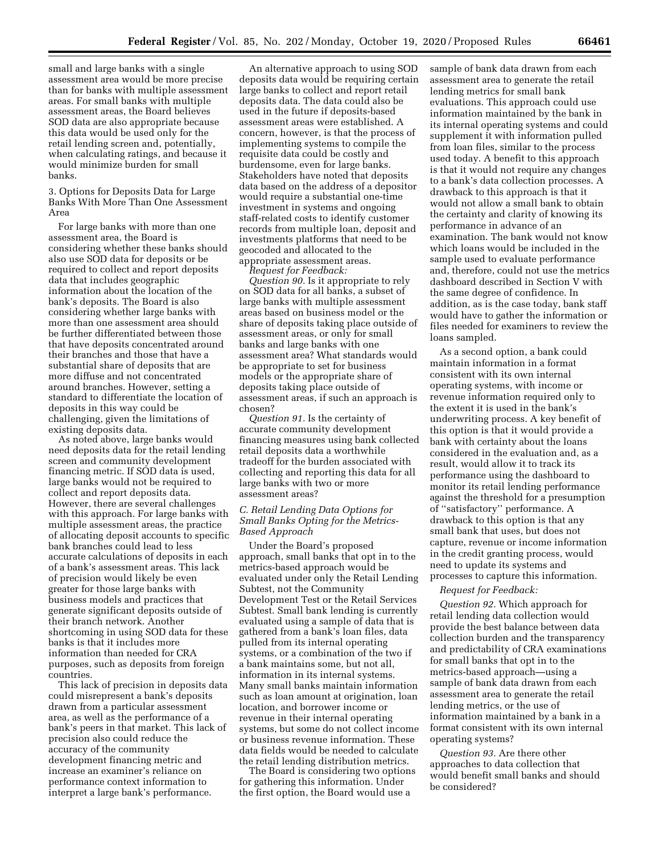small and large banks with a single assessment area would be more precise than for banks with multiple assessment areas. For small banks with multiple assessment areas, the Board believes SOD data are also appropriate because this data would be used only for the retail lending screen and, potentially, when calculating ratings, and because it would minimize burden for small banks.

3. Options for Deposits Data for Large Banks With More Than One Assessment Area

For large banks with more than one assessment area, the Board is considering whether these banks should also use SOD data for deposits or be required to collect and report deposits data that includes geographic information about the location of the bank's deposits. The Board is also considering whether large banks with more than one assessment area should be further differentiated between those that have deposits concentrated around their branches and those that have a substantial share of deposits that are more diffuse and not concentrated around branches. However, setting a standard to differentiate the location of deposits in this way could be challenging, given the limitations of existing deposits data.

As noted above, large banks would need deposits data for the retail lending screen and community development financing metric. If SOD data is used, large banks would not be required to collect and report deposits data. However, there are several challenges with this approach. For large banks with multiple assessment areas, the practice of allocating deposit accounts to specific bank branches could lead to less accurate calculations of deposits in each of a bank's assessment areas. This lack of precision would likely be even greater for those large banks with business models and practices that generate significant deposits outside of their branch network. Another shortcoming in using SOD data for these banks is that it includes more information than needed for CRA purposes, such as deposits from foreign countries.

This lack of precision in deposits data could misrepresent a bank's deposits drawn from a particular assessment area, as well as the performance of a bank's peers in that market. This lack of precision also could reduce the accuracy of the community development financing metric and increase an examiner's reliance on performance context information to interpret a large bank's performance.

An alternative approach to using SOD deposits data would be requiring certain large banks to collect and report retail deposits data. The data could also be used in the future if deposits-based assessment areas were established. A concern, however, is that the process of implementing systems to compile the requisite data could be costly and burdensome, even for large banks. Stakeholders have noted that deposits data based on the address of a depositor would require a substantial one-time investment in systems and ongoing staff-related costs to identify customer records from multiple loan, deposit and investments platforms that need to be geocoded and allocated to the appropriate assessment areas.

*Request for Feedback:* 

*Question 90.* Is it appropriate to rely on SOD data for all banks, a subset of large banks with multiple assessment areas based on business model or the share of deposits taking place outside of assessment areas, or only for small banks and large banks with one assessment area? What standards would be appropriate to set for business models or the appropriate share of deposits taking place outside of assessment areas, if such an approach is chosen?

*Question 91.* Is the certainty of accurate community development financing measures using bank collected retail deposits data a worthwhile tradeoff for the burden associated with collecting and reporting this data for all large banks with two or more assessment areas?

#### *C. Retail Lending Data Options for Small Banks Opting for the Metrics-Based Approach*

Under the Board's proposed approach, small banks that opt in to the metrics-based approach would be evaluated under only the Retail Lending Subtest, not the Community Development Test or the Retail Services Subtest. Small bank lending is currently evaluated using a sample of data that is gathered from a bank's loan files, data pulled from its internal operating systems, or a combination of the two if a bank maintains some, but not all, information in its internal systems. Many small banks maintain information such as loan amount at origination, loan location, and borrower income or revenue in their internal operating systems, but some do not collect income or business revenue information. These data fields would be needed to calculate the retail lending distribution metrics.

The Board is considering two options for gathering this information. Under the first option, the Board would use a

sample of bank data drawn from each assessment area to generate the retail lending metrics for small bank evaluations. This approach could use information maintained by the bank in its internal operating systems and could supplement it with information pulled from loan files, similar to the process used today. A benefit to this approach is that it would not require any changes to a bank's data collection processes. A drawback to this approach is that it would not allow a small bank to obtain the certainty and clarity of knowing its performance in advance of an examination. The bank would not know which loans would be included in the sample used to evaluate performance and, therefore, could not use the metrics dashboard described in Section V with the same degree of confidence. In addition, as is the case today, bank staff would have to gather the information or files needed for examiners to review the loans sampled.

As a second option, a bank could maintain information in a format consistent with its own internal operating systems, with income or revenue information required only to the extent it is used in the bank's underwriting process. A key benefit of this option is that it would provide a bank with certainty about the loans considered in the evaluation and, as a result, would allow it to track its performance using the dashboard to monitor its retail lending performance against the threshold for a presumption of ''satisfactory'' performance. A drawback to this option is that any small bank that uses, but does not capture, revenue or income information in the credit granting process, would need to update its systems and processes to capture this information.

#### *Request for Feedback:*

*Question 92.* Which approach for retail lending data collection would provide the best balance between data collection burden and the transparency and predictability of CRA examinations for small banks that opt in to the metrics-based approach—using a sample of bank data drawn from each assessment area to generate the retail lending metrics, or the use of information maintained by a bank in a format consistent with its own internal operating systems?

*Question 93.* Are there other approaches to data collection that would benefit small banks and should be considered?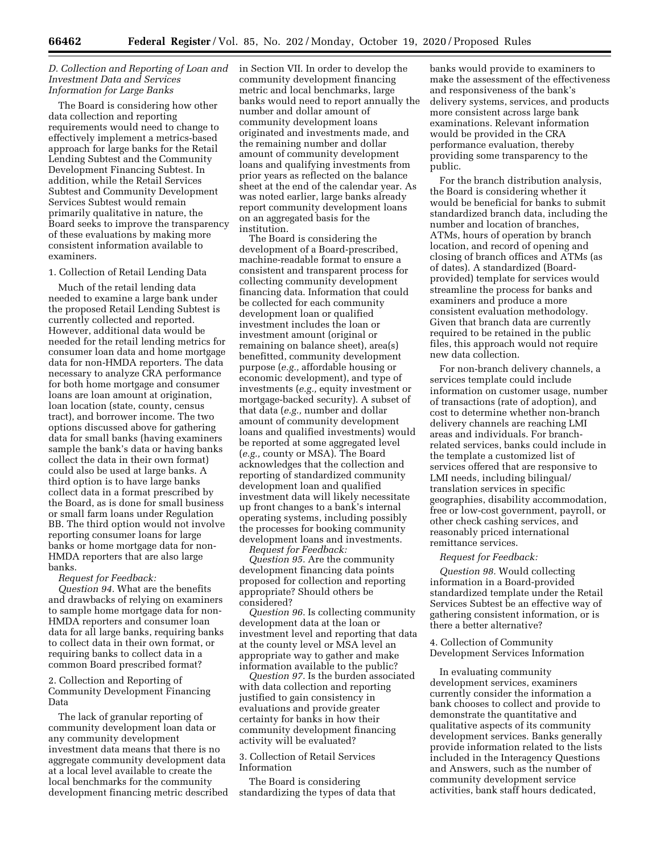#### *D. Collection and Reporting of Loan and Investment Data and Services Information for Large Banks*

The Board is considering how other data collection and reporting requirements would need to change to effectively implement a metrics-based approach for large banks for the Retail Lending Subtest and the Community Development Financing Subtest. In addition, while the Retail Services Subtest and Community Development Services Subtest would remain primarily qualitative in nature, the Board seeks to improve the transparency of these evaluations by making more consistent information available to examiners.

#### 1. Collection of Retail Lending Data

Much of the retail lending data needed to examine a large bank under the proposed Retail Lending Subtest is currently collected and reported. However, additional data would be needed for the retail lending metrics for consumer loan data and home mortgage data for non-HMDA reporters. The data necessary to analyze CRA performance for both home mortgage and consumer loans are loan amount at origination, loan location (state, county, census tract), and borrower income. The two options discussed above for gathering data for small banks (having examiners sample the bank's data or having banks collect the data in their own format) could also be used at large banks. A third option is to have large banks collect data in a format prescribed by the Board, as is done for small business or small farm loans under Regulation BB. The third option would not involve reporting consumer loans for large banks or home mortgage data for non-HMDA reporters that are also large banks.

#### *Request for Feedback:*

*Question 94.* What are the benefits and drawbacks of relying on examiners to sample home mortgage data for non-HMDA reporters and consumer loan data for all large banks, requiring banks to collect data in their own format, or requiring banks to collect data in a common Board prescribed format?

2. Collection and Reporting of Community Development Financing Data

The lack of granular reporting of community development loan data or any community development investment data means that there is no aggregate community development data at a local level available to create the local benchmarks for the community development financing metric described in Section VII. In order to develop the community development financing metric and local benchmarks, large banks would need to report annually the number and dollar amount of community development loans originated and investments made, and the remaining number and dollar amount of community development loans and qualifying investments from prior years as reflected on the balance sheet at the end of the calendar year. As was noted earlier, large banks already report community development loans on an aggregated basis for the institution.

The Board is considering the development of a Board-prescribed, machine-readable format to ensure a consistent and transparent process for collecting community development financing data. Information that could be collected for each community development loan or qualified investment includes the loan or investment amount (original or remaining on balance sheet), area(s) benefitted, community development purpose (*e.g.,* affordable housing or economic development), and type of investments (*e.g.,* equity investment or mortgage-backed security). A subset of that data (*e.g.,* number and dollar amount of community development loans and qualified investments) would be reported at some aggregated level (*e.g.,* county or MSA). The Board acknowledges that the collection and reporting of standardized community development loan and qualified investment data will likely necessitate up front changes to a bank's internal operating systems, including possibly the processes for booking community development loans and investments. *Request for Feedback:* 

*Question 95.* Are the community development financing data points proposed for collection and reporting appropriate? Should others be considered?

*Question 96.* Is collecting community development data at the loan or investment level and reporting that data at the county level or MSA level an appropriate way to gather and make information available to the public?

*Question 97.* Is the burden associated with data collection and reporting justified to gain consistency in evaluations and provide greater certainty for banks in how their community development financing activity will be evaluated?

#### 3. Collection of Retail Services Information

The Board is considering standardizing the types of data that banks would provide to examiners to make the assessment of the effectiveness and responsiveness of the bank's delivery systems, services, and products more consistent across large bank examinations. Relevant information would be provided in the CRA performance evaluation, thereby providing some transparency to the public.

For the branch distribution analysis, the Board is considering whether it would be beneficial for banks to submit standardized branch data, including the number and location of branches, ATMs, hours of operation by branch location, and record of opening and closing of branch offices and ATMs (as of dates). A standardized (Boardprovided) template for services would streamline the process for banks and examiners and produce a more consistent evaluation methodology. Given that branch data are currently required to be retained in the public files, this approach would not require new data collection.

For non-branch delivery channels, a services template could include information on customer usage, number of transactions (rate of adoption), and cost to determine whether non-branch delivery channels are reaching LMI areas and individuals. For branchrelated services, banks could include in the template a customized list of services offered that are responsive to LMI needs, including bilingual/ translation services in specific geographies, disability accommodation, free or low-cost government, payroll, or other check cashing services, and reasonably priced international remittance services.

#### *Request for Feedback:*

*Question 98.* Would collecting information in a Board-provided standardized template under the Retail Services Subtest be an effective way of gathering consistent information, or is there a better alternative?

#### 4. Collection of Community Development Services Information

In evaluating community development services, examiners currently consider the information a bank chooses to collect and provide to demonstrate the quantitative and qualitative aspects of its community development services. Banks generally provide information related to the lists included in the Interagency Questions and Answers, such as the number of community development service activities, bank staff hours dedicated,